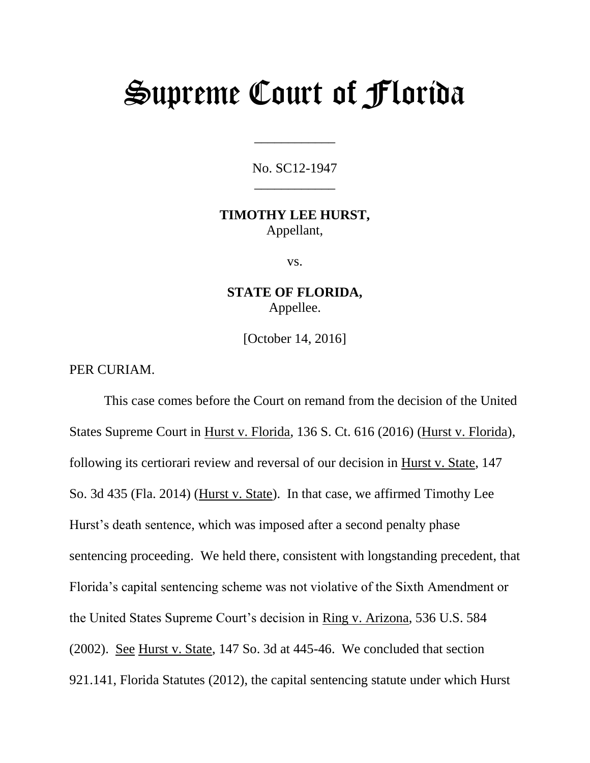# Supreme Court of Florida

No. SC12-1947 \_\_\_\_\_\_\_\_\_\_\_\_

\_\_\_\_\_\_\_\_\_\_\_\_

#### **TIMOTHY LEE HURST,** Appellant,

vs.

**STATE OF FLORIDA,** Appellee.

[October 14, 2016]

PER CURIAM.

This case comes before the Court on remand from the decision of the United States Supreme Court in Hurst v. Florida, 136 S. Ct. 616 (2016) (Hurst v. Florida), following its certiorari review and reversal of our decision in Hurst v. State, 147 So. 3d 435 (Fla. 2014) (Hurst v. State). In that case, we affirmed Timothy Lee Hurst's death sentence, which was imposed after a second penalty phase sentencing proceeding. We held there, consistent with longstanding precedent, that Florida's capital sentencing scheme was not violative of the Sixth Amendment or the United States Supreme Court's decision in Ring v. Arizona, 536 U.S. 584 (2002). See Hurst v. State, 147 So. 3d at 445-46. We concluded that section 921.141, Florida Statutes (2012), the capital sentencing statute under which Hurst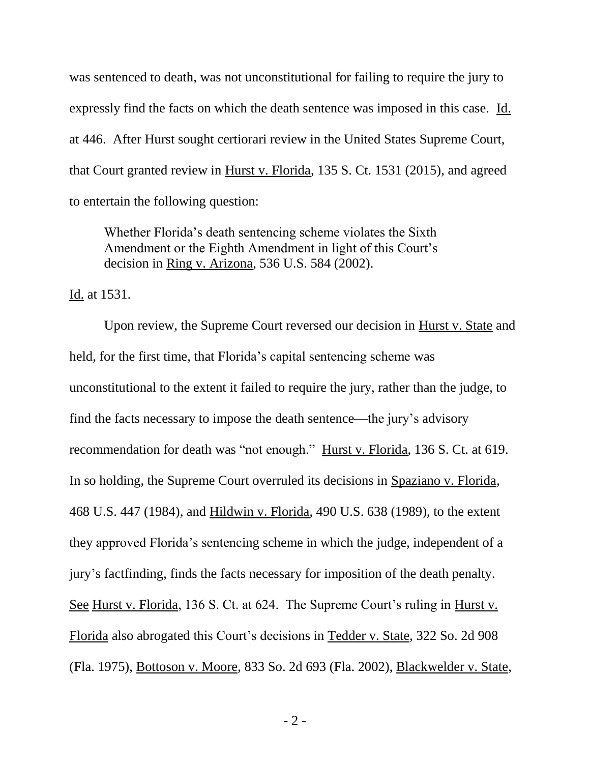was sentenced to death, was not unconstitutional for failing to require the jury to expressly find the facts on which the death sentence was imposed in this case. Id. at 446. After Hurst sought certiorari review in the United States Supreme Court, that Court granted review in Hurst v. Florida, 135 S. Ct. 1531 (2015), and agreed to entertain the following question:

Whether Florida's death sentencing scheme violates the Sixth Amendment or the Eighth Amendment in light of this Court's decision in Ring v. Arizona, 536 U.S. 584 (2002).

Id. at 1531.

Upon review, the Supreme Court reversed our decision in Hurst v. State and held, for the first time, that Florida's capital sentencing scheme was unconstitutional to the extent it failed to require the jury, rather than the judge, to find the facts necessary to impose the death sentence—the jury's advisory recommendation for death was "not enough." Hurst v. Florida, 136 S. Ct. at 619. In so holding, the Supreme Court overruled its decisions in Spaziano v. Florida, 468 U.S. 447 (1984), and Hildwin v. Florida, 490 U.S. 638 (1989), to the extent they approved Florida's sentencing scheme in which the judge, independent of a jury's factfinding, finds the facts necessary for imposition of the death penalty. See Hurst v. Florida, 136 S. Ct. at 624. The Supreme Court's ruling in Hurst v. Florida also abrogated this Court's decisions in Tedder v. State, 322 So. 2d 908 (Fla. 1975), Bottoson v. Moore, 833 So. 2d 693 (Fla. 2002), Blackwelder v. State,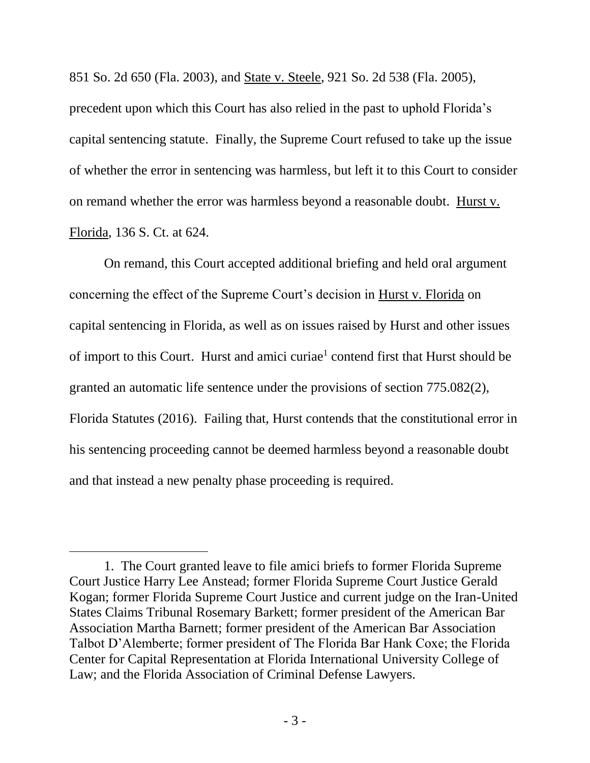851 So. 2d 650 (Fla. 2003), and State v. Steele, 921 So. 2d 538 (Fla. 2005),

precedent upon which this Court has also relied in the past to uphold Florida's capital sentencing statute. Finally, the Supreme Court refused to take up the issue of whether the error in sentencing was harmless, but left it to this Court to consider on remand whether the error was harmless beyond a reasonable doubt. Hurst v. Florida, 136 S. Ct. at 624.

On remand, this Court accepted additional briefing and held oral argument concerning the effect of the Supreme Court's decision in Hurst v. Florida on capital sentencing in Florida, as well as on issues raised by Hurst and other issues of import to this Court. Hurst and amici curiae<sup>1</sup> contend first that Hurst should be granted an automatic life sentence under the provisions of section 775.082(2), Florida Statutes (2016). Failing that, Hurst contends that the constitutional error in his sentencing proceeding cannot be deemed harmless beyond a reasonable doubt and that instead a new penalty phase proceeding is required.

<sup>1.</sup> The Court granted leave to file amici briefs to former Florida Supreme Court Justice Harry Lee Anstead; former Florida Supreme Court Justice Gerald Kogan; former Florida Supreme Court Justice and current judge on the Iran-United States Claims Tribunal Rosemary Barkett; former president of the American Bar Association Martha Barnett; former president of the American Bar Association Talbot D'Alemberte; former president of The Florida Bar Hank Coxe; the Florida Center for Capital Representation at Florida International University College of Law; and the Florida Association of Criminal Defense Lawyers.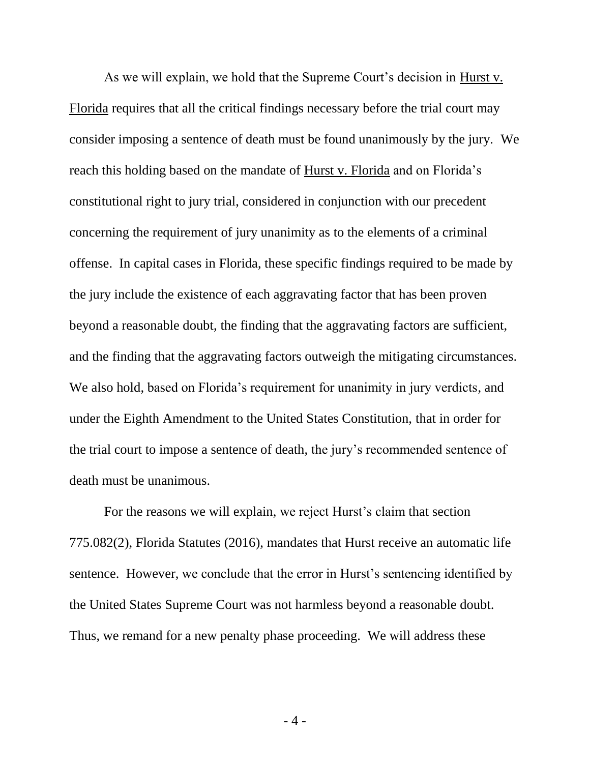As we will explain, we hold that the Supreme Court's decision in Hurst v. Florida requires that all the critical findings necessary before the trial court may consider imposing a sentence of death must be found unanimously by the jury. We reach this holding based on the mandate of Hurst v. Florida and on Florida's constitutional right to jury trial, considered in conjunction with our precedent concerning the requirement of jury unanimity as to the elements of a criminal offense. In capital cases in Florida, these specific findings required to be made by the jury include the existence of each aggravating factor that has been proven beyond a reasonable doubt, the finding that the aggravating factors are sufficient, and the finding that the aggravating factors outweigh the mitigating circumstances. We also hold, based on Florida's requirement for unanimity in jury verdicts, and under the Eighth Amendment to the United States Constitution, that in order for the trial court to impose a sentence of death, the jury's recommended sentence of death must be unanimous.

For the reasons we will explain, we reject Hurst's claim that section 775.082(2), Florida Statutes (2016), mandates that Hurst receive an automatic life sentence. However, we conclude that the error in Hurst's sentencing identified by the United States Supreme Court was not harmless beyond a reasonable doubt. Thus, we remand for a new penalty phase proceeding. We will address these

- 4 -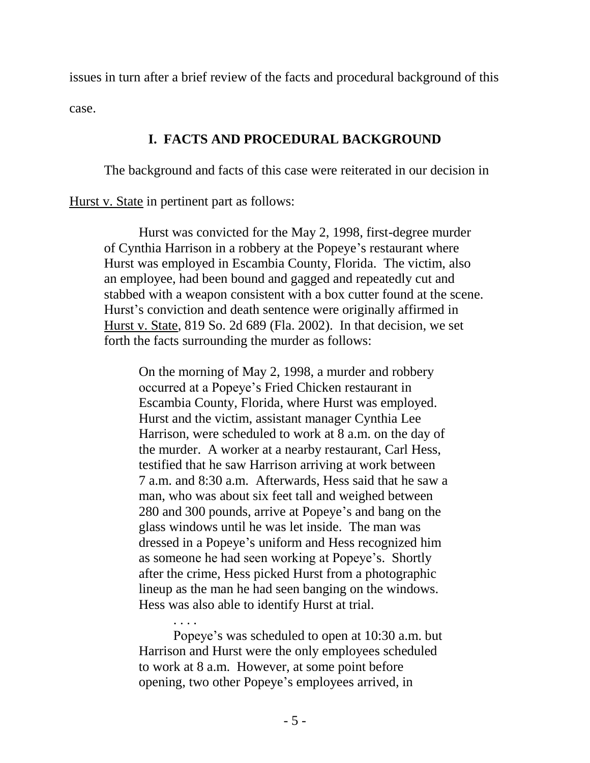issues in turn after a brief review of the facts and procedural background of this case.

## **I. FACTS AND PROCEDURAL BACKGROUND**

The background and facts of this case were reiterated in our decision in

Hurst v. State in pertinent part as follows:

Hurst was convicted for the May 2, 1998, first-degree murder of Cynthia Harrison in a robbery at the Popeye's restaurant where Hurst was employed in Escambia County, Florida. The victim, also an employee, had been bound and gagged and repeatedly cut and stabbed with a weapon consistent with a box cutter found at the scene. Hurst's conviction and death sentence were originally affirmed in Hurst v. State, 819 So. 2d 689 (Fla. 2002). In that decision, we set forth the facts surrounding the murder as follows:

On the morning of May 2, 1998, a murder and robbery occurred at a Popeye's Fried Chicken restaurant in Escambia County, Florida, where Hurst was employed. Hurst and the victim, assistant manager Cynthia Lee Harrison, were scheduled to work at 8 a.m. on the day of the murder. A worker at a nearby restaurant, Carl Hess, testified that he saw Harrison arriving at work between 7 a.m. and 8:30 a.m. Afterwards, Hess said that he saw a man, who was about six feet tall and weighed between 280 and 300 pounds, arrive at Popeye's and bang on the glass windows until he was let inside. The man was dressed in a Popeye's uniform and Hess recognized him as someone he had seen working at Popeye's. Shortly after the crime, Hess picked Hurst from a photographic lineup as the man he had seen banging on the windows. Hess was also able to identify Hurst at trial.

. . . . Popeye's was scheduled to open at 10:30 a.m. but Harrison and Hurst were the only employees scheduled to work at 8 a.m. However, at some point before opening, two other Popeye's employees arrived, in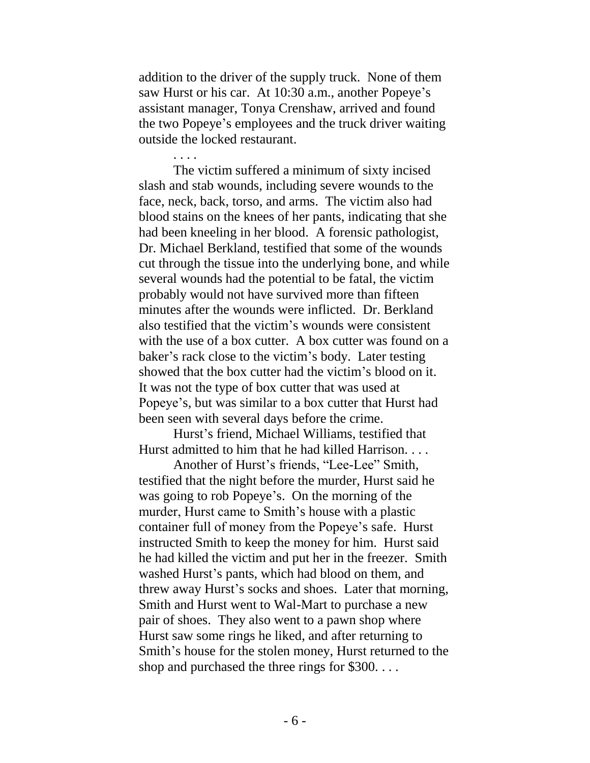addition to the driver of the supply truck. None of them saw Hurst or his car. At 10:30 a.m., another Popeye's assistant manager, Tonya Crenshaw, arrived and found the two Popeye's employees and the truck driver waiting outside the locked restaurant.

The victim suffered a minimum of sixty incised slash and stab wounds, including severe wounds to the face, neck, back, torso, and arms. The victim also had blood stains on the knees of her pants, indicating that she had been kneeling in her blood. A forensic pathologist, Dr. Michael Berkland, testified that some of the wounds cut through the tissue into the underlying bone, and while several wounds had the potential to be fatal, the victim probably would not have survived more than fifteen minutes after the wounds were inflicted. Dr. Berkland also testified that the victim's wounds were consistent with the use of a box cutter. A box cutter was found on a baker's rack close to the victim's body. Later testing showed that the box cutter had the victim's blood on it. It was not the type of box cutter that was used at Popeye's, but was similar to a box cutter that Hurst had been seen with several days before the crime.

Hurst's friend, Michael Williams, testified that Hurst admitted to him that he had killed Harrison. . . .

Another of Hurst's friends, "Lee-Lee" Smith, testified that the night before the murder, Hurst said he was going to rob Popeye's. On the morning of the murder, Hurst came to Smith's house with a plastic container full of money from the Popeye's safe. Hurst instructed Smith to keep the money for him. Hurst said he had killed the victim and put her in the freezer. Smith washed Hurst's pants, which had blood on them, and threw away Hurst's socks and shoes. Later that morning, Smith and Hurst went to Wal-Mart to purchase a new pair of shoes. They also went to a pawn shop where Hurst saw some rings he liked, and after returning to Smith's house for the stolen money, Hurst returned to the shop and purchased the three rings for \$300. . . .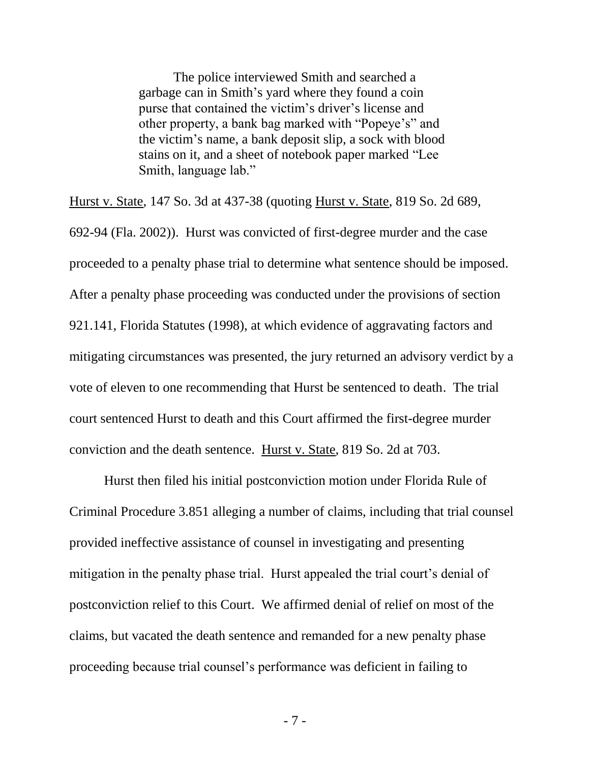The police interviewed Smith and searched a garbage can in Smith's yard where they found a coin purse that contained the victim's driver's license and other property, a bank bag marked with "Popeye's" and the victim's name, a bank deposit slip, a sock with blood stains on it, and a sheet of notebook paper marked "Lee Smith, language lab."

Hurst v. State, 147 So. 3d at 437-38 (quoting Hurst v. State, 819 So. 2d 689, 692-94 (Fla. 2002)). Hurst was convicted of first-degree murder and the case proceeded to a penalty phase trial to determine what sentence should be imposed. After a penalty phase proceeding was conducted under the provisions of section 921.141, Florida Statutes (1998), at which evidence of aggravating factors and mitigating circumstances was presented, the jury returned an advisory verdict by a vote of eleven to one recommending that Hurst be sentenced to death. The trial court sentenced Hurst to death and this Court affirmed the first-degree murder conviction and the death sentence. Hurst v. State, 819 So. 2d at 703.

Hurst then filed his initial postconviction motion under Florida Rule of Criminal Procedure 3.851 alleging a number of claims, including that trial counsel provided ineffective assistance of counsel in investigating and presenting mitigation in the penalty phase trial. Hurst appealed the trial court's denial of postconviction relief to this Court. We affirmed denial of relief on most of the claims, but vacated the death sentence and remanded for a new penalty phase proceeding because trial counsel's performance was deficient in failing to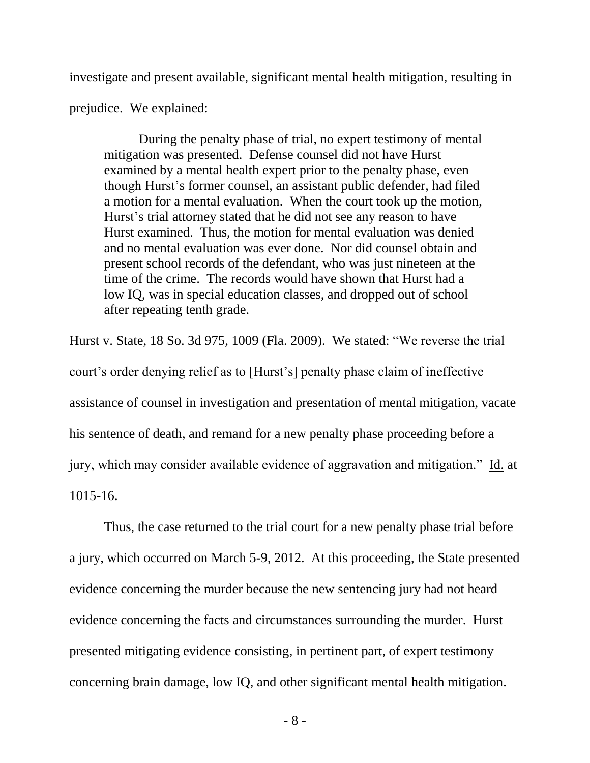investigate and present available, significant mental health mitigation, resulting in

prejudice. We explained:

During the penalty phase of trial, no expert testimony of mental mitigation was presented. Defense counsel did not have Hurst examined by a mental health expert prior to the penalty phase, even though Hurst's former counsel, an assistant public defender, had filed a motion for a mental evaluation. When the court took up the motion, Hurst's trial attorney stated that he did not see any reason to have Hurst examined. Thus, the motion for mental evaluation was denied and no mental evaluation was ever done. Nor did counsel obtain and present school records of the defendant, who was just nineteen at the time of the crime. The records would have shown that Hurst had a low IQ, was in special education classes, and dropped out of school after repeating tenth grade.

Hurst v. State, 18 So. 3d 975, 1009 (Fla. 2009). We stated: "We reverse the trial court's order denying relief as to [Hurst's] penalty phase claim of ineffective assistance of counsel in investigation and presentation of mental mitigation, vacate his sentence of death, and remand for a new penalty phase proceeding before a jury, which may consider available evidence of aggravation and mitigation." Id. at 1015-16.

Thus, the case returned to the trial court for a new penalty phase trial before a jury, which occurred on March 5-9, 2012. At this proceeding, the State presented evidence concerning the murder because the new sentencing jury had not heard evidence concerning the facts and circumstances surrounding the murder. Hurst presented mitigating evidence consisting, in pertinent part, of expert testimony concerning brain damage, low IQ, and other significant mental health mitigation.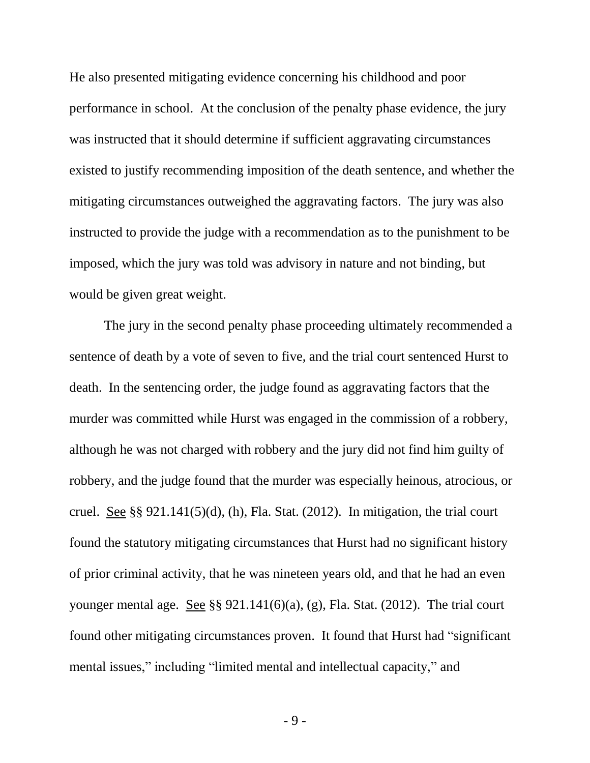He also presented mitigating evidence concerning his childhood and poor performance in school. At the conclusion of the penalty phase evidence, the jury was instructed that it should determine if sufficient aggravating circumstances existed to justify recommending imposition of the death sentence, and whether the mitigating circumstances outweighed the aggravating factors. The jury was also instructed to provide the judge with a recommendation as to the punishment to be imposed, which the jury was told was advisory in nature and not binding, but would be given great weight.

The jury in the second penalty phase proceeding ultimately recommended a sentence of death by a vote of seven to five, and the trial court sentenced Hurst to death. In the sentencing order, the judge found as aggravating factors that the murder was committed while Hurst was engaged in the commission of a robbery, although he was not charged with robbery and the jury did not find him guilty of robbery, and the judge found that the murder was especially heinous, atrocious, or cruel. See §§  $921.141(5)(d)$ , (h), Fla. Stat. (2012). In mitigation, the trial court found the statutory mitigating circumstances that Hurst had no significant history of prior criminal activity, that he was nineteen years old, and that he had an even younger mental age. See §§ 921.141(6)(a), (g), Fla. Stat. (2012). The trial court found other mitigating circumstances proven. It found that Hurst had "significant mental issues," including "limited mental and intellectual capacity," and

- 9 -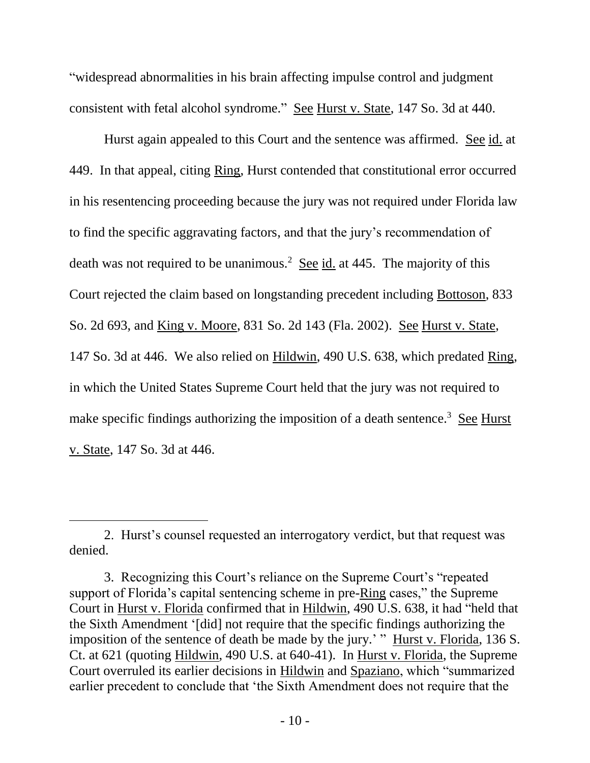"widespread abnormalities in his brain affecting impulse control and judgment consistent with fetal alcohol syndrome." See Hurst v. State, 147 So. 3d at 440.

Hurst again appealed to this Court and the sentence was affirmed. See id. at 449. In that appeal, citing Ring, Hurst contended that constitutional error occurred in his resentencing proceeding because the jury was not required under Florida law to find the specific aggravating factors, and that the jury's recommendation of death was not required to be unanimous.<sup>2</sup> See  $id$  at 445. The majority of this Court rejected the claim based on longstanding precedent including Bottoson, 833 So. 2d 693, and King v. Moore, 831 So. 2d 143 (Fla. 2002). See Hurst v. State, 147 So. 3d at 446. We also relied on Hildwin, 490 U.S. 638, which predated Ring, in which the United States Supreme Court held that the jury was not required to make specific findings authorizing the imposition of a death sentence.<sup>3</sup> See Hurst v. State, 147 So. 3d at 446.

<sup>2.</sup> Hurst's counsel requested an interrogatory verdict, but that request was denied.

<sup>3.</sup> Recognizing this Court's reliance on the Supreme Court's "repeated support of Florida's capital sentencing scheme in pre-Ring cases," the Supreme Court in Hurst v. Florida confirmed that in Hildwin, 490 U.S. 638, it had "held that the Sixth Amendment '[did] not require that the specific findings authorizing the imposition of the sentence of death be made by the jury.' " Hurst v. Florida, 136 S. Ct. at 621 (quoting Hildwin, 490 U.S. at 640-41). In Hurst v. Florida, the Supreme Court overruled its earlier decisions in Hildwin and Spaziano, which "summarized earlier precedent to conclude that 'the Sixth Amendment does not require that the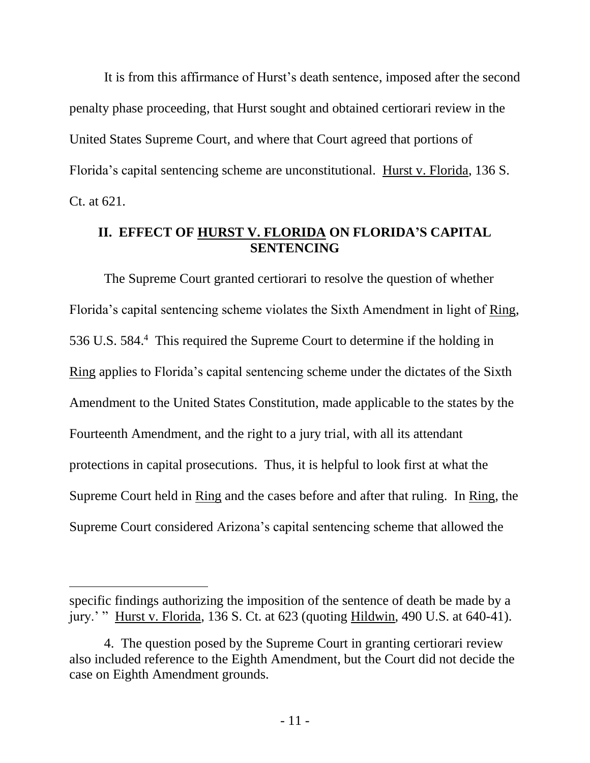It is from this affirmance of Hurst's death sentence, imposed after the second penalty phase proceeding, that Hurst sought and obtained certiorari review in the United States Supreme Court, and where that Court agreed that portions of Florida's capital sentencing scheme are unconstitutional. Hurst v. Florida, 136 S. Ct. at 621.

### **II. EFFECT OF HURST V. FLORIDA ON FLORIDA'S CAPITAL SENTENCING**

The Supreme Court granted certiorari to resolve the question of whether Florida's capital sentencing scheme violates the Sixth Amendment in light of Ring, 536 U.S. 584. 4 This required the Supreme Court to determine if the holding in Ring applies to Florida's capital sentencing scheme under the dictates of the Sixth Amendment to the United States Constitution, made applicable to the states by the Fourteenth Amendment, and the right to a jury trial, with all its attendant protections in capital prosecutions. Thus, it is helpful to look first at what the Supreme Court held in Ring and the cases before and after that ruling. In Ring, the Supreme Court considered Arizona's capital sentencing scheme that allowed the

 $\overline{a}$ 

specific findings authorizing the imposition of the sentence of death be made by a jury.' " Hurst v. Florida, 136 S. Ct. at 623 (quoting Hildwin, 490 U.S. at 640-41).

<sup>4.</sup> The question posed by the Supreme Court in granting certiorari review also included reference to the Eighth Amendment, but the Court did not decide the case on Eighth Amendment grounds.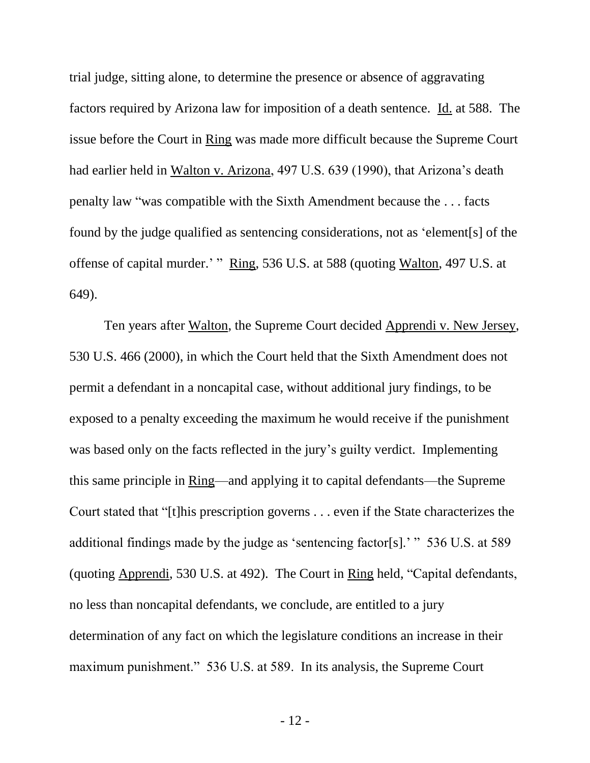trial judge, sitting alone, to determine the presence or absence of aggravating factors required by Arizona law for imposition of a death sentence. Id. at 588. The issue before the Court in Ring was made more difficult because the Supreme Court had earlier held in Walton v. Arizona, 497 U.S. 639 (1990), that Arizona's death penalty law "was compatible with the Sixth Amendment because the . . . facts found by the judge qualified as sentencing considerations, not as 'element[s] of the offense of capital murder.' " Ring, 536 U.S. at 588 (quoting Walton, 497 U.S. at 649).

Ten years after Walton, the Supreme Court decided Apprendi v. New Jersey, 530 U.S. 466 (2000), in which the Court held that the Sixth Amendment does not permit a defendant in a noncapital case, without additional jury findings, to be exposed to a penalty exceeding the maximum he would receive if the punishment was based only on the facts reflected in the jury's guilty verdict. Implementing this same principle in Ring—and applying it to capital defendants—the Supreme Court stated that "[t]his prescription governs . . . even if the State characterizes the additional findings made by the judge as 'sentencing factor[s].' " 536 U.S. at 589 (quoting Apprendi, 530 U.S. at 492). The Court in Ring held, "Capital defendants, no less than noncapital defendants, we conclude, are entitled to a jury determination of any fact on which the legislature conditions an increase in their maximum punishment." 536 U.S. at 589. In its analysis, the Supreme Court

- 12 -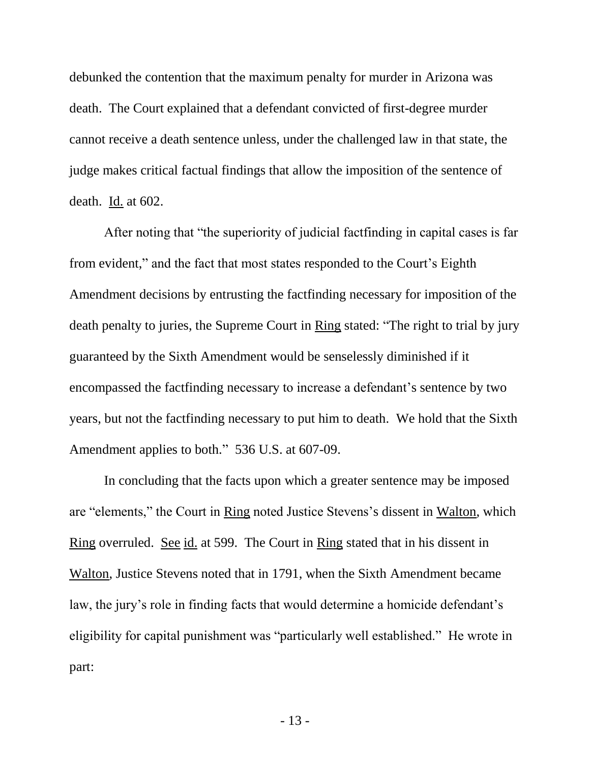debunked the contention that the maximum penalty for murder in Arizona was death. The Court explained that a defendant convicted of first-degree murder cannot receive a death sentence unless, under the challenged law in that state, the judge makes critical factual findings that allow the imposition of the sentence of death. Id. at 602.

After noting that "the superiority of judicial factfinding in capital cases is far from evident," and the fact that most states responded to the Court's Eighth Amendment decisions by entrusting the factfinding necessary for imposition of the death penalty to juries, the Supreme Court in Ring stated: "The right to trial by jury guaranteed by the Sixth Amendment would be senselessly diminished if it encompassed the factfinding necessary to increase a defendant's sentence by two years, but not the factfinding necessary to put him to death. We hold that the Sixth Amendment applies to both." 536 U.S. at 607-09.

In concluding that the facts upon which a greater sentence may be imposed are "elements," the Court in Ring noted Justice Stevens's dissent in Walton, which Ring overruled. See id. at 599. The Court in Ring stated that in his dissent in Walton, Justice Stevens noted that in 1791, when the Sixth Amendment became law, the jury's role in finding facts that would determine a homicide defendant's eligibility for capital punishment was "particularly well established." He wrote in part: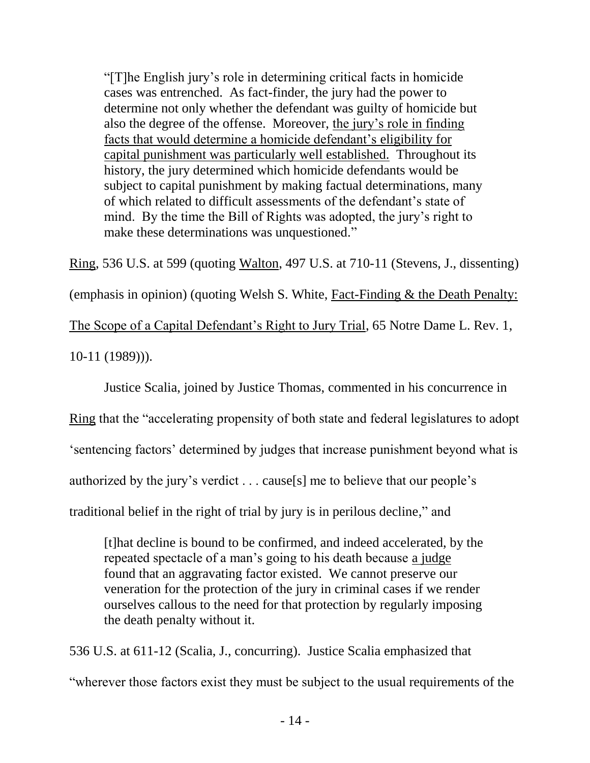"[T]he English jury's role in determining critical facts in homicide cases was entrenched. As fact-finder, the jury had the power to determine not only whether the defendant was guilty of homicide but also the degree of the offense. Moreover, the jury's role in finding facts that would determine a homicide defendant's eligibility for capital punishment was particularly well established. Throughout its history, the jury determined which homicide defendants would be subject to capital punishment by making factual determinations, many of which related to difficult assessments of the defendant's state of mind. By the time the Bill of Rights was adopted, the jury's right to make these determinations was unquestioned."

Ring, 536 U.S. at 599 (quoting Walton, 497 U.S. at 710-11 (Stevens, J., dissenting) (emphasis in opinion) (quoting Welsh S. White, Fact-Finding & the Death Penalty: The Scope of a Capital Defendant's Right to Jury Trial, 65 Notre Dame L. Rev. 1, 10-11 (1989))).

Justice Scalia, joined by Justice Thomas, commented in his concurrence in

Ring that the "accelerating propensity of both state and federal legislatures to adopt

'sentencing factors' determined by judges that increase punishment beyond what is

authorized by the jury's verdict . . . cause[s] me to believe that our people's

traditional belief in the right of trial by jury is in perilous decline," and

[t]hat decline is bound to be confirmed, and indeed accelerated, by the repeated spectacle of a man's going to his death because a judge found that an aggravating factor existed. We cannot preserve our veneration for the protection of the jury in criminal cases if we render ourselves callous to the need for that protection by regularly imposing the death penalty without it.

536 U.S. at 611-12 (Scalia, J., concurring). Justice Scalia emphasized that "wherever those factors exist they must be subject to the usual requirements of the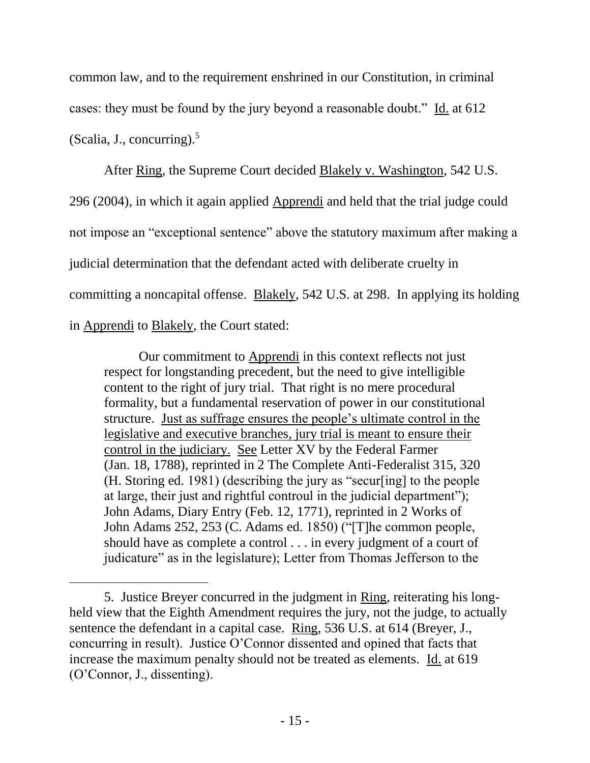common law, and to the requirement enshrined in our Constitution, in criminal cases: they must be found by the jury beyond a reasonable doubt." Id. at 612 (Scalia, J., concurring). $5$ 

After Ring, the Supreme Court decided Blakely v. Washington, 542 U.S. 296 (2004), in which it again applied Apprendi and held that the trial judge could not impose an "exceptional sentence" above the statutory maximum after making a judicial determination that the defendant acted with deliberate cruelty in committing a noncapital offense. Blakely, 542 U.S. at 298. In applying its holding in Apprendi to Blakely, the Court stated:

Our commitment to Apprendi in this context reflects not just respect for longstanding precedent, but the need to give intelligible content to the right of jury trial. That right is no mere procedural formality, but a fundamental reservation of power in our constitutional structure. Just as suffrage ensures the people's ultimate control in the legislative and executive branches, jury trial is meant to ensure their control in the judiciary. See Letter XV by the Federal Farmer (Jan. 18, 1788), reprinted in 2 The Complete Anti-Federalist 315, 320 (H. Storing ed. 1981) (describing the jury as "secur[ing] to the people at large, their just and rightful controul in the judicial department"); John Adams, Diary Entry (Feb. 12, 1771), reprinted in 2 Works of John Adams 252, 253 (C. Adams ed. 1850) ("[T]he common people, should have as complete a control . . . in every judgment of a court of judicature" as in the legislature); Letter from Thomas Jefferson to the

<sup>5.</sup> Justice Breyer concurred in the judgment in Ring, reiterating his longheld view that the Eighth Amendment requires the jury, not the judge, to actually sentence the defendant in a capital case. Ring, 536 U.S. at 614 (Breyer, J., concurring in result). Justice O'Connor dissented and opined that facts that increase the maximum penalty should not be treated as elements. Id. at 619 (O'Connor, J., dissenting).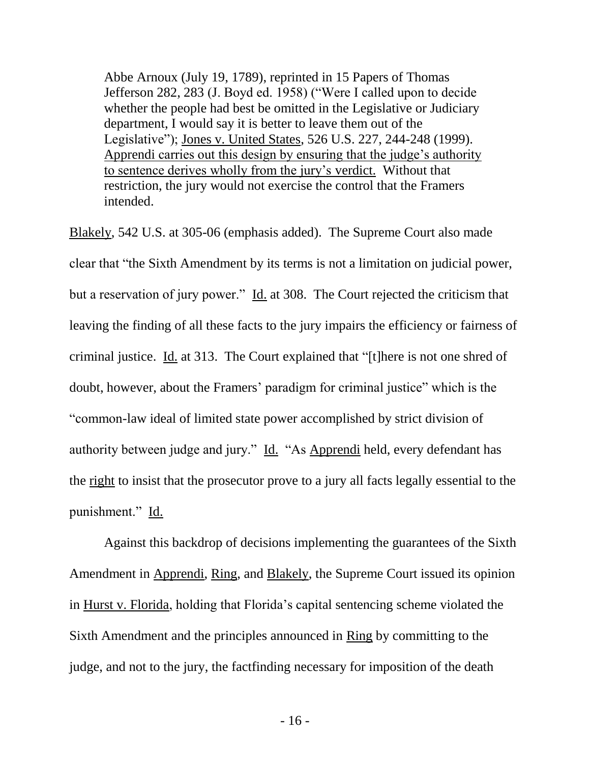Abbe Arnoux (July 19, 1789), reprinted in 15 Papers of Thomas Jefferson 282, 283 (J. Boyd ed. 1958) ("Were I called upon to decide whether the people had best be omitted in the Legislative or Judiciary department, I would say it is better to leave them out of the Legislative"); Jones v. United States, 526 U.S. 227, 244-248 (1999). Apprendi carries out this design by ensuring that the judge's authority to sentence derives wholly from the jury's verdict. Without that restriction, the jury would not exercise the control that the Framers intended.

Blakely, 542 U.S. at 305-06 (emphasis added). The Supreme Court also made clear that "the Sixth Amendment by its terms is not a limitation on judicial power, but a reservation of jury power." Id. at 308. The Court rejected the criticism that leaving the finding of all these facts to the jury impairs the efficiency or fairness of criminal justice. Id. at 313. The Court explained that "[t]here is not one shred of doubt, however, about the Framers' paradigm for criminal justice" which is the "common-law ideal of limited state power accomplished by strict division of authority between judge and jury." Id. "As Apprendi held, every defendant has the right to insist that the prosecutor prove to a jury all facts legally essential to the punishment." Id.

Against this backdrop of decisions implementing the guarantees of the Sixth Amendment in Apprendi, Ring, and Blakely, the Supreme Court issued its opinion in Hurst v. Florida, holding that Florida's capital sentencing scheme violated the Sixth Amendment and the principles announced in Ring by committing to the judge, and not to the jury, the factfinding necessary for imposition of the death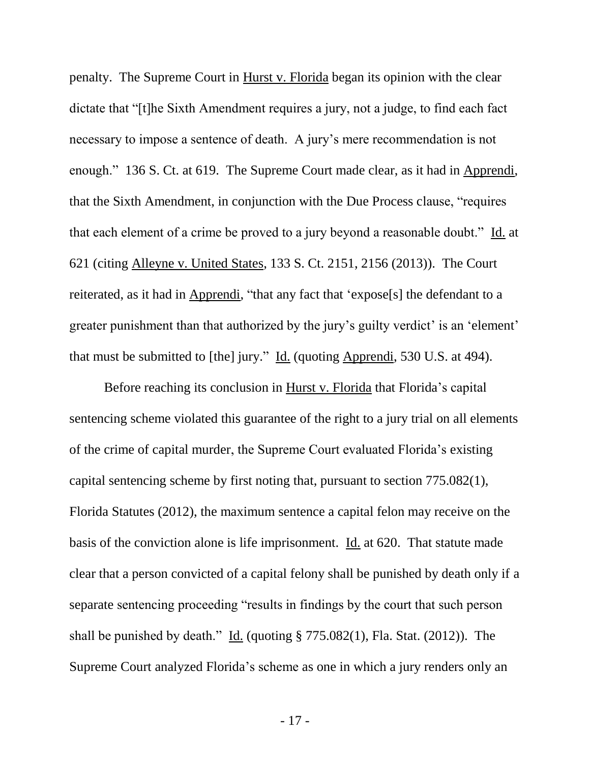penalty. The Supreme Court in Hurst v. Florida began its opinion with the clear dictate that "[t]he Sixth Amendment requires a jury, not a judge, to find each fact necessary to impose a sentence of death. A jury's mere recommendation is not enough." 136 S. Ct. at 619. The Supreme Court made clear, as it had in Apprendi, that the Sixth Amendment, in conjunction with the Due Process clause, "requires that each element of a crime be proved to a jury beyond a reasonable doubt." Id. at 621 (citing Alleyne v. United States, 133 S. Ct. 2151, 2156 (2013)). The Court reiterated, as it had in Apprendi, "that any fact that 'expose[s] the defendant to a greater punishment than that authorized by the jury's guilty verdict' is an 'element' that must be submitted to [the] jury." Id. (quoting Apprendi, 530 U.S. at 494).

Before reaching its conclusion in Hurst v. Florida that Florida's capital sentencing scheme violated this guarantee of the right to a jury trial on all elements of the crime of capital murder, the Supreme Court evaluated Florida's existing capital sentencing scheme by first noting that, pursuant to section 775.082(1), Florida Statutes (2012), the maximum sentence a capital felon may receive on the basis of the conviction alone is life imprisonment. Id. at 620. That statute made clear that a person convicted of a capital felony shall be punished by death only if a separate sentencing proceeding "results in findings by the court that such person shall be punished by death." Id. (quoting § 775.082(1), Fla. Stat. (2012)). The Supreme Court analyzed Florida's scheme as one in which a jury renders only an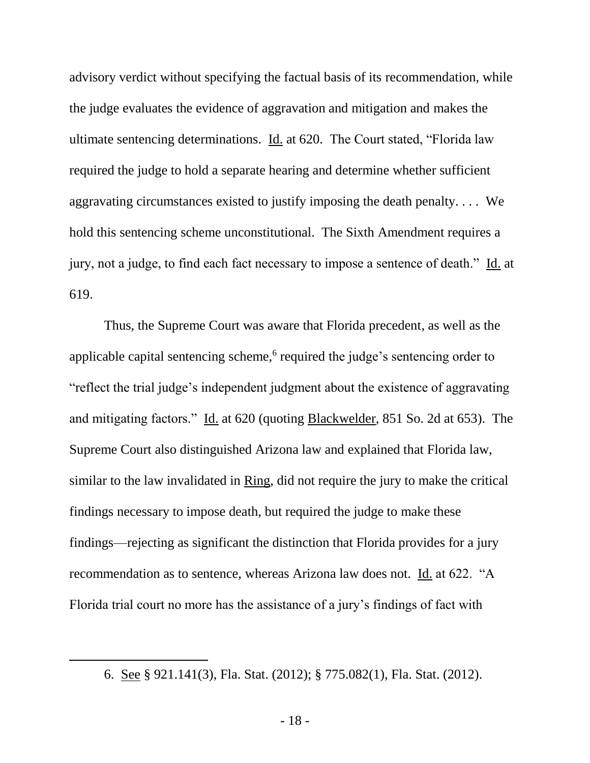advisory verdict without specifying the factual basis of its recommendation, while the judge evaluates the evidence of aggravation and mitigation and makes the ultimate sentencing determinations. Id. at 620. The Court stated, "Florida law required the judge to hold a separate hearing and determine whether sufficient aggravating circumstances existed to justify imposing the death penalty. . . . We hold this sentencing scheme unconstitutional. The Sixth Amendment requires a jury, not a judge, to find each fact necessary to impose a sentence of death." Id. at 619.

Thus, the Supreme Court was aware that Florida precedent, as well as the applicable capital sentencing scheme,<sup>6</sup> required the judge's sentencing order to "reflect the trial judge's independent judgment about the existence of aggravating and mitigating factors." Id. at 620 (quoting Blackwelder, 851 So. 2d at 653). The Supreme Court also distinguished Arizona law and explained that Florida law, similar to the law invalidated in Ring, did not require the jury to make the critical findings necessary to impose death, but required the judge to make these findings—rejecting as significant the distinction that Florida provides for a jury recommendation as to sentence, whereas Arizona law does not. Id. at 622. "A Florida trial court no more has the assistance of a jury's findings of fact with

 $\overline{a}$ 

<sup>6.</sup> See § 921.141(3), Fla. Stat. (2012); § 775.082(1), Fla. Stat. (2012).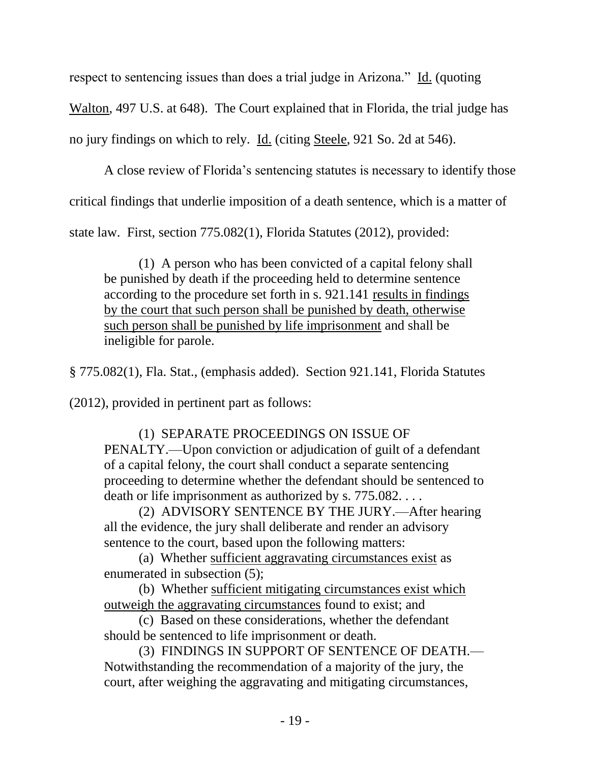respect to sentencing issues than does a trial judge in Arizona." Id. (quoting

Walton, 497 U.S. at 648). The Court explained that in Florida, the trial judge has

no jury findings on which to rely. Id. (citing Steele, 921 So. 2d at 546).

A close review of Florida's sentencing statutes is necessary to identify those critical findings that underlie imposition of a death sentence, which is a matter of state law. First, section 775.082(1), Florida Statutes (2012), provided:

(1) A person who has been convicted of a capital felony shall be punished by death if the proceeding held to determine sentence according to the procedure set forth in s. 921.141 results in findings by the court that such person shall be punished by death, otherwise such person shall be punished by life imprisonment and shall be ineligible for parole.

§ 775.082(1), Fla. Stat., (emphasis added). Section 921.141, Florida Statutes

(2012), provided in pertinent part as follows:

(1) SEPARATE PROCEEDINGS ON ISSUE OF PENALTY.—Upon conviction or adjudication of guilt of a defendant of a capital felony, the court shall conduct a separate sentencing proceeding to determine whether the defendant should be sentenced to death or life imprisonment as authorized by s. 775.082...

(2) ADVISORY SENTENCE BY THE JURY.—After hearing all the evidence, the jury shall deliberate and render an advisory sentence to the court, based upon the following matters:

(a) Whether sufficient aggravating circumstances exist as enumerated in subsection (5);

(b) Whether sufficient mitigating circumstances exist which outweigh the aggravating circumstances found to exist; and

(c) Based on these considerations, whether the defendant should be sentenced to life imprisonment or death.

(3) FINDINGS IN SUPPORT OF SENTENCE OF DEATH.— Notwithstanding the recommendation of a majority of the jury, the court, after weighing the aggravating and mitigating circumstances,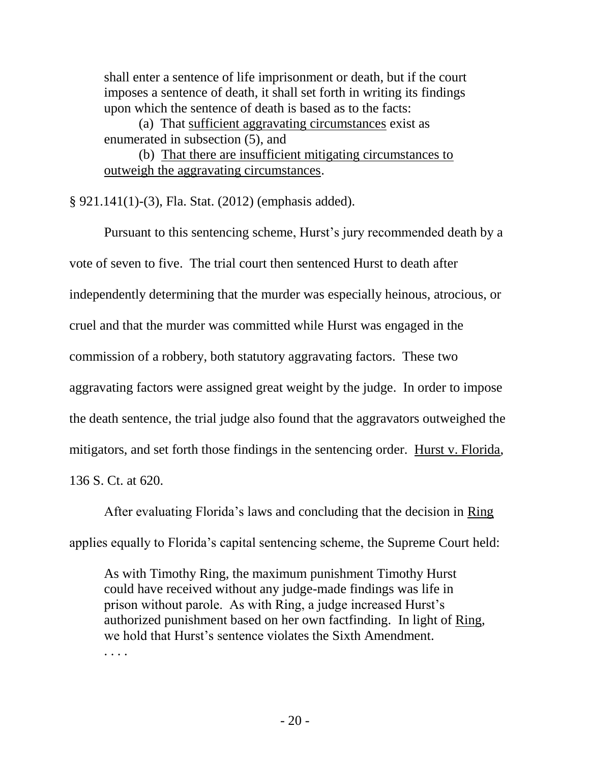shall enter a sentence of life imprisonment or death, but if the court imposes a sentence of death, it shall set forth in writing its findings upon which the sentence of death is based as to the facts:

(a) That sufficient aggravating circumstances exist as enumerated in subsection (5), and

(b) That there are insufficient mitigating circumstances to outweigh the aggravating circumstances.

§ 921.141(1)-(3), Fla. Stat. (2012) (emphasis added).

Pursuant to this sentencing scheme, Hurst's jury recommended death by a vote of seven to five. The trial court then sentenced Hurst to death after independently determining that the murder was especially heinous, atrocious, or cruel and that the murder was committed while Hurst was engaged in the commission of a robbery, both statutory aggravating factors. These two aggravating factors were assigned great weight by the judge. In order to impose the death sentence, the trial judge also found that the aggravators outweighed the mitigators, and set forth those findings in the sentencing order. Hurst v. Florida, 136 S. Ct. at 620.

After evaluating Florida's laws and concluding that the decision in Ring applies equally to Florida's capital sentencing scheme, the Supreme Court held:

As with Timothy Ring, the maximum punishment Timothy Hurst could have received without any judge-made findings was life in prison without parole. As with Ring, a judge increased Hurst's authorized punishment based on her own factfinding. In light of Ring, we hold that Hurst's sentence violates the Sixth Amendment. . . . .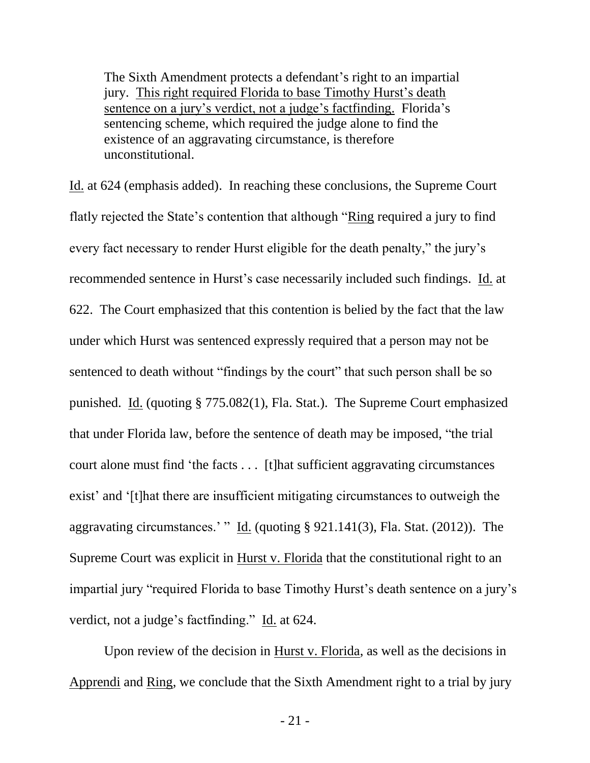The Sixth Amendment protects a defendant's right to an impartial jury. This right required Florida to base Timothy Hurst's death sentence on a jury's verdict, not a judge's factfinding. Florida's sentencing scheme, which required the judge alone to find the existence of an aggravating circumstance, is therefore unconstitutional.

Id. at 624 (emphasis added). In reaching these conclusions, the Supreme Court flatly rejected the State's contention that although "Ring required a jury to find every fact necessary to render Hurst eligible for the death penalty," the jury's recommended sentence in Hurst's case necessarily included such findings. Id. at 622. The Court emphasized that this contention is belied by the fact that the law under which Hurst was sentenced expressly required that a person may not be sentenced to death without "findings by the court" that such person shall be so punished. Id. (quoting § 775.082(1), Fla. Stat.). The Supreme Court emphasized that under Florida law, before the sentence of death may be imposed, "the trial court alone must find 'the facts . . . [t]hat sufficient aggravating circumstances exist' and '[t]hat there are insufficient mitigating circumstances to outweigh the aggravating circumstances.' " Id. (quoting § 921.141(3), Fla. Stat. (2012)). The Supreme Court was explicit in Hurst v. Florida that the constitutional right to an impartial jury "required Florida to base Timothy Hurst's death sentence on a jury's verdict, not a judge's factfinding." Id. at 624.

Upon review of the decision in Hurst v. Florida, as well as the decisions in Apprendi and Ring, we conclude that the Sixth Amendment right to a trial by jury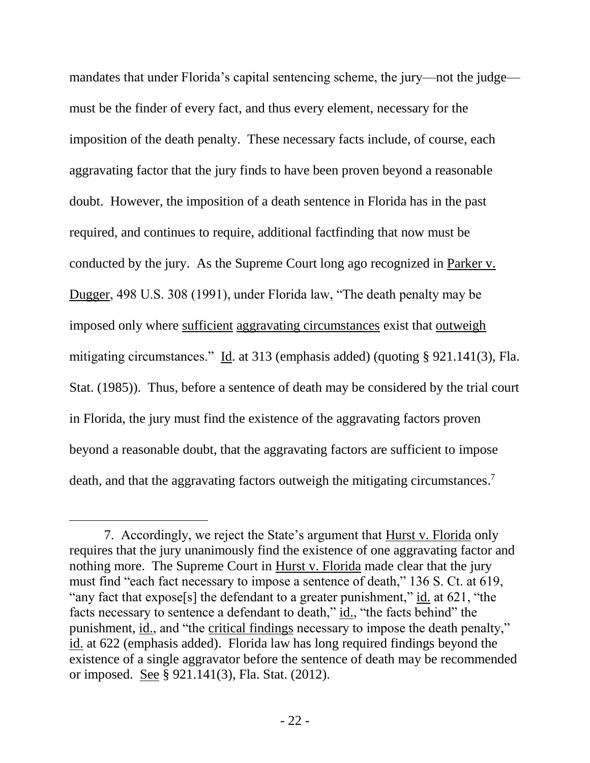mandates that under Florida's capital sentencing scheme, the jury—not the judge must be the finder of every fact, and thus every element, necessary for the imposition of the death penalty. These necessary facts include, of course, each aggravating factor that the jury finds to have been proven beyond a reasonable doubt. However, the imposition of a death sentence in Florida has in the past required, and continues to require, additional factfinding that now must be conducted by the jury. As the Supreme Court long ago recognized in Parker v. Dugger, 498 U.S. 308 (1991), under Florida law, "The death penalty may be imposed only where sufficient aggravating circumstances exist that outweigh mitigating circumstances." Id. at 313 (emphasis added) (quoting § 921.141(3), Fla. Stat. (1985)). Thus, before a sentence of death may be considered by the trial court in Florida, the jury must find the existence of the aggravating factors proven beyond a reasonable doubt, that the aggravating factors are sufficient to impose death, and that the aggravating factors outweigh the mitigating circumstances.<sup>7</sup>

<sup>7.</sup> Accordingly, we reject the State's argument that Hurst v. Florida only requires that the jury unanimously find the existence of one aggravating factor and nothing more. The Supreme Court in Hurst v. Florida made clear that the jury must find "each fact necessary to impose a sentence of death," 136 S. Ct. at 619, "any fact that expose[s] the defendant to a greater punishment," id. at 621, "the facts necessary to sentence a defendant to death," id., "the facts behind" the punishment, id., and "the critical findings necessary to impose the death penalty," id. at 622 (emphasis added). Florida law has long required findings beyond the existence of a single aggravator before the sentence of death may be recommended or imposed. See § 921.141(3), Fla. Stat. (2012).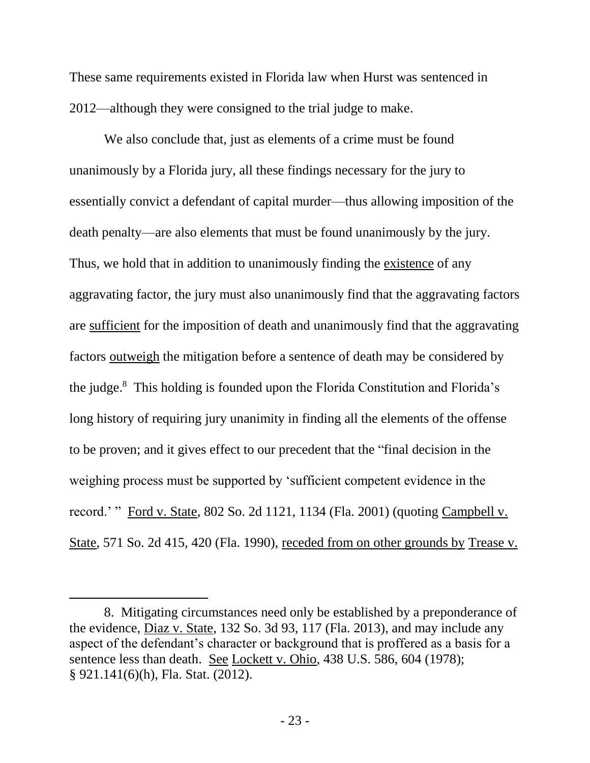These same requirements existed in Florida law when Hurst was sentenced in 2012—although they were consigned to the trial judge to make.

We also conclude that, just as elements of a crime must be found unanimously by a Florida jury, all these findings necessary for the jury to essentially convict a defendant of capital murder—thus allowing imposition of the death penalty—are also elements that must be found unanimously by the jury. Thus, we hold that in addition to unanimously finding the existence of any aggravating factor, the jury must also unanimously find that the aggravating factors are sufficient for the imposition of death and unanimously find that the aggravating factors outweigh the mitigation before a sentence of death may be considered by the judge. <sup>8</sup> This holding is founded upon the Florida Constitution and Florida's long history of requiring jury unanimity in finding all the elements of the offense to be proven; and it gives effect to our precedent that the "final decision in the weighing process must be supported by 'sufficient competent evidence in the record.' " Ford v. State, 802 So. 2d 1121, 1134 (Fla. 2001) (quoting Campbell v. State, 571 So. 2d 415, 420 (Fla. 1990), receded from on other grounds by Trease v.

 $\overline{a}$ 

<sup>8.</sup> Mitigating circumstances need only be established by a preponderance of the evidence, Diaz v. State, 132 So. 3d 93, 117 (Fla. 2013), and may include any aspect of the defendant's character or background that is proffered as a basis for a sentence less than death. See Lockett v. Ohio, 438 U.S. 586, 604 (1978); § 921.141(6)(h), Fla. Stat. (2012).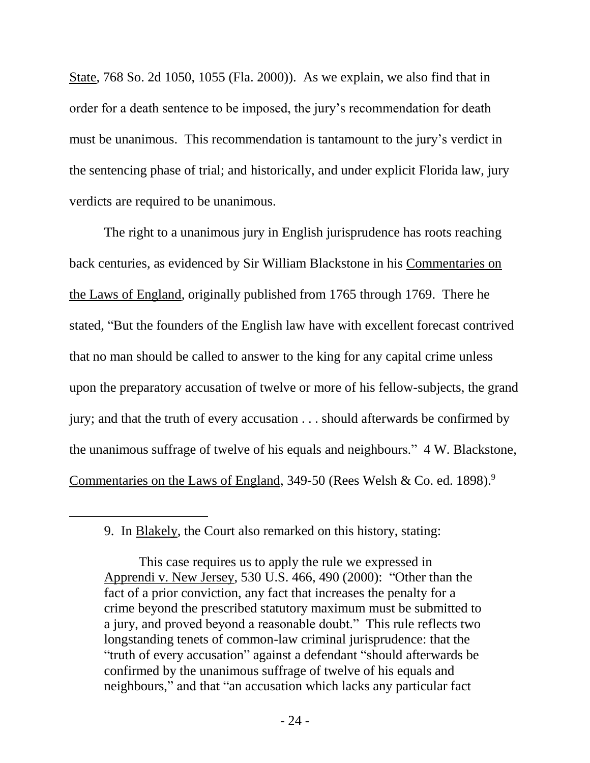State, 768 So. 2d 1050, 1055 (Fla. 2000)). As we explain, we also find that in order for a death sentence to be imposed, the jury's recommendation for death must be unanimous. This recommendation is tantamount to the jury's verdict in the sentencing phase of trial; and historically, and under explicit Florida law, jury verdicts are required to be unanimous.

The right to a unanimous jury in English jurisprudence has roots reaching back centuries, as evidenced by Sir William Blackstone in his Commentaries on the Laws of England, originally published from 1765 through 1769. There he stated, "But the founders of the English law have with excellent forecast contrived that no man should be called to answer to the king for any capital crime unless upon the preparatory accusation of twelve or more of his fellow-subjects, the grand jury; and that the truth of every accusation . . . should afterwards be confirmed by the unanimous suffrage of twelve of his equals and neighbours." 4 W. Blackstone, Commentaries on the Laws of England, 349-50 (Rees Welsh & Co. ed. 1898).<sup>9</sup>

<sup>9.</sup> In Blakely, the Court also remarked on this history, stating:

This case requires us to apply the rule we expressed in Apprendi v. New Jersey, 530 U.S. 466, 490 (2000): "Other than the fact of a prior conviction, any fact that increases the penalty for a crime beyond the prescribed statutory maximum must be submitted to a jury, and proved beyond a reasonable doubt." This rule reflects two longstanding tenets of common-law criminal jurisprudence: that the "truth of every accusation" against a defendant "should afterwards be confirmed by the unanimous suffrage of twelve of his equals and neighbours," and that "an accusation which lacks any particular fact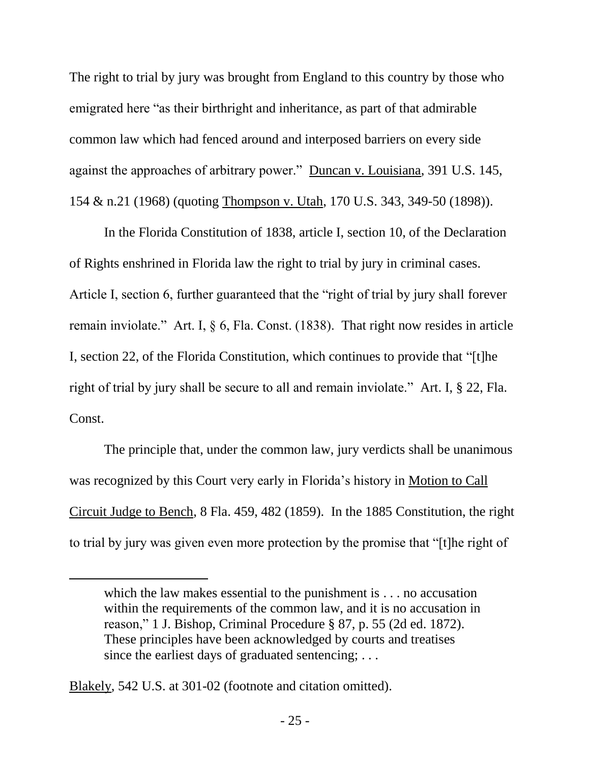The right to trial by jury was brought from England to this country by those who emigrated here "as their birthright and inheritance, as part of that admirable common law which had fenced around and interposed barriers on every side against the approaches of arbitrary power." Duncan v. Louisiana, 391 U.S. 145, 154 & n.21 (1968) (quoting Thompson v. Utah, 170 U.S. 343, 349-50 (1898)).

In the Florida Constitution of 1838, article I, section 10, of the Declaration of Rights enshrined in Florida law the right to trial by jury in criminal cases. Article I, section 6, further guaranteed that the "right of trial by jury shall forever remain inviolate." Art. I, § 6, Fla. Const. (1838). That right now resides in article I, section 22, of the Florida Constitution, which continues to provide that "[t]he right of trial by jury shall be secure to all and remain inviolate." Art. I, § 22, Fla. Const.

The principle that, under the common law, jury verdicts shall be unanimous was recognized by this Court very early in Florida's history in Motion to Call Circuit Judge to Bench, 8 Fla. 459, 482 (1859). In the 1885 Constitution, the right to trial by jury was given even more protection by the promise that "[t]he right of

Blakely, 542 U.S. at 301-02 (footnote and citation omitted).

which the law makes essential to the punishment is . . . no accusation within the requirements of the common law, and it is no accusation in reason," 1 J. Bishop, Criminal Procedure § 87, p. 55 (2d ed. 1872). These principles have been acknowledged by courts and treatises since the earliest days of graduated sentencing; ...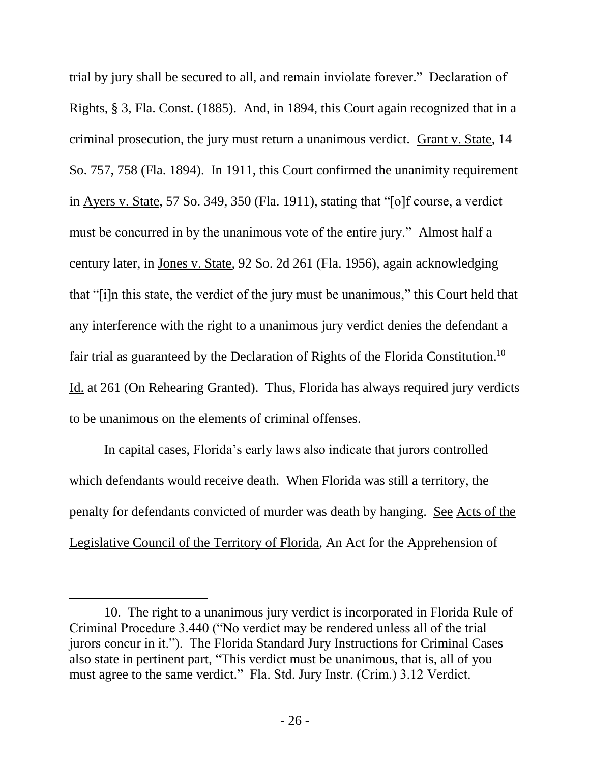trial by jury shall be secured to all, and remain inviolate forever." Declaration of Rights, § 3, Fla. Const. (1885). And, in 1894, this Court again recognized that in a criminal prosecution, the jury must return a unanimous verdict. Grant v. State, 14 So. 757, 758 (Fla. 1894). In 1911, this Court confirmed the unanimity requirement in Ayers v. State, 57 So. 349, 350 (Fla. 1911), stating that "[o]f course, a verdict must be concurred in by the unanimous vote of the entire jury." Almost half a century later, in Jones v. State, 92 So. 2d 261 (Fla. 1956), again acknowledging that "[i]n this state, the verdict of the jury must be unanimous," this Court held that any interference with the right to a unanimous jury verdict denies the defendant a fair trial as guaranteed by the Declaration of Rights of the Florida Constitution.<sup>10</sup> Id. at 261 (On Rehearing Granted). Thus, Florida has always required jury verdicts to be unanimous on the elements of criminal offenses.

In capital cases, Florida's early laws also indicate that jurors controlled which defendants would receive death. When Florida was still a territory, the penalty for defendants convicted of murder was death by hanging. See Acts of the Legislative Council of the Territory of Florida, An Act for the Apprehension of

 $\overline{a}$ 

<sup>10.</sup> The right to a unanimous jury verdict is incorporated in Florida Rule of Criminal Procedure 3.440 ("No verdict may be rendered unless all of the trial jurors concur in it."). The Florida Standard Jury Instructions for Criminal Cases also state in pertinent part, "This verdict must be unanimous, that is, all of you must agree to the same verdict." Fla. Std. Jury Instr. (Crim.) 3.12 Verdict.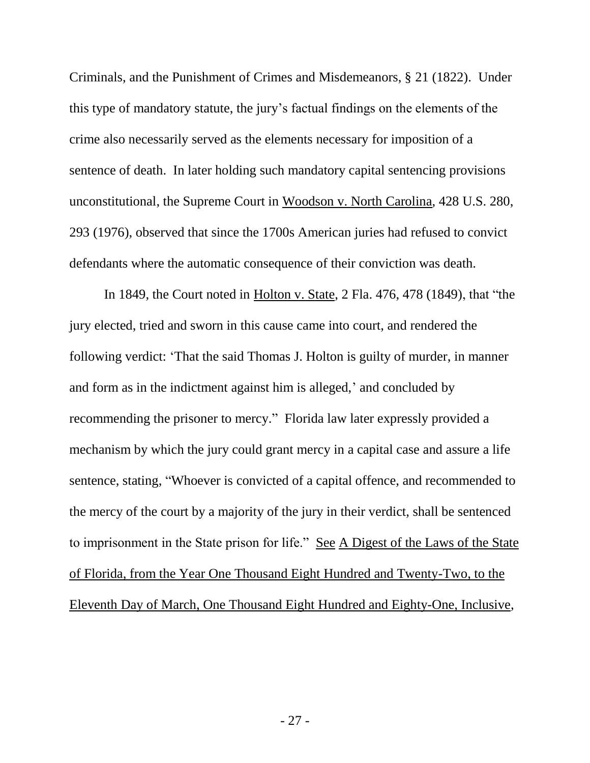Criminals, and the Punishment of Crimes and Misdemeanors, § 21 (1822). Under this type of mandatory statute, the jury's factual findings on the elements of the crime also necessarily served as the elements necessary for imposition of a sentence of death. In later holding such mandatory capital sentencing provisions unconstitutional, the Supreme Court in Woodson v. North Carolina, 428 U.S. 280, 293 (1976), observed that since the 1700s American juries had refused to convict defendants where the automatic consequence of their conviction was death.

In 1849, the Court noted in Holton v. State, 2 Fla. 476, 478 (1849), that "the jury elected, tried and sworn in this cause came into court, and rendered the following verdict: 'That the said Thomas J. Holton is guilty of murder, in manner and form as in the indictment against him is alleged,' and concluded by recommending the prisoner to mercy." Florida law later expressly provided a mechanism by which the jury could grant mercy in a capital case and assure a life sentence, stating, "Whoever is convicted of a capital offence, and recommended to the mercy of the court by a majority of the jury in their verdict, shall be sentenced to imprisonment in the State prison for life." See A Digest of the Laws of the State of Florida, from the Year One Thousand Eight Hundred and Twenty-Two, to the Eleventh Day of March, One Thousand Eight Hundred and Eighty-One, Inclusive,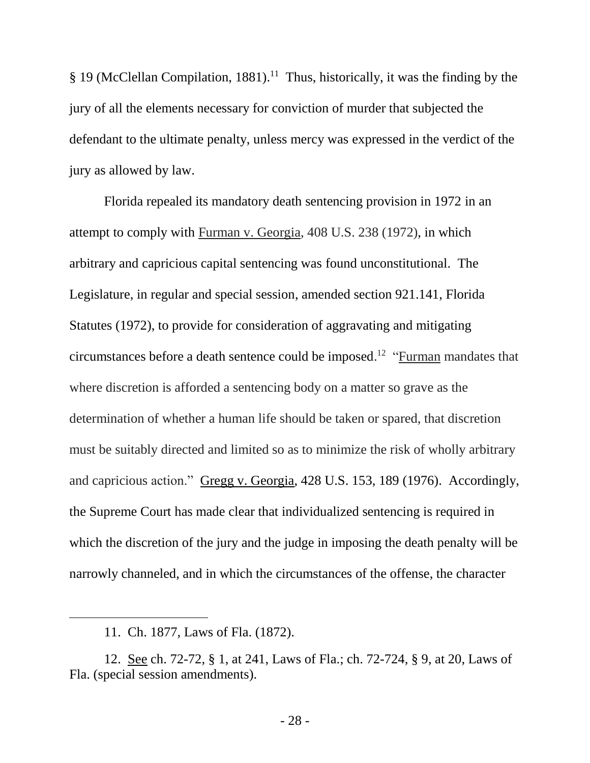§ 19 (McClellan Compilation, 1881).<sup>11</sup> Thus, historically, it was the finding by the jury of all the elements necessary for conviction of murder that subjected the defendant to the ultimate penalty, unless mercy was expressed in the verdict of the jury as allowed by law.

Florida repealed its mandatory death sentencing provision in 1972 in an attempt to comply with Furman v. Georgia, 408 U.S. 238 (1972), in which arbitrary and capricious capital sentencing was found unconstitutional. The Legislature, in regular and special session, amended section 921.141, Florida Statutes (1972), to provide for consideration of aggravating and mitigating circumstances before a death sentence could be imposed.<sup>12</sup> "Furman mandates that where discretion is afforded a sentencing body on a matter so grave as the determination of whether a human life should be taken or spared, that discretion must be suitably directed and limited so as to minimize the risk of wholly arbitrary and capricious action." Gregg v. Georgia, 428 U.S. 153, 189 (1976). Accordingly, the Supreme Court has made clear that individualized sentencing is required in which the discretion of the jury and the judge in imposing the death penalty will be narrowly channeled, and in which the circumstances of the offense, the character

 $\overline{a}$ 

<sup>11.</sup> Ch. 1877, Laws of Fla. (1872).

<sup>12.</sup> See ch. 72-72, § 1, at 241, Laws of Fla.; ch. 72-724, § 9, at 20, Laws of Fla. (special session amendments).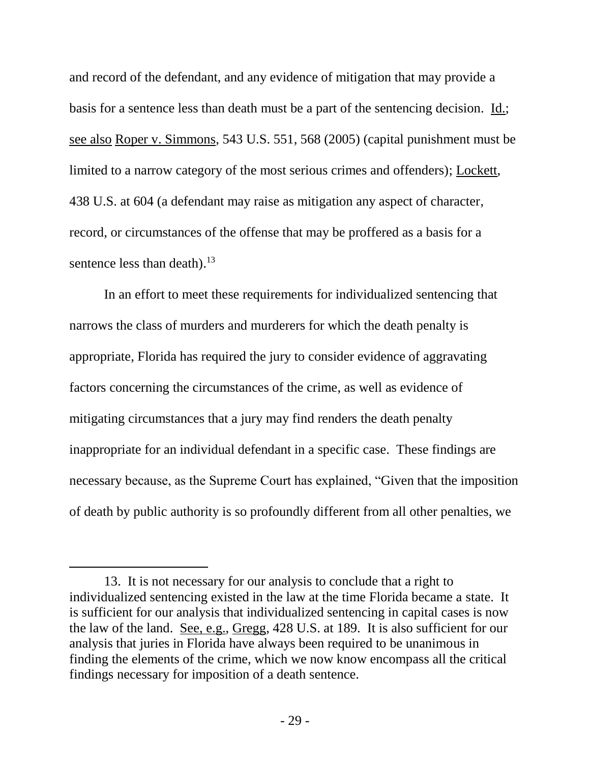and record of the defendant, and any evidence of mitigation that may provide a basis for a sentence less than death must be a part of the sentencing decision. Id.; see also Roper v. Simmons, 543 U.S. 551, 568 (2005) (capital punishment must be limited to a narrow category of the most serious crimes and offenders); Lockett, 438 U.S. at 604 (a defendant may raise as mitigation any aspect of character, record, or circumstances of the offense that may be proffered as a basis for a sentence less than death).<sup>13</sup>

In an effort to meet these requirements for individualized sentencing that narrows the class of murders and murderers for which the death penalty is appropriate, Florida has required the jury to consider evidence of aggravating factors concerning the circumstances of the crime, as well as evidence of mitigating circumstances that a jury may find renders the death penalty inappropriate for an individual defendant in a specific case. These findings are necessary because, as the Supreme Court has explained, "Given that the imposition of death by public authority is so profoundly different from all other penalties, we

<sup>13.</sup> It is not necessary for our analysis to conclude that a right to individualized sentencing existed in the law at the time Florida became a state. It is sufficient for our analysis that individualized sentencing in capital cases is now the law of the land. See, e.g., Gregg, 428 U.S. at 189. It is also sufficient for our analysis that juries in Florida have always been required to be unanimous in finding the elements of the crime, which we now know encompass all the critical findings necessary for imposition of a death sentence.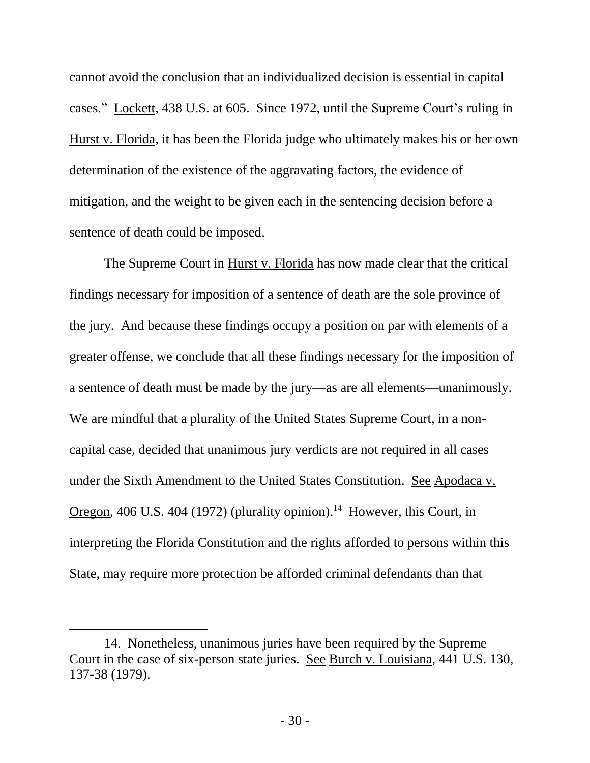cannot avoid the conclusion that an individualized decision is essential in capital cases." Lockett, 438 U.S. at 605. Since 1972, until the Supreme Court's ruling in Hurst v. Florida, it has been the Florida judge who ultimately makes his or her own determination of the existence of the aggravating factors, the evidence of mitigation, and the weight to be given each in the sentencing decision before a sentence of death could be imposed.

The Supreme Court in Hurst v. Florida has now made clear that the critical findings necessary for imposition of a sentence of death are the sole province of the jury. And because these findings occupy a position on par with elements of a greater offense, we conclude that all these findings necessary for the imposition of a sentence of death must be made by the jury—as are all elements—unanimously. We are mindful that a plurality of the United States Supreme Court, in a noncapital case, decided that unanimous jury verdicts are not required in all cases under the Sixth Amendment to the United States Constitution. See Apodaca v. Oregon, 406 U.S. 404 (1972) (plurality opinion).<sup>14</sup> However, this Court, in interpreting the Florida Constitution and the rights afforded to persons within this State, may require more protection be afforded criminal defendants than that

 $\overline{a}$ 

<sup>14.</sup> Nonetheless, unanimous juries have been required by the Supreme Court in the case of six-person state juries. See Burch v. Louisiana, 441 U.S. 130, 137-38 (1979).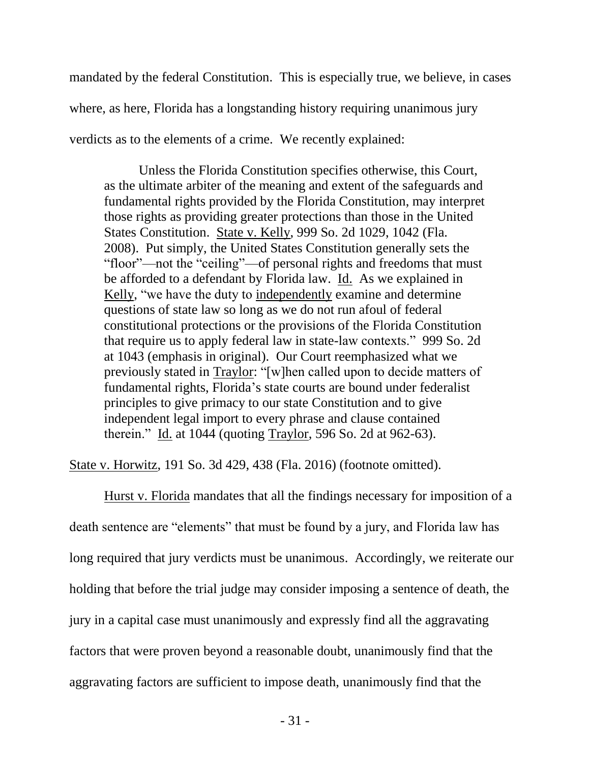mandated by the federal Constitution. This is especially true, we believe, in cases where, as here, Florida has a longstanding history requiring unanimous jury verdicts as to the elements of a crime. We recently explained:

Unless the Florida Constitution specifies otherwise, this Court, as the ultimate arbiter of the meaning and extent of the safeguards and fundamental rights provided by the Florida Constitution, may interpret those rights as providing greater protections than those in the United States Constitution. State v. Kelly, 999 So. 2d 1029, 1042 (Fla. 2008). Put simply, the United States Constitution generally sets the "floor"—not the "ceiling"—of personal rights and freedoms that must be afforded to a defendant by Florida law. Id. As we explained in Kelly, "we have the duty to independently examine and determine questions of state law so long as we do not run afoul of federal constitutional protections or the provisions of the Florida Constitution that require us to apply federal law in state-law contexts." 999 So. 2d at 1043 (emphasis in original). Our Court reemphasized what we previously stated in Traylor: "[w]hen called upon to decide matters of fundamental rights, Florida's state courts are bound under federalist principles to give primacy to our state Constitution and to give independent legal import to every phrase and clause contained therein." Id. at 1044 (quoting Traylor, 596 So. 2d at 962-63).

State v. Horwitz, 191 So. 3d 429, 438 (Fla. 2016) (footnote omitted).

Hurst v. Florida mandates that all the findings necessary for imposition of a death sentence are "elements" that must be found by a jury, and Florida law has long required that jury verdicts must be unanimous. Accordingly, we reiterate our holding that before the trial judge may consider imposing a sentence of death, the jury in a capital case must unanimously and expressly find all the aggravating factors that were proven beyond a reasonable doubt, unanimously find that the aggravating factors are sufficient to impose death, unanimously find that the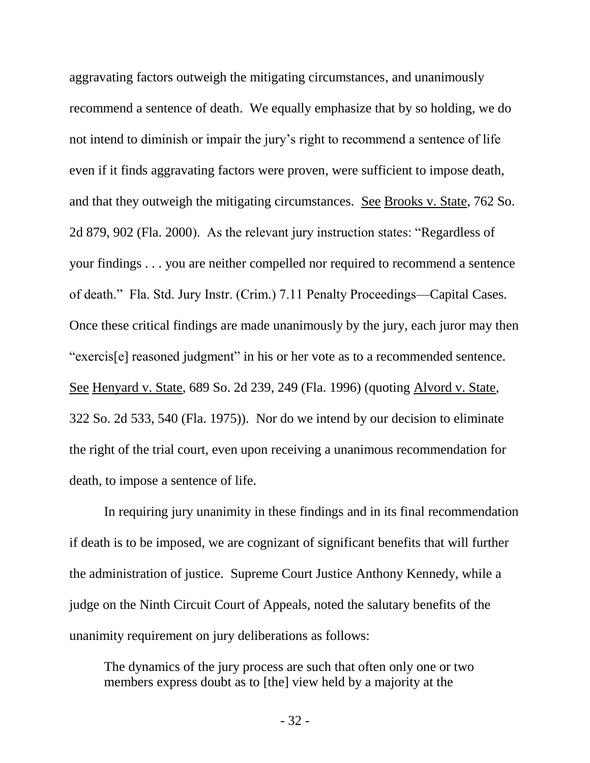aggravating factors outweigh the mitigating circumstances, and unanimously recommend a sentence of death. We equally emphasize that by so holding, we do not intend to diminish or impair the jury's right to recommend a sentence of life even if it finds aggravating factors were proven, were sufficient to impose death, and that they outweigh the mitigating circumstances. See Brooks v. State, 762 So. 2d 879, 902 (Fla. 2000). As the relevant jury instruction states: "Regardless of your findings . . . you are neither compelled nor required to recommend a sentence of death." Fla. Std. Jury Instr. (Crim.) 7.11 Penalty Proceedings—Capital Cases. Once these critical findings are made unanimously by the jury, each juror may then "exercis[e] reasoned judgment" in his or her vote as to a recommended sentence. See Henyard v. State, 689 So. 2d 239, 249 (Fla. 1996) (quoting Alvord v. State, 322 So. 2d 533, 540 (Fla. 1975)). Nor do we intend by our decision to eliminate the right of the trial court, even upon receiving a unanimous recommendation for death, to impose a sentence of life.

In requiring jury unanimity in these findings and in its final recommendation if death is to be imposed, we are cognizant of significant benefits that will further the administration of justice. Supreme Court Justice Anthony Kennedy, while a judge on the Ninth Circuit Court of Appeals, noted the salutary benefits of the unanimity requirement on jury deliberations as follows:

The dynamics of the jury process are such that often only one or two members express doubt as to [the] view held by a majority at the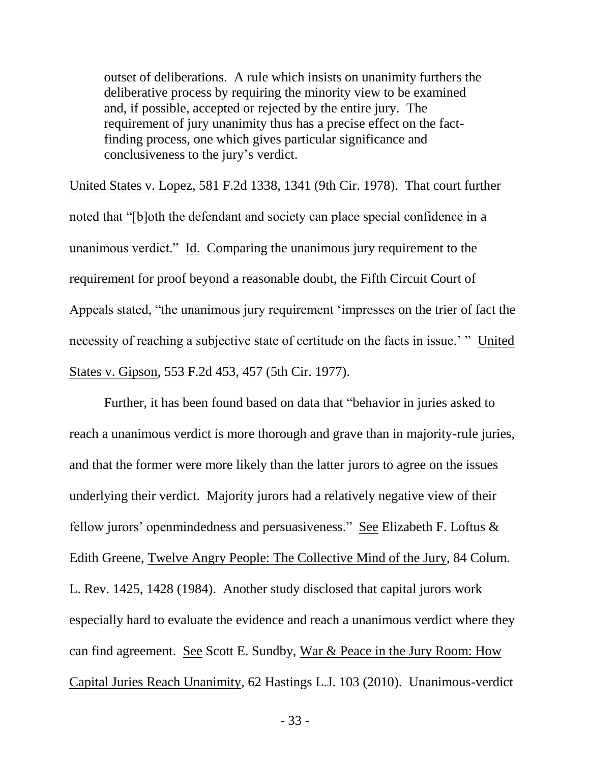outset of deliberations. A rule which insists on unanimity furthers the deliberative process by requiring the minority view to be examined and, if possible, accepted or rejected by the entire jury. The requirement of jury unanimity thus has a precise effect on the factfinding process, one which gives particular significance and conclusiveness to the jury's verdict.

United States v. Lopez, 581 F.2d 1338, 1341 (9th Cir. 1978). That court further noted that "[b]oth the defendant and society can place special confidence in a unanimous verdict." Id. Comparing the unanimous jury requirement to the requirement for proof beyond a reasonable doubt, the Fifth Circuit Court of Appeals stated, "the unanimous jury requirement 'impresses on the trier of fact the necessity of reaching a subjective state of certitude on the facts in issue.' " United States v. Gipson, 553 F.2d 453, 457 (5th Cir. 1977).

Further, it has been found based on data that "behavior in juries asked to reach a unanimous verdict is more thorough and grave than in majority-rule juries, and that the former were more likely than the latter jurors to agree on the issues underlying their verdict. Majority jurors had a relatively negative view of their fellow jurors' openmindedness and persuasiveness." See Elizabeth F. Loftus & Edith Greene, Twelve Angry People: The Collective Mind of the Jury, 84 Colum. L. Rev. 1425, 1428 (1984). Another study disclosed that capital jurors work especially hard to evaluate the evidence and reach a unanimous verdict where they can find agreement. See Scott E. Sundby, War & Peace in the Jury Room: How Capital Juries Reach Unanimity, 62 Hastings L.J. 103 (2010). Unanimous-verdict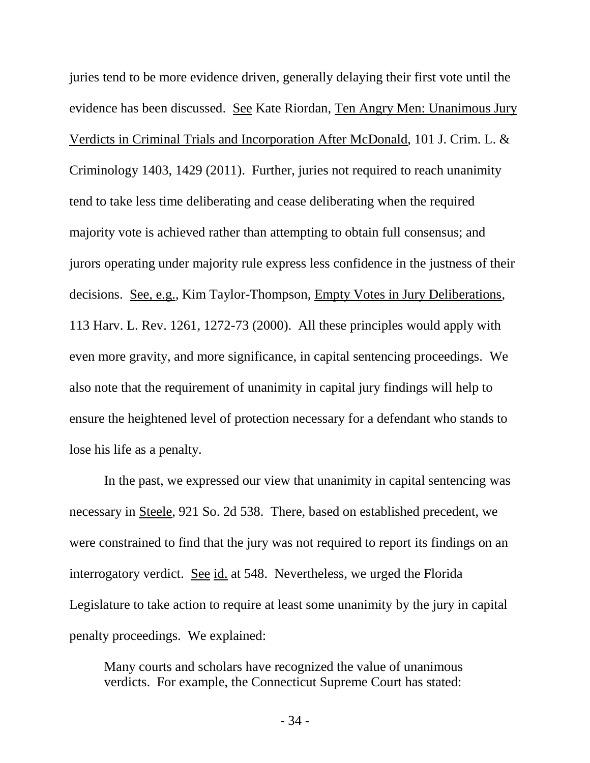juries tend to be more evidence driven, generally delaying their first vote until the evidence has been discussed. See Kate Riordan, Ten Angry Men: Unanimous Jury Verdicts in Criminal Trials and Incorporation After McDonald, 101 J. Crim. L. & Criminology 1403, 1429 (2011). Further, juries not required to reach unanimity tend to take less time deliberating and cease deliberating when the required majority vote is achieved rather than attempting to obtain full consensus; and jurors operating under majority rule express less confidence in the justness of their decisions. See, e.g., Kim Taylor-Thompson, Empty Votes in Jury Deliberations, 113 Harv. L. Rev. 1261, 1272-73 (2000). All these principles would apply with even more gravity, and more significance, in capital sentencing proceedings. We also note that the requirement of unanimity in capital jury findings will help to ensure the heightened level of protection necessary for a defendant who stands to lose his life as a penalty.

In the past, we expressed our view that unanimity in capital sentencing was necessary in Steele, 921 So. 2d 538. There, based on established precedent, we were constrained to find that the jury was not required to report its findings on an interrogatory verdict. See id. at 548. Nevertheless, we urged the Florida Legislature to take action to require at least some unanimity by the jury in capital penalty proceedings. We explained:

Many courts and scholars have recognized the value of unanimous verdicts. For example, the Connecticut Supreme Court has stated: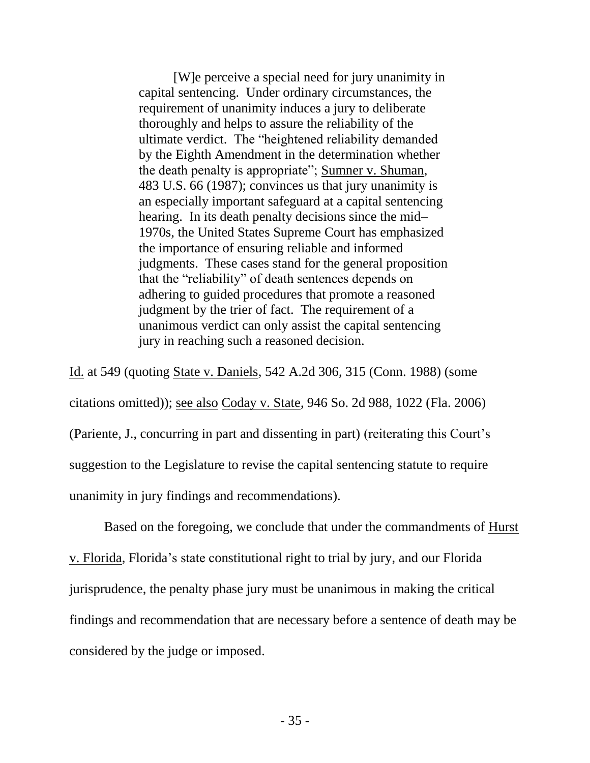[W]e perceive a special need for jury unanimity in capital sentencing. Under ordinary circumstances, the requirement of unanimity induces a jury to deliberate thoroughly and helps to assure the reliability of the ultimate verdict. The "heightened reliability demanded by the Eighth Amendment in the determination whether the death penalty is appropriate"; Sumner v. Shuman, 483 U.S. 66 (1987); convinces us that jury unanimity is an especially important safeguard at a capital sentencing hearing. In its death penalty decisions since the mid-1970s, the United States Supreme Court has emphasized the importance of ensuring reliable and informed judgments. These cases stand for the general proposition that the "reliability" of death sentences depends on adhering to guided procedures that promote a reasoned judgment by the trier of fact. The requirement of a unanimous verdict can only assist the capital sentencing jury in reaching such a reasoned decision.

Id. at 549 (quoting State v. Daniels, 542 A.2d 306, 315 (Conn. 1988) (some citations omitted)); see also Coday v. State, 946 So. 2d 988, 1022 (Fla. 2006) (Pariente, J., concurring in part and dissenting in part) (reiterating this Court's suggestion to the Legislature to revise the capital sentencing statute to require unanimity in jury findings and recommendations).

Based on the foregoing, we conclude that under the commandments of Hurst v. Florida, Florida's state constitutional right to trial by jury, and our Florida jurisprudence, the penalty phase jury must be unanimous in making the critical findings and recommendation that are necessary before a sentence of death may be considered by the judge or imposed.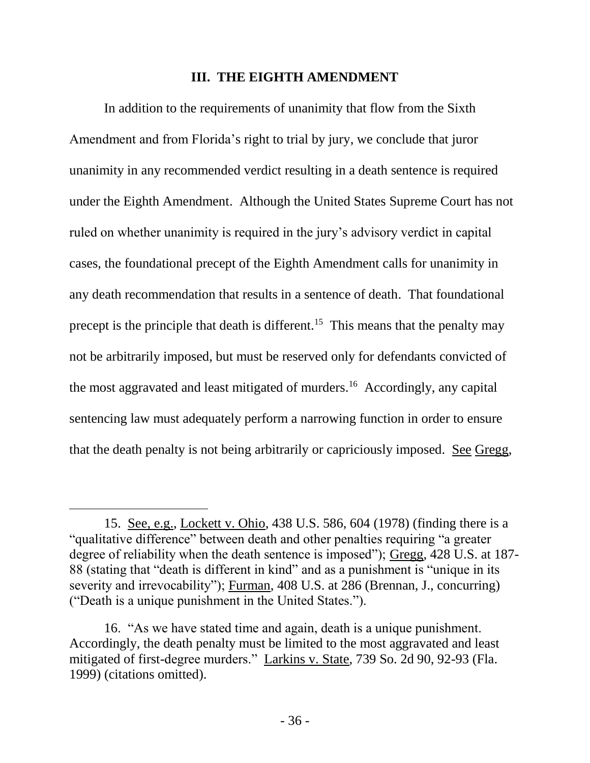#### **III. THE EIGHTH AMENDMENT**

In addition to the requirements of unanimity that flow from the Sixth Amendment and from Florida's right to trial by jury, we conclude that juror unanimity in any recommended verdict resulting in a death sentence is required under the Eighth Amendment. Although the United States Supreme Court has not ruled on whether unanimity is required in the jury's advisory verdict in capital cases, the foundational precept of the Eighth Amendment calls for unanimity in any death recommendation that results in a sentence of death. That foundational precept is the principle that death is different.<sup>15</sup> This means that the penalty may not be arbitrarily imposed, but must be reserved only for defendants convicted of the most aggravated and least mitigated of murders.<sup>16</sup> Accordingly, any capital sentencing law must adequately perform a narrowing function in order to ensure that the death penalty is not being arbitrarily or capriciously imposed. See Gregg,

<sup>15.</sup> See, e.g., Lockett v. Ohio, 438 U.S. 586, 604 (1978) (finding there is a "qualitative difference" between death and other penalties requiring "a greater degree of reliability when the death sentence is imposed"); Gregg, 428 U.S. at 187- 88 (stating that "death is different in kind" and as a punishment is "unique in its severity and irrevocability"); Furman, 408 U.S. at 286 (Brennan, J., concurring) ("Death is a unique punishment in the United States.").

<sup>16. &</sup>quot;As we have stated time and again, death is a unique punishment. Accordingly, the death penalty must be limited to the most aggravated and least mitigated of first-degree murders." Larkins v. State, 739 So. 2d 90, 92-93 (Fla. 1999) (citations omitted).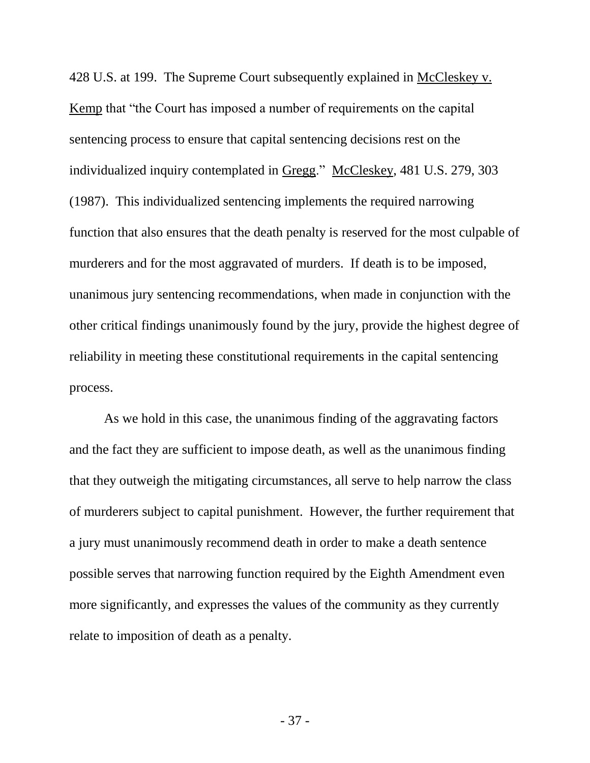428 U.S. at 199. The Supreme Court subsequently explained in McCleskey v. Kemp that "the Court has imposed a number of requirements on the capital sentencing process to ensure that capital sentencing decisions rest on the individualized inquiry contemplated in Gregg." McCleskey, 481 U.S. 279, 303 (1987). This individualized sentencing implements the required narrowing function that also ensures that the death penalty is reserved for the most culpable of murderers and for the most aggravated of murders. If death is to be imposed, unanimous jury sentencing recommendations, when made in conjunction with the other critical findings unanimously found by the jury, provide the highest degree of reliability in meeting these constitutional requirements in the capital sentencing process.

As we hold in this case, the unanimous finding of the aggravating factors and the fact they are sufficient to impose death, as well as the unanimous finding that they outweigh the mitigating circumstances, all serve to help narrow the class of murderers subject to capital punishment. However, the further requirement that a jury must unanimously recommend death in order to make a death sentence possible serves that narrowing function required by the Eighth Amendment even more significantly, and expresses the values of the community as they currently relate to imposition of death as a penalty.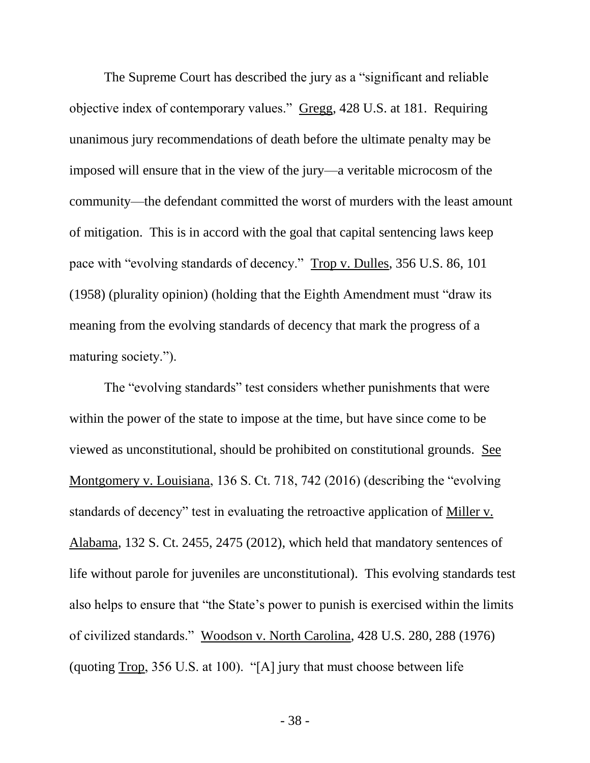The Supreme Court has described the jury as a "significant and reliable objective index of contemporary values." Gregg, 428 U.S. at 181. Requiring unanimous jury recommendations of death before the ultimate penalty may be imposed will ensure that in the view of the jury—a veritable microcosm of the community—the defendant committed the worst of murders with the least amount of mitigation. This is in accord with the goal that capital sentencing laws keep pace with "evolving standards of decency." Trop v. Dulles, 356 U.S. 86, 101 (1958) (plurality opinion) (holding that the Eighth Amendment must "draw its meaning from the evolving standards of decency that mark the progress of a maturing society.").

The "evolving standards" test considers whether punishments that were within the power of the state to impose at the time, but have since come to be viewed as unconstitutional, should be prohibited on constitutional grounds. See Montgomery v. Louisiana, 136 S. Ct. 718, 742 (2016) (describing the "evolving standards of decency" test in evaluating the retroactive application of Miller v. Alabama, 132 S. Ct. 2455, 2475 (2012), which held that mandatory sentences of life without parole for juveniles are unconstitutional). This evolving standards test also helps to ensure that "the State's power to punish is exercised within the limits of civilized standards." Woodson v. North Carolina, 428 U.S. 280, 288 (1976) (quoting Trop, 356 U.S. at 100). "[A] jury that must choose between life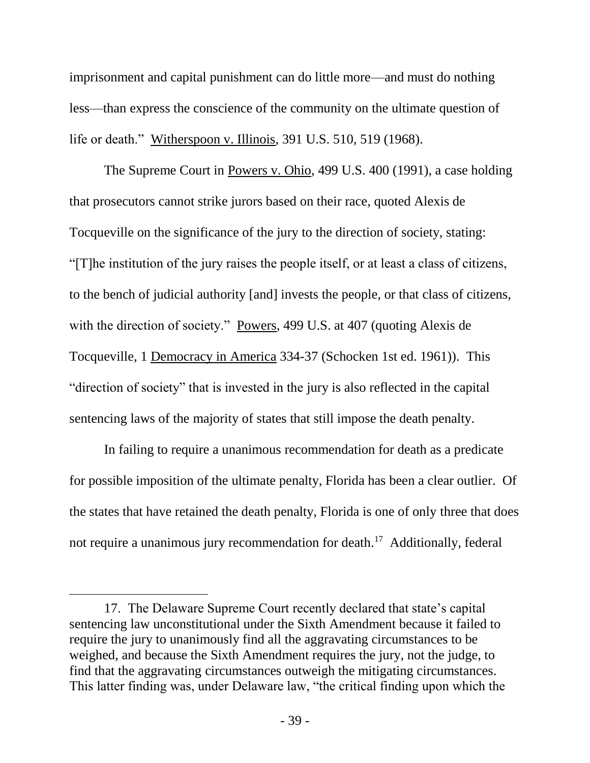imprisonment and capital punishment can do little more—and must do nothing less—than express the conscience of the community on the ultimate question of life or death." Witherspoon v. Illinois, 391 U.S. 510, 519 (1968).

The Supreme Court in Powers v. Ohio, 499 U.S. 400 (1991), a case holding that prosecutors cannot strike jurors based on their race, quoted Alexis de Tocqueville on the significance of the jury to the direction of society, stating: "[T]he institution of the jury raises the people itself, or at least a class of citizens, to the bench of judicial authority [and] invests the people, or that class of citizens, with the direction of society." Powers, 499 U.S. at 407 (quoting Alexis de Tocqueville, 1 Democracy in America 334-37 (Schocken 1st ed. 1961)). This "direction of society" that is invested in the jury is also reflected in the capital sentencing laws of the majority of states that still impose the death penalty.

In failing to require a unanimous recommendation for death as a predicate for possible imposition of the ultimate penalty, Florida has been a clear outlier. Of the states that have retained the death penalty, Florida is one of only three that does not require a unanimous jury recommendation for death.<sup>17</sup> Additionally, federal

<sup>17.</sup> The Delaware Supreme Court recently declared that state's capital sentencing law unconstitutional under the Sixth Amendment because it failed to require the jury to unanimously find all the aggravating circumstances to be weighed, and because the Sixth Amendment requires the jury, not the judge, to find that the aggravating circumstances outweigh the mitigating circumstances. This latter finding was, under Delaware law, "the critical finding upon which the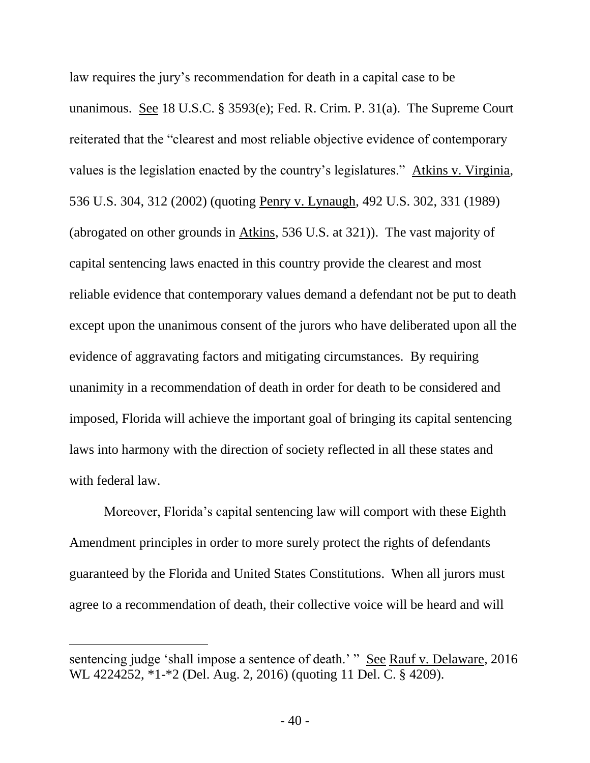law requires the jury's recommendation for death in a capital case to be unanimous. See 18 U.S.C. § 3593(e); Fed. R. Crim. P. 31(a). The Supreme Court reiterated that the "clearest and most reliable objective evidence of contemporary values is the legislation enacted by the country's legislatures." Atkins v. Virginia, 536 U.S. 304, 312 (2002) (quoting Penry v. Lynaugh, 492 U.S. 302, 331 (1989) (abrogated on other grounds in Atkins, 536 U.S. at 321)). The vast majority of capital sentencing laws enacted in this country provide the clearest and most reliable evidence that contemporary values demand a defendant not be put to death except upon the unanimous consent of the jurors who have deliberated upon all the evidence of aggravating factors and mitigating circumstances. By requiring unanimity in a recommendation of death in order for death to be considered and imposed, Florida will achieve the important goal of bringing its capital sentencing laws into harmony with the direction of society reflected in all these states and with federal law.

Moreover, Florida's capital sentencing law will comport with these Eighth Amendment principles in order to more surely protect the rights of defendants guaranteed by the Florida and United States Constitutions. When all jurors must agree to a recommendation of death, their collective voice will be heard and will

 $\overline{a}$ 

sentencing judge 'shall impose a sentence of death.' " See Rauf v. Delaware, 2016 WL 4224252, \*1-\*2 (Del. Aug. 2, 2016) (quoting 11 Del. C. § 4209).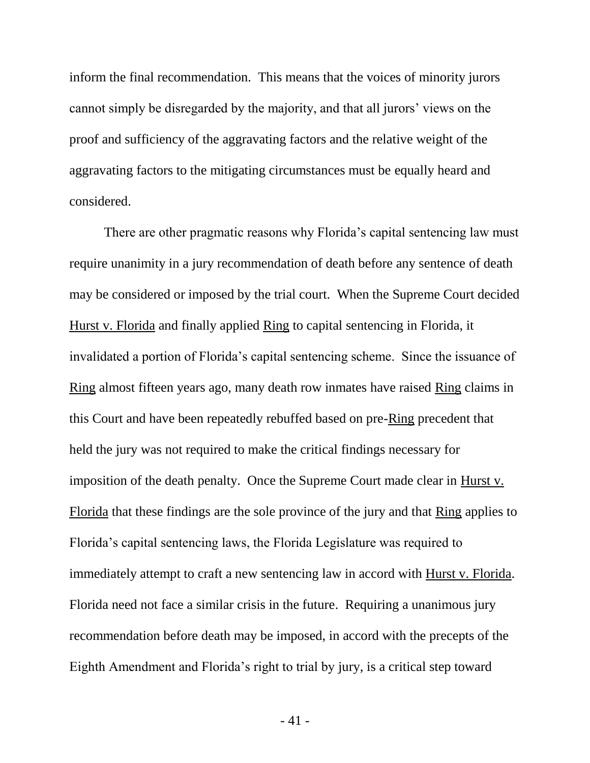inform the final recommendation. This means that the voices of minority jurors cannot simply be disregarded by the majority, and that all jurors' views on the proof and sufficiency of the aggravating factors and the relative weight of the aggravating factors to the mitigating circumstances must be equally heard and considered.

There are other pragmatic reasons why Florida's capital sentencing law must require unanimity in a jury recommendation of death before any sentence of death may be considered or imposed by the trial court. When the Supreme Court decided Hurst v. Florida and finally applied Ring to capital sentencing in Florida, it invalidated a portion of Florida's capital sentencing scheme. Since the issuance of Ring almost fifteen years ago, many death row inmates have raised Ring claims in this Court and have been repeatedly rebuffed based on pre-Ring precedent that held the jury was not required to make the critical findings necessary for imposition of the death penalty. Once the Supreme Court made clear in Hurst v. Florida that these findings are the sole province of the jury and that Ring applies to Florida's capital sentencing laws, the Florida Legislature was required to immediately attempt to craft a new sentencing law in accord with Hurst v. Florida. Florida need not face a similar crisis in the future. Requiring a unanimous jury recommendation before death may be imposed, in accord with the precepts of the Eighth Amendment and Florida's right to trial by jury, is a critical step toward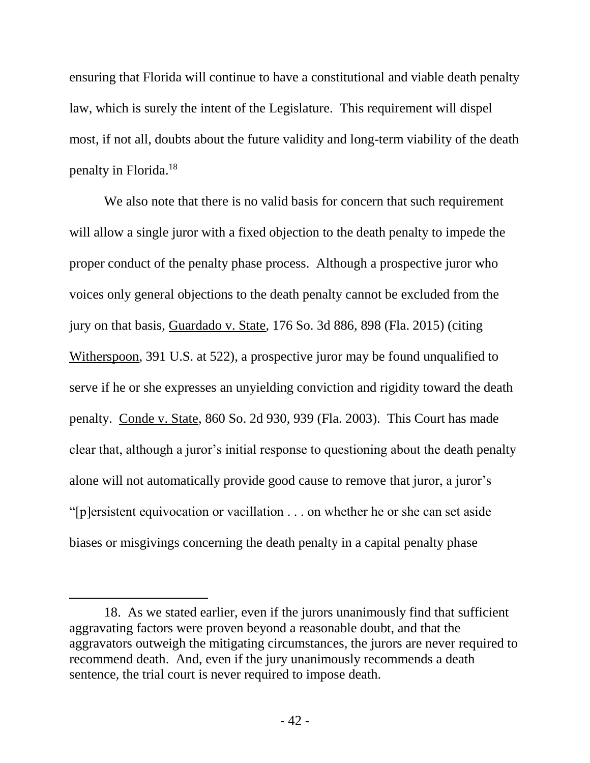ensuring that Florida will continue to have a constitutional and viable death penalty law, which is surely the intent of the Legislature. This requirement will dispel most, if not all, doubts about the future validity and long-term viability of the death penalty in Florida.<sup>18</sup>

We also note that there is no valid basis for concern that such requirement will allow a single juror with a fixed objection to the death penalty to impede the proper conduct of the penalty phase process. Although a prospective juror who voices only general objections to the death penalty cannot be excluded from the jury on that basis, Guardado v. State, 176 So. 3d 886, 898 (Fla. 2015) (citing Witherspoon, 391 U.S. at 522), a prospective juror may be found unqualified to serve if he or she expresses an unyielding conviction and rigidity toward the death penalty. Conde v. State, 860 So. 2d 930, 939 (Fla. 2003). This Court has made clear that, although a juror's initial response to questioning about the death penalty alone will not automatically provide good cause to remove that juror, a juror's "[p]ersistent equivocation or vacillation . . . on whether he or she can set aside biases or misgivings concerning the death penalty in a capital penalty phase

 $\overline{a}$ 

<sup>18.</sup> As we stated earlier, even if the jurors unanimously find that sufficient aggravating factors were proven beyond a reasonable doubt, and that the aggravators outweigh the mitigating circumstances, the jurors are never required to recommend death. And, even if the jury unanimously recommends a death sentence, the trial court is never required to impose death.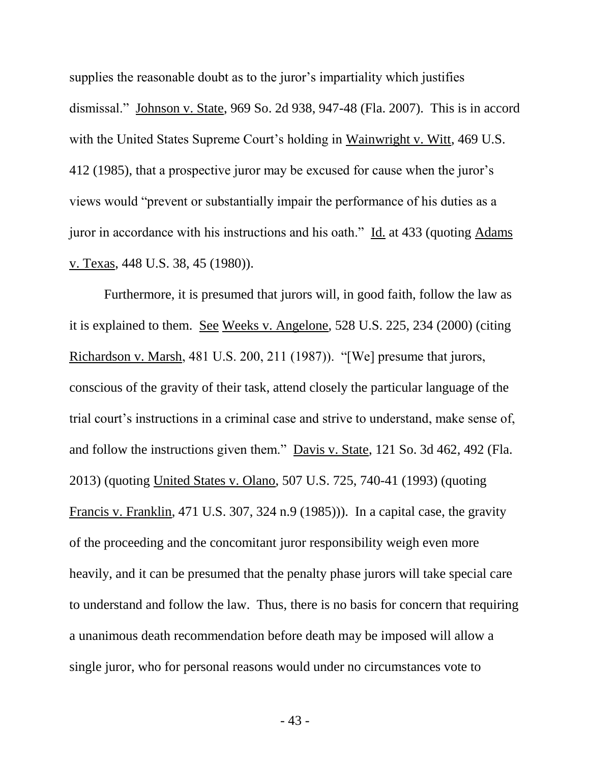supplies the reasonable doubt as to the juror's impartiality which justifies dismissal." Johnson v. State, 969 So. 2d 938, 947-48 (Fla. 2007). This is in accord with the United States Supreme Court's holding in Wainwright v. Witt, 469 U.S. 412 (1985), that a prospective juror may be excused for cause when the juror's views would "prevent or substantially impair the performance of his duties as a juror in accordance with his instructions and his oath." Id. at 433 (quoting Adams v. Texas, 448 U.S. 38, 45 (1980)).

Furthermore, it is presumed that jurors will, in good faith, follow the law as it is explained to them. See Weeks v. Angelone, 528 U.S. 225, 234 (2000) (citing Richardson v. Marsh, 481 U.S. 200, 211 (1987)). "[We] presume that jurors, conscious of the gravity of their task, attend closely the particular language of the trial court's instructions in a criminal case and strive to understand, make sense of, and follow the instructions given them." Davis v. State, 121 So. 3d 462, 492 (Fla. 2013) (quoting United States v. Olano, 507 U.S. 725, 740-41 (1993) (quoting Francis v. Franklin, 471 U.S. 307, 324 n.9 (1985))). In a capital case, the gravity of the proceeding and the concomitant juror responsibility weigh even more heavily, and it can be presumed that the penalty phase jurors will take special care to understand and follow the law. Thus, there is no basis for concern that requiring a unanimous death recommendation before death may be imposed will allow a single juror, who for personal reasons would under no circumstances vote to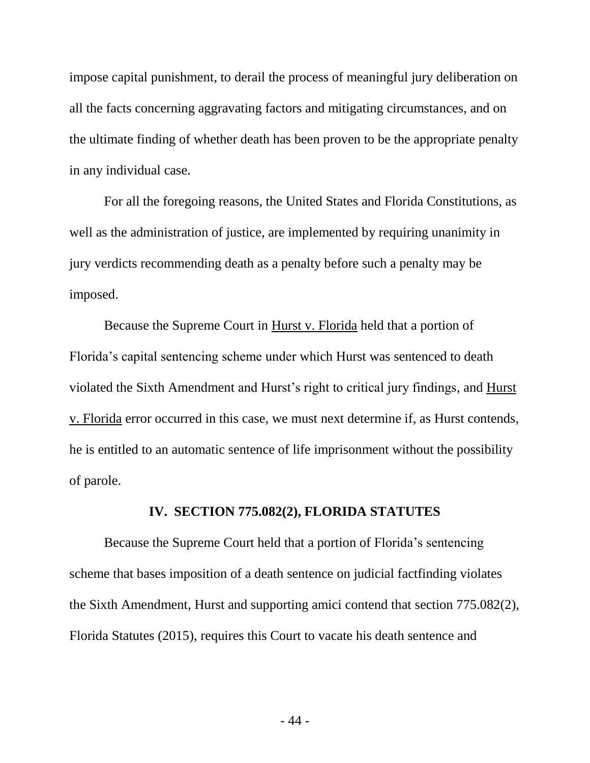impose capital punishment, to derail the process of meaningful jury deliberation on all the facts concerning aggravating factors and mitigating circumstances, and on the ultimate finding of whether death has been proven to be the appropriate penalty in any individual case.

For all the foregoing reasons, the United States and Florida Constitutions, as well as the administration of justice, are implemented by requiring unanimity in jury verdicts recommending death as a penalty before such a penalty may be imposed.

Because the Supreme Court in Hurst v. Florida held that a portion of Florida's capital sentencing scheme under which Hurst was sentenced to death violated the Sixth Amendment and Hurst's right to critical jury findings, and Hurst v. Florida error occurred in this case, we must next determine if, as Hurst contends, he is entitled to an automatic sentence of life imprisonment without the possibility of parole.

### **IV. SECTION 775.082(2), FLORIDA STATUTES**

Because the Supreme Court held that a portion of Florida's sentencing scheme that bases imposition of a death sentence on judicial factfinding violates the Sixth Amendment, Hurst and supporting amici contend that section 775.082(2), Florida Statutes (2015), requires this Court to vacate his death sentence and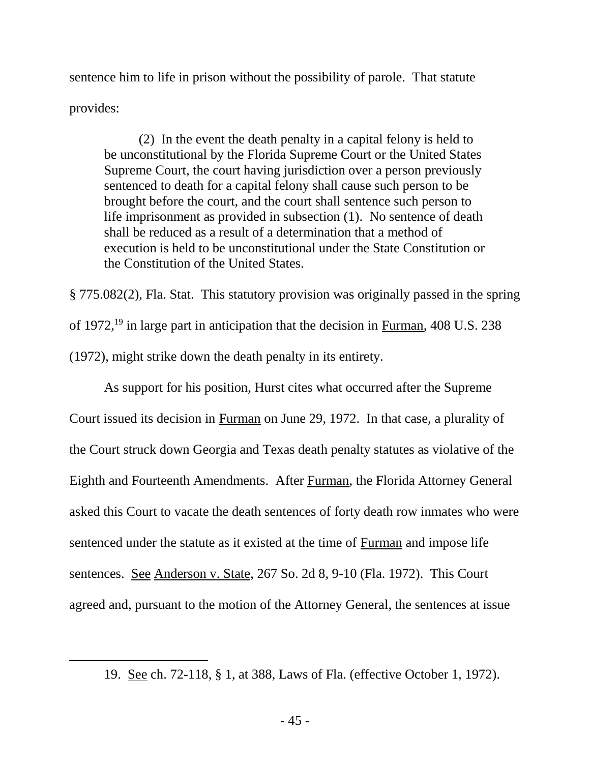sentence him to life in prison without the possibility of parole. That statute provides:

(2) In the event the death penalty in a capital felony is held to be unconstitutional by the Florida Supreme Court or the United States Supreme Court, the court having jurisdiction over a person previously sentenced to death for a capital felony shall cause such person to be brought before the court, and the court shall sentence such person to life imprisonment as provided in subsection (1). No sentence of death shall be reduced as a result of a determination that a method of execution is held to be unconstitutional under the State Constitution or the Constitution of the United States.

§ 775.082(2), Fla. Stat. This statutory provision was originally passed in the spring of 1972,<sup>19</sup> in large part in anticipation that the decision in Furman, 408 U.S. 238 (1972), might strike down the death penalty in its entirety.

As support for his position, Hurst cites what occurred after the Supreme Court issued its decision in Furman on June 29, 1972. In that case, a plurality of the Court struck down Georgia and Texas death penalty statutes as violative of the Eighth and Fourteenth Amendments. After Furman, the Florida Attorney General asked this Court to vacate the death sentences of forty death row inmates who were sentenced under the statute as it existed at the time of Furman and impose life sentences. See Anderson v. State, 267 So. 2d 8, 9-10 (Fla. 1972). This Court agreed and, pursuant to the motion of the Attorney General, the sentences at issue

 $\overline{a}$ 

<sup>19.</sup> See ch. 72-118, § 1, at 388, Laws of Fla. (effective October 1, 1972).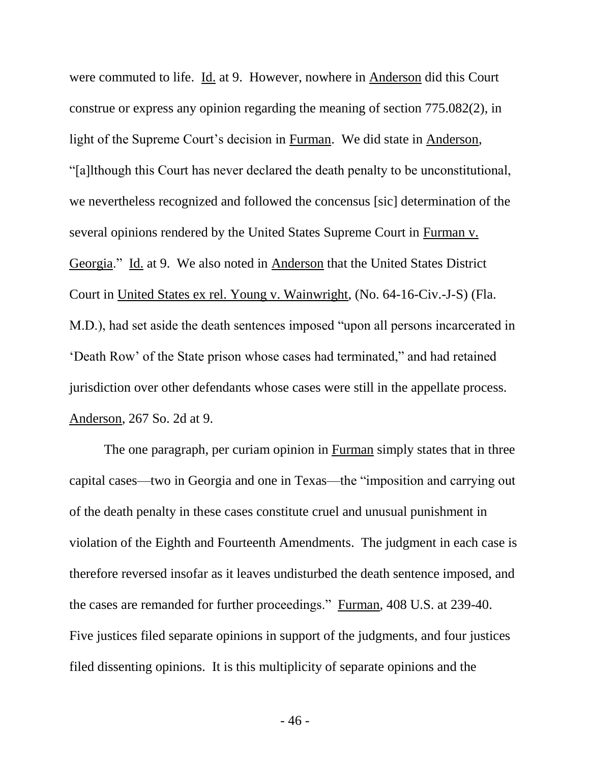were commuted to life. Id. at 9. However, nowhere in Anderson did this Court construe or express any opinion regarding the meaning of section 775.082(2), in light of the Supreme Court's decision in Furman. We did state in Anderson, "[a]lthough this Court has never declared the death penalty to be unconstitutional, we nevertheless recognized and followed the concensus [sic] determination of the several opinions rendered by the United States Supreme Court in Furman v. Georgia." Id. at 9. We also noted in Anderson that the United States District Court in United States ex rel. Young v. Wainwright, (No. 64-16-Civ.-J-S) (Fla. M.D.), had set aside the death sentences imposed "upon all persons incarcerated in 'Death Row' of the State prison whose cases had terminated," and had retained jurisdiction over other defendants whose cases were still in the appellate process. Anderson, 267 So. 2d at 9.

The one paragraph, per curiam opinion in Furman simply states that in three capital cases—two in Georgia and one in Texas—the "imposition and carrying out of the death penalty in these cases constitute cruel and unusual punishment in violation of the Eighth and Fourteenth Amendments. The judgment in each case is therefore reversed insofar as it leaves undisturbed the death sentence imposed, and the cases are remanded for further proceedings." Furman, 408 U.S. at 239-40. Five justices filed separate opinions in support of the judgments, and four justices filed dissenting opinions. It is this multiplicity of separate opinions and the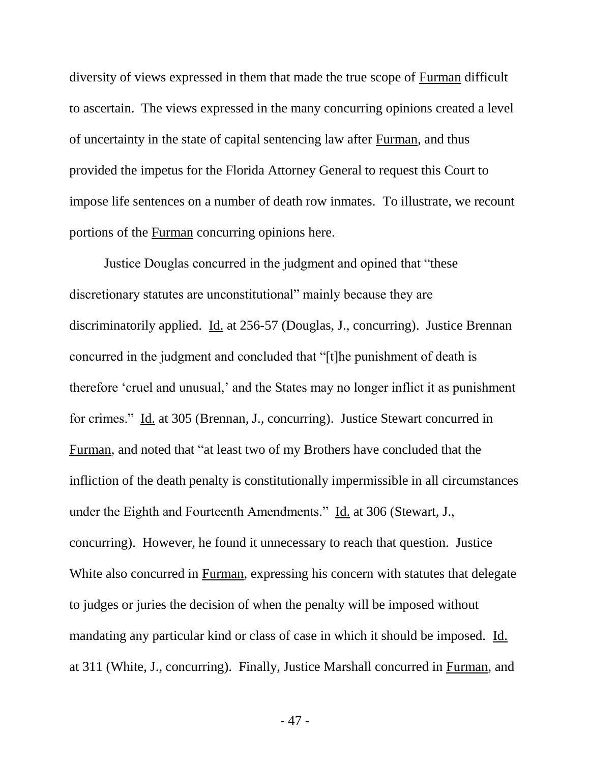diversity of views expressed in them that made the true scope of Furman difficult to ascertain. The views expressed in the many concurring opinions created a level of uncertainty in the state of capital sentencing law after Furman, and thus provided the impetus for the Florida Attorney General to request this Court to impose life sentences on a number of death row inmates. To illustrate, we recount portions of the Furman concurring opinions here.

Justice Douglas concurred in the judgment and opined that "these discretionary statutes are unconstitutional" mainly because they are discriminatorily applied. Id. at 256-57 (Douglas, J., concurring). Justice Brennan concurred in the judgment and concluded that "[t]he punishment of death is therefore 'cruel and unusual,' and the States may no longer inflict it as punishment for crimes." Id. at 305 (Brennan, J., concurring). Justice Stewart concurred in Furman, and noted that "at least two of my Brothers have concluded that the infliction of the death penalty is constitutionally impermissible in all circumstances under the Eighth and Fourteenth Amendments." Id. at 306 (Stewart, J., concurring). However, he found it unnecessary to reach that question. Justice White also concurred in Furman, expressing his concern with statutes that delegate to judges or juries the decision of when the penalty will be imposed without mandating any particular kind or class of case in which it should be imposed. Id. at 311 (White, J., concurring). Finally, Justice Marshall concurred in Furman, and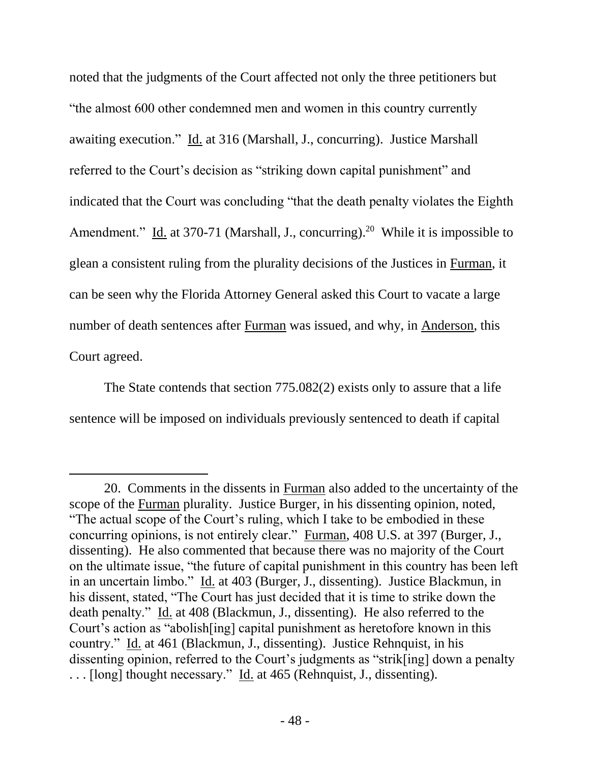noted that the judgments of the Court affected not only the three petitioners but "the almost 600 other condemned men and women in this country currently awaiting execution." Id. at 316 (Marshall, J., concurring). Justice Marshall referred to the Court's decision as "striking down capital punishment" and indicated that the Court was concluding "that the death penalty violates the Eighth Amendment." Id. at 370-71 (Marshall, J., concurring).<sup>20</sup> While it is impossible to glean a consistent ruling from the plurality decisions of the Justices in Furman, it can be seen why the Florida Attorney General asked this Court to vacate a large number of death sentences after Furman was issued, and why, in Anderson, this Court agreed.

The State contends that section 775.082(2) exists only to assure that a life sentence will be imposed on individuals previously sentenced to death if capital

 $\overline{a}$ 

<sup>20.</sup> Comments in the dissents in Furman also added to the uncertainty of the scope of the Furman plurality. Justice Burger, in his dissenting opinion, noted, "The actual scope of the Court's ruling, which I take to be embodied in these concurring opinions, is not entirely clear." Furman, 408 U.S. at 397 (Burger, J., dissenting). He also commented that because there was no majority of the Court on the ultimate issue, "the future of capital punishment in this country has been left in an uncertain limbo." Id. at 403 (Burger, J., dissenting). Justice Blackmun, in his dissent, stated, "The Court has just decided that it is time to strike down the death penalty." Id. at 408 (Blackmun, J., dissenting). He also referred to the Court's action as "abolish[ing] capital punishment as heretofore known in this country." Id. at 461 (Blackmun, J., dissenting). Justice Rehnquist, in his dissenting opinion, referred to the Court's judgments as "strik[ing] down a penalty . . . [long] thought necessary." Id. at 465 (Rehnquist, J., dissenting).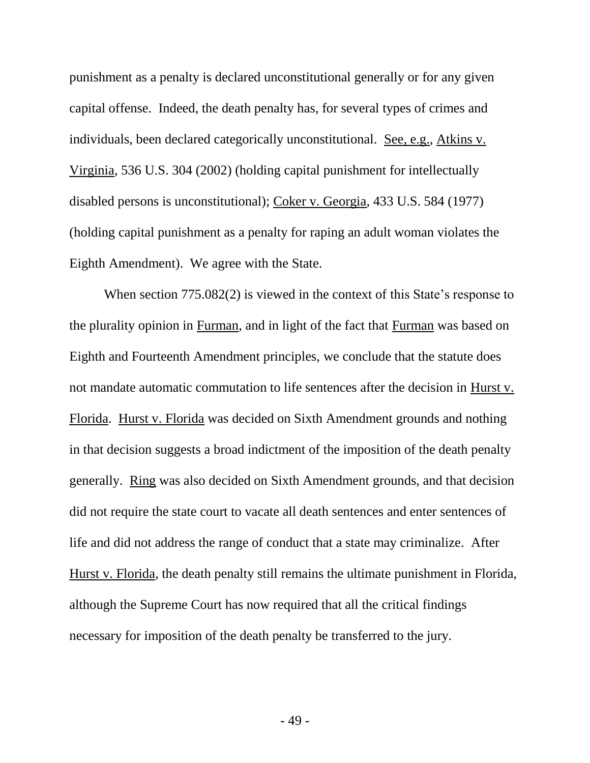punishment as a penalty is declared unconstitutional generally or for any given capital offense. Indeed, the death penalty has, for several types of crimes and individuals, been declared categorically unconstitutional. See, e.g., Atkins v. Virginia, 536 U.S. 304 (2002) (holding capital punishment for intellectually disabled persons is unconstitutional); Coker v. Georgia, 433 U.S. 584 (1977) (holding capital punishment as a penalty for raping an adult woman violates the Eighth Amendment). We agree with the State.

When section 775.082(2) is viewed in the context of this State's response to the plurality opinion in Furman, and in light of the fact that Furman was based on Eighth and Fourteenth Amendment principles, we conclude that the statute does not mandate automatic commutation to life sentences after the decision in Hurst v. Florida. Hurst v. Florida was decided on Sixth Amendment grounds and nothing in that decision suggests a broad indictment of the imposition of the death penalty generally. Ring was also decided on Sixth Amendment grounds, and that decision did not require the state court to vacate all death sentences and enter sentences of life and did not address the range of conduct that a state may criminalize. After Hurst v. Florida, the death penalty still remains the ultimate punishment in Florida, although the Supreme Court has now required that all the critical findings necessary for imposition of the death penalty be transferred to the jury.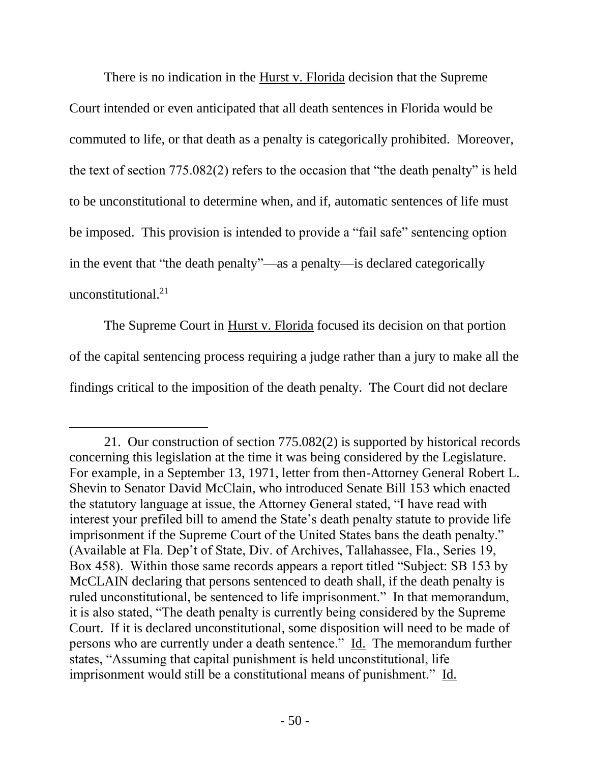There is no indication in the Hurst v. Florida decision that the Supreme Court intended or even anticipated that all death sentences in Florida would be commuted to life, or that death as a penalty is categorically prohibited. Moreover, the text of section 775.082(2) refers to the occasion that "the death penalty" is held to be unconstitutional to determine when, and if, automatic sentences of life must be imposed. This provision is intended to provide a "fail safe" sentencing option in the event that "the death penalty"—as a penalty—is declared categorically unconstitutional.<sup>21</sup>

The Supreme Court in Hurst v. Florida focused its decision on that portion of the capital sentencing process requiring a judge rather than a jury to make all the findings critical to the imposition of the death penalty. The Court did not declare

 $\overline{a}$ 

<sup>21.</sup> Our construction of section 775.082(2) is supported by historical records concerning this legislation at the time it was being considered by the Legislature. For example, in a September 13, 1971, letter from then-Attorney General Robert L. Shevin to Senator David McClain, who introduced Senate Bill 153 which enacted the statutory language at issue, the Attorney General stated, "I have read with interest your prefiled bill to amend the State's death penalty statute to provide life imprisonment if the Supreme Court of the United States bans the death penalty." (Available at Fla. Dep't of State, Div. of Archives, Tallahassee, Fla., Series 19, Box 458). Within those same records appears a report titled "Subject: SB 153 by McCLAIN declaring that persons sentenced to death shall, if the death penalty is ruled unconstitutional, be sentenced to life imprisonment." In that memorandum, it is also stated, "The death penalty is currently being considered by the Supreme Court. If it is declared unconstitutional, some disposition will need to be made of persons who are currently under a death sentence." Id. The memorandum further states, "Assuming that capital punishment is held unconstitutional, life imprisonment would still be a constitutional means of punishment." Id.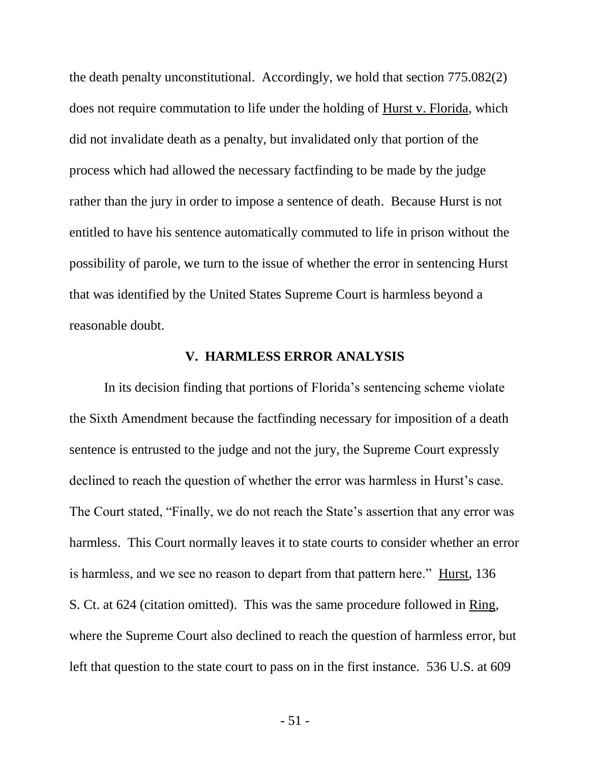the death penalty unconstitutional. Accordingly, we hold that section 775.082(2) does not require commutation to life under the holding of Hurst v. Florida, which did not invalidate death as a penalty, but invalidated only that portion of the process which had allowed the necessary factfinding to be made by the judge rather than the jury in order to impose a sentence of death. Because Hurst is not entitled to have his sentence automatically commuted to life in prison without the possibility of parole, we turn to the issue of whether the error in sentencing Hurst that was identified by the United States Supreme Court is harmless beyond a reasonable doubt.

#### **V. HARMLESS ERROR ANALYSIS**

In its decision finding that portions of Florida's sentencing scheme violate the Sixth Amendment because the factfinding necessary for imposition of a death sentence is entrusted to the judge and not the jury, the Supreme Court expressly declined to reach the question of whether the error was harmless in Hurst's case. The Court stated, "Finally, we do not reach the State's assertion that any error was harmless. This Court normally leaves it to state courts to consider whether an error is harmless, and we see no reason to depart from that pattern here." Hurst, 136 S. Ct. at 624 (citation omitted). This was the same procedure followed in Ring, where the Supreme Court also declined to reach the question of harmless error, but left that question to the state court to pass on in the first instance. 536 U.S. at 609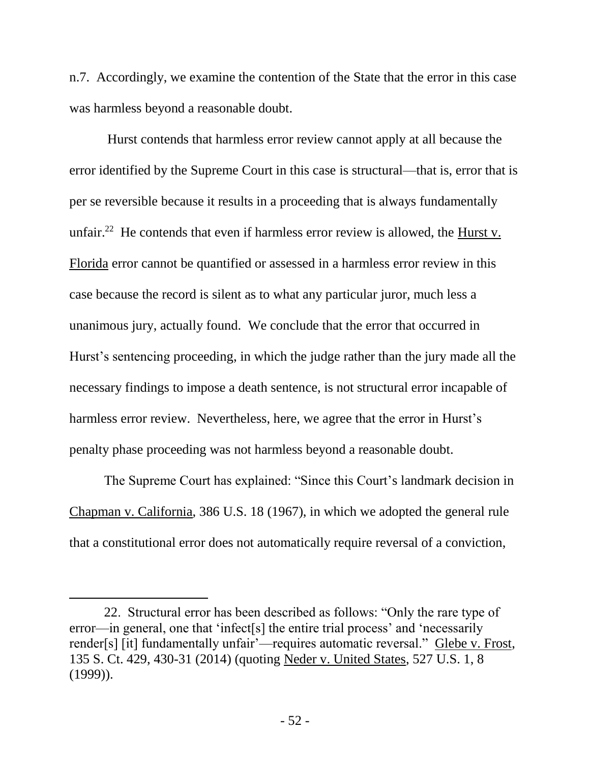n.7. Accordingly, we examine the contention of the State that the error in this case was harmless beyond a reasonable doubt.

Hurst contends that harmless error review cannot apply at all because the error identified by the Supreme Court in this case is structural—that is, error that is per se reversible because it results in a proceeding that is always fundamentally unfair.<sup>22</sup> He contends that even if harmless error review is allowed, the  $\frac{Hurst}{v}$ . Florida error cannot be quantified or assessed in a harmless error review in this case because the record is silent as to what any particular juror, much less a unanimous jury, actually found. We conclude that the error that occurred in Hurst's sentencing proceeding, in which the judge rather than the jury made all the necessary findings to impose a death sentence, is not structural error incapable of harmless error review. Nevertheless, here, we agree that the error in Hurst's penalty phase proceeding was not harmless beyond a reasonable doubt.

The Supreme Court has explained: "Since this Court's landmark decision in Chapman v. California, 386 U.S. 18 (1967), in which we adopted the general rule that a constitutional error does not automatically require reversal of a conviction,

 $\overline{a}$ 

<sup>22.</sup> Structural error has been described as follows: "Only the rare type of error—in general, one that 'infect[s] the entire trial process' and 'necessarily render[s] [it] fundamentally unfair'—requires automatic reversal." Glebe v. Frost, 135 S. Ct. 429, 430-31 (2014) (quoting Neder v. United States, 527 U.S. 1, 8  $(1999)$ ).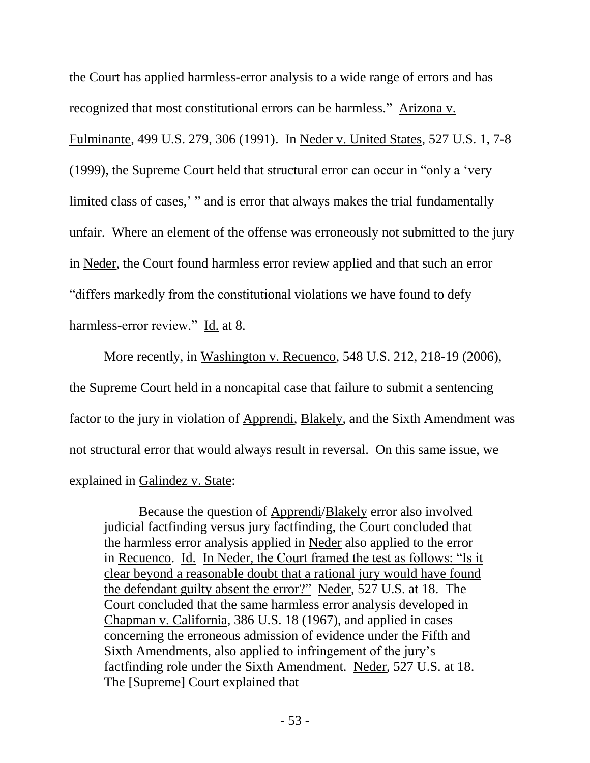the Court has applied harmless-error analysis to a wide range of errors and has recognized that most constitutional errors can be harmless." Arizona v. Fulminante, 499 U.S. 279, 306 (1991). In Neder v. United States, 527 U.S. 1, 7-8 (1999), the Supreme Court held that structural error can occur in "only a 'very limited class of cases,' " and is error that always makes the trial fundamentally unfair. Where an element of the offense was erroneously not submitted to the jury in Neder, the Court found harmless error review applied and that such an error "differs markedly from the constitutional violations we have found to defy harmless-error review." Id. at 8.

More recently, in Washington v. Recuenco, 548 U.S. 212, 218-19 (2006), the Supreme Court held in a noncapital case that failure to submit a sentencing factor to the jury in violation of Apprendi, Blakely, and the Sixth Amendment was not structural error that would always result in reversal. On this same issue, we explained in Galindez v. State:

Because the question of Apprendi/Blakely error also involved judicial factfinding versus jury factfinding, the Court concluded that the harmless error analysis applied in Neder also applied to the error in Recuenco. Id. In Neder, the Court framed the test as follows: "Is it clear beyond a reasonable doubt that a rational jury would have found the defendant guilty absent the error?" Neder, 527 U.S. at 18. The Court concluded that the same harmless error analysis developed in Chapman v. California, 386 U.S. 18 (1967), and applied in cases concerning the erroneous admission of evidence under the Fifth and Sixth Amendments, also applied to infringement of the jury's factfinding role under the Sixth Amendment. Neder, 527 U.S. at 18. The [Supreme] Court explained that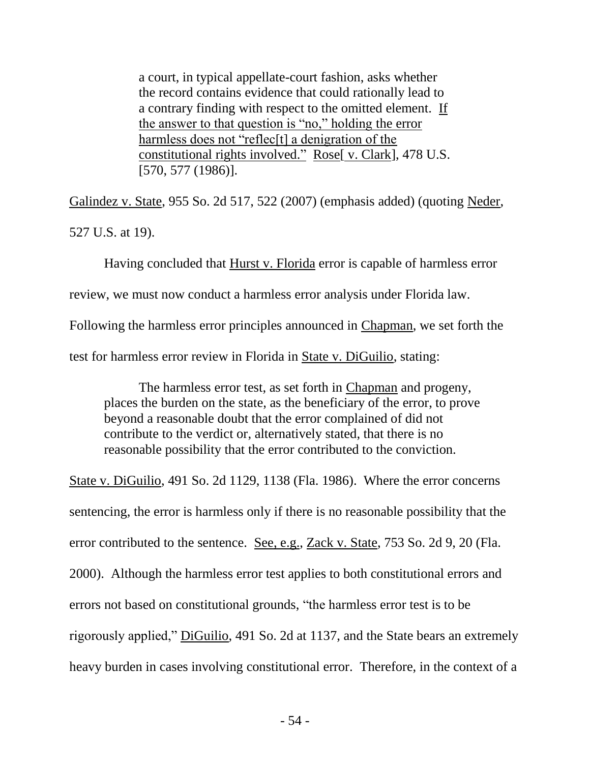a court, in typical appellate-court fashion, asks whether the record contains evidence that could rationally lead to a contrary finding with respect to the omitted element. If the answer to that question is "no," holding the error harmless does not "reflec<sup>[t]</sup> a denigration of the constitutional rights involved." Rose[ v. Clark], 478 U.S. [570, 577 (1986)].

Galindez v. State, 955 So. 2d 517, 522 (2007) (emphasis added) (quoting Neder, 527 U.S. at 19).

Having concluded that Hurst v. Florida error is capable of harmless error review, we must now conduct a harmless error analysis under Florida law. Following the harmless error principles announced in Chapman, we set forth the test for harmless error review in Florida in State v. DiGuilio, stating:

The harmless error test, as set forth in Chapman and progeny, places the burden on the state, as the beneficiary of the error, to prove beyond a reasonable doubt that the error complained of did not contribute to the verdict or, alternatively stated, that there is no reasonable possibility that the error contributed to the conviction.

State v. DiGuilio, 491 So. 2d 1129, 1138 (Fla. 1986). Where the error concerns sentencing, the error is harmless only if there is no reasonable possibility that the error contributed to the sentence. See, e.g., Zack v. State, 753 So. 2d 9, 20 (Fla. 2000). Although the harmless error test applies to both constitutional errors and errors not based on constitutional grounds, "the harmless error test is to be rigorously applied," DiGuilio, 491 So. 2d at 1137, and the State bears an extremely heavy burden in cases involving constitutional error. Therefore, in the context of a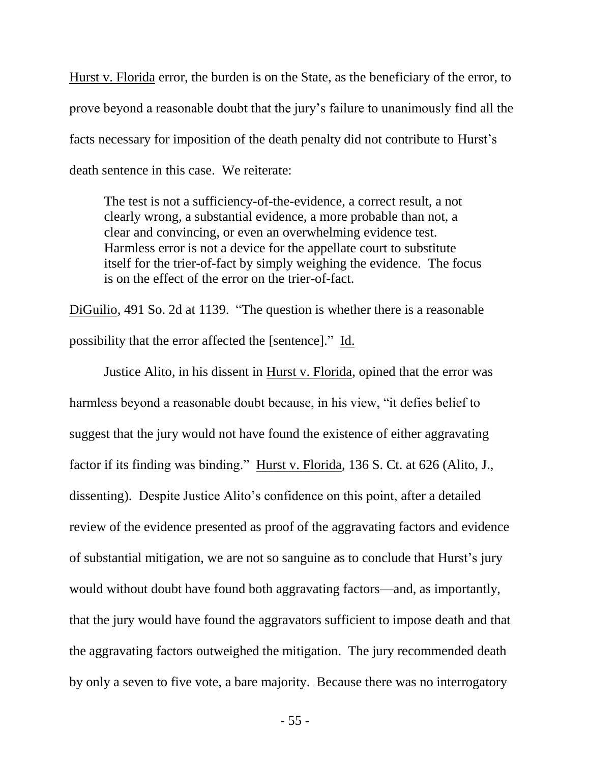Hurst v. Florida error, the burden is on the State, as the beneficiary of the error, to prove beyond a reasonable doubt that the jury's failure to unanimously find all the facts necessary for imposition of the death penalty did not contribute to Hurst's death sentence in this case. We reiterate:

The test is not a sufficiency-of-the-evidence, a correct result, a not clearly wrong, a substantial evidence, a more probable than not, a clear and convincing, or even an overwhelming evidence test. Harmless error is not a device for the appellate court to substitute itself for the trier-of-fact by simply weighing the evidence. The focus is on the effect of the error on the trier-of-fact.

DiGuilio, 491 So. 2d at 1139. "The question is whether there is a reasonable possibility that the error affected the [sentence]." Id.

Justice Alito, in his dissent in Hurst v. Florida, opined that the error was harmless beyond a reasonable doubt because, in his view, "it defies belief to suggest that the jury would not have found the existence of either aggravating factor if its finding was binding." Hurst v. Florida, 136 S. Ct. at 626 (Alito, J., dissenting). Despite Justice Alito's confidence on this point, after a detailed review of the evidence presented as proof of the aggravating factors and evidence of substantial mitigation, we are not so sanguine as to conclude that Hurst's jury would without doubt have found both aggravating factors—and, as importantly, that the jury would have found the aggravators sufficient to impose death and that the aggravating factors outweighed the mitigation. The jury recommended death by only a seven to five vote, a bare majority. Because there was no interrogatory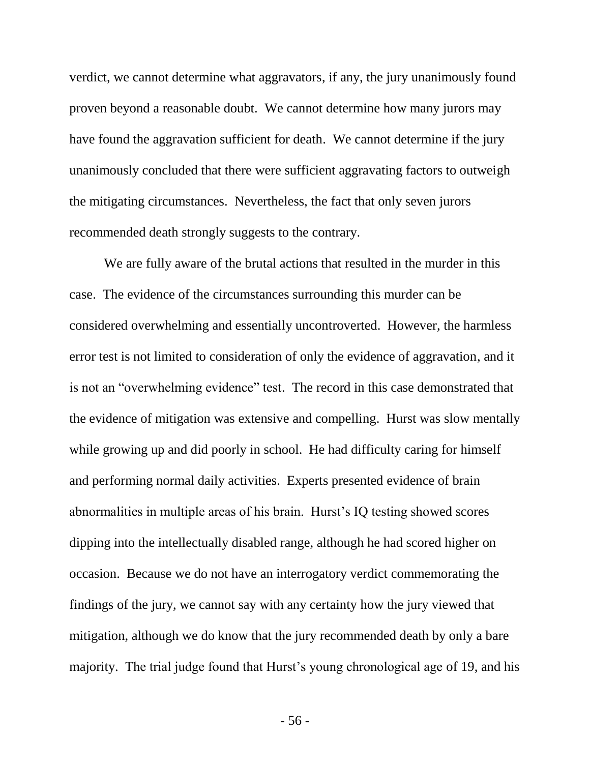verdict, we cannot determine what aggravators, if any, the jury unanimously found proven beyond a reasonable doubt. We cannot determine how many jurors may have found the aggravation sufficient for death. We cannot determine if the jury unanimously concluded that there were sufficient aggravating factors to outweigh the mitigating circumstances. Nevertheless, the fact that only seven jurors recommended death strongly suggests to the contrary.

We are fully aware of the brutal actions that resulted in the murder in this case. The evidence of the circumstances surrounding this murder can be considered overwhelming and essentially uncontroverted. However, the harmless error test is not limited to consideration of only the evidence of aggravation, and it is not an "overwhelming evidence" test. The record in this case demonstrated that the evidence of mitigation was extensive and compelling. Hurst was slow mentally while growing up and did poorly in school. He had difficulty caring for himself and performing normal daily activities. Experts presented evidence of brain abnormalities in multiple areas of his brain. Hurst's IQ testing showed scores dipping into the intellectually disabled range, although he had scored higher on occasion. Because we do not have an interrogatory verdict commemorating the findings of the jury, we cannot say with any certainty how the jury viewed that mitigation, although we do know that the jury recommended death by only a bare majority. The trial judge found that Hurst's young chronological age of 19, and his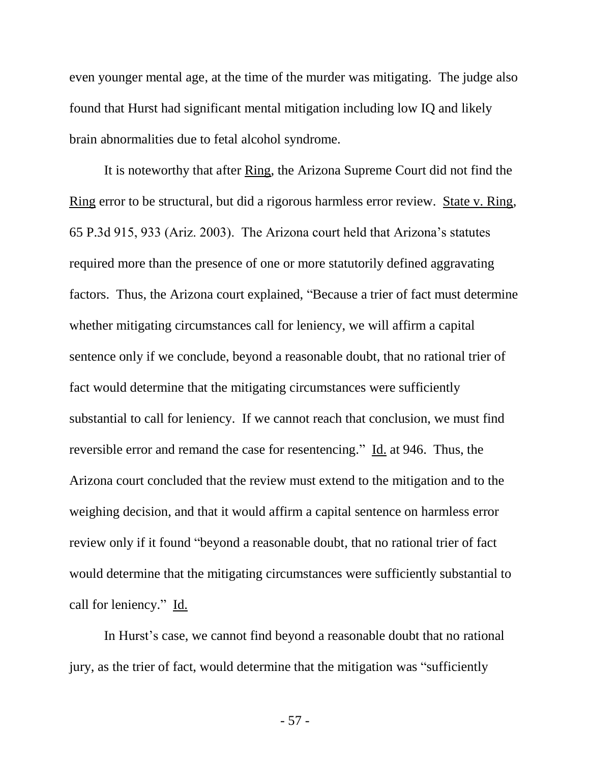even younger mental age, at the time of the murder was mitigating. The judge also found that Hurst had significant mental mitigation including low IQ and likely brain abnormalities due to fetal alcohol syndrome.

It is noteworthy that after Ring, the Arizona Supreme Court did not find the Ring error to be structural, but did a rigorous harmless error review. State v. Ring, 65 P.3d 915, 933 (Ariz. 2003). The Arizona court held that Arizona's statutes required more than the presence of one or more statutorily defined aggravating factors. Thus, the Arizona court explained, "Because a trier of fact must determine whether mitigating circumstances call for leniency, we will affirm a capital sentence only if we conclude, beyond a reasonable doubt, that no rational trier of fact would determine that the mitigating circumstances were sufficiently substantial to call for leniency. If we cannot reach that conclusion, we must find reversible error and remand the case for resentencing." Id. at 946. Thus, the Arizona court concluded that the review must extend to the mitigation and to the weighing decision, and that it would affirm a capital sentence on harmless error review only if it found "beyond a reasonable doubt, that no rational trier of fact would determine that the mitigating circumstances were sufficiently substantial to call for leniency." Id.

In Hurst's case, we cannot find beyond a reasonable doubt that no rational jury, as the trier of fact, would determine that the mitigation was "sufficiently

- 57 -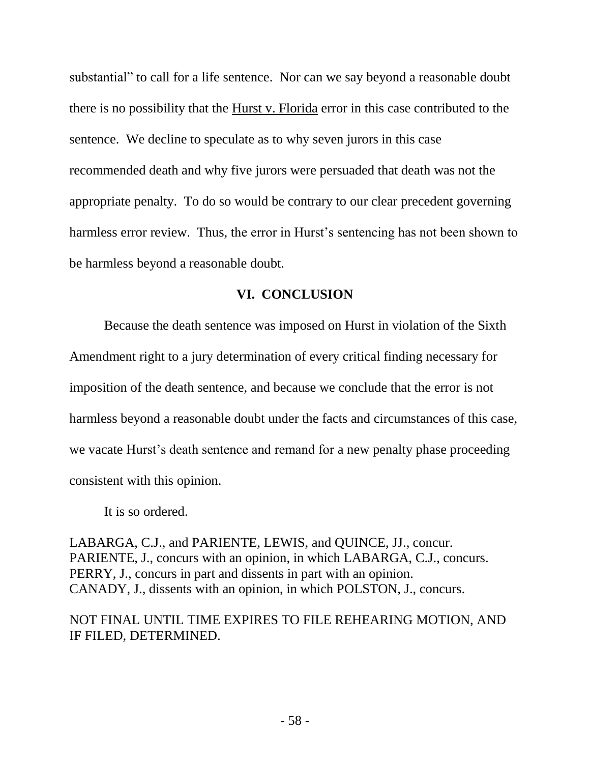substantial" to call for a life sentence. Nor can we say beyond a reasonable doubt there is no possibility that the Hurst v. Florida error in this case contributed to the sentence. We decline to speculate as to why seven jurors in this case recommended death and why five jurors were persuaded that death was not the appropriate penalty. To do so would be contrary to our clear precedent governing harmless error review. Thus, the error in Hurst's sentencing has not been shown to be harmless beyond a reasonable doubt.

# **VI. CONCLUSION**

Because the death sentence was imposed on Hurst in violation of the Sixth Amendment right to a jury determination of every critical finding necessary for imposition of the death sentence, and because we conclude that the error is not harmless beyond a reasonable doubt under the facts and circumstances of this case, we vacate Hurst's death sentence and remand for a new penalty phase proceeding consistent with this opinion.

It is so ordered.

LABARGA, C.J., and PARIENTE, LEWIS, and QUINCE, JJ., concur. PARIENTE, J., concurs with an opinion, in which LABARGA, C.J., concurs. PERRY, J., concurs in part and dissents in part with an opinion. CANADY, J., dissents with an opinion, in which POLSTON, J., concurs.

NOT FINAL UNTIL TIME EXPIRES TO FILE REHEARING MOTION, AND IF FILED, DETERMINED.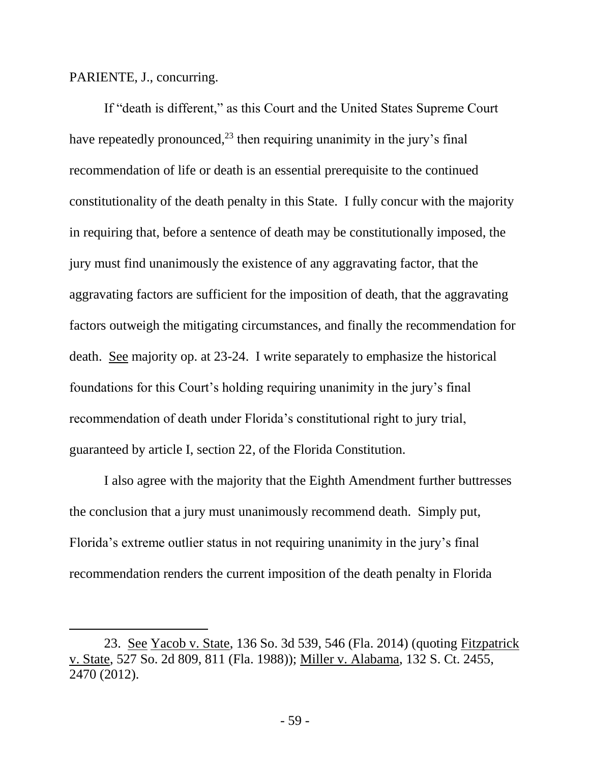PARIENTE, J., concurring.

 $\overline{a}$ 

If "death is different," as this Court and the United States Supreme Court have repeatedly pronounced,  $2<sup>3</sup>$  then requiring unanimity in the jury's final recommendation of life or death is an essential prerequisite to the continued constitutionality of the death penalty in this State. I fully concur with the majority in requiring that, before a sentence of death may be constitutionally imposed, the jury must find unanimously the existence of any aggravating factor, that the aggravating factors are sufficient for the imposition of death, that the aggravating factors outweigh the mitigating circumstances, and finally the recommendation for death. See majority op. at 23-24. I write separately to emphasize the historical foundations for this Court's holding requiring unanimity in the jury's final recommendation of death under Florida's constitutional right to jury trial, guaranteed by article I, section 22, of the Florida Constitution.

I also agree with the majority that the Eighth Amendment further buttresses the conclusion that a jury must unanimously recommend death. Simply put, Florida's extreme outlier status in not requiring unanimity in the jury's final recommendation renders the current imposition of the death penalty in Florida

<sup>23.</sup> See Yacob v. State, 136 So. 3d 539, 546 (Fla. 2014) (quoting Fitzpatrick v. State, 527 So. 2d 809, 811 (Fla. 1988)); Miller v. Alabama, 132 S. Ct. 2455, 2470 (2012).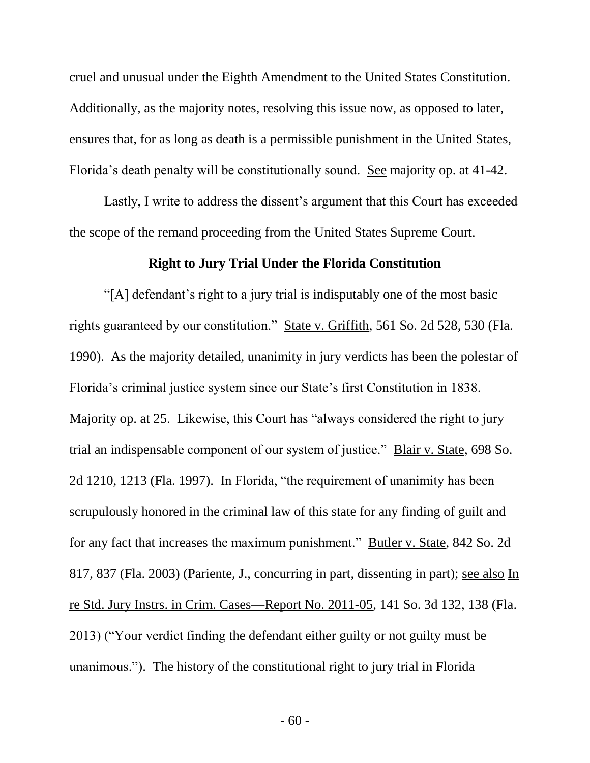cruel and unusual under the Eighth Amendment to the United States Constitution. Additionally, as the majority notes, resolving this issue now, as opposed to later, ensures that, for as long as death is a permissible punishment in the United States, Florida's death penalty will be constitutionally sound. See majority op. at 41-42.

Lastly, I write to address the dissent's argument that this Court has exceeded the scope of the remand proceeding from the United States Supreme Court.

# **Right to Jury Trial Under the Florida Constitution**

"[A] defendant's right to a jury trial is indisputably one of the most basic rights guaranteed by our constitution." State v. Griffith, 561 So. 2d 528, 530 (Fla. 1990). As the majority detailed, unanimity in jury verdicts has been the polestar of Florida's criminal justice system since our State's first Constitution in 1838. Majority op. at 25. Likewise, this Court has "always considered the right to jury trial an indispensable component of our system of justice." Blair v. State, 698 So. 2d 1210, 1213 (Fla. 1997). In Florida, "the requirement of unanimity has been scrupulously honored in the criminal law of this state for any finding of guilt and for any fact that increases the maximum punishment." Butler v. State, 842 So. 2d 817, 837 (Fla. 2003) (Pariente, J., concurring in part, dissenting in part); see also In re Std. Jury Instrs. in Crim. Cases—Report No. 2011-05, 141 So. 3d 132, 138 (Fla. 2013) ("Your verdict finding the defendant either guilty or not guilty must be unanimous."). The history of the constitutional right to jury trial in Florida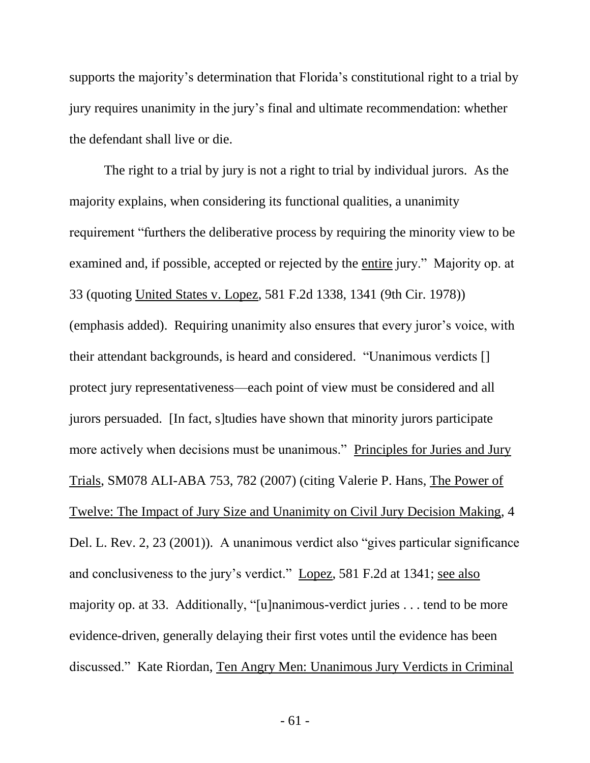supports the majority's determination that Florida's constitutional right to a trial by jury requires unanimity in the jury's final and ultimate recommendation: whether the defendant shall live or die.

The right to a trial by jury is not a right to trial by individual jurors. As the majority explains, when considering its functional qualities, a unanimity requirement "furthers the deliberative process by requiring the minority view to be examined and, if possible, accepted or rejected by the entire jury." Majority op. at 33 (quoting United States v. Lopez, 581 F.2d 1338, 1341 (9th Cir. 1978)) (emphasis added). Requiring unanimity also ensures that every juror's voice, with their attendant backgrounds, is heard and considered. "Unanimous verdicts [] protect jury representativeness—each point of view must be considered and all jurors persuaded. [In fact, s]tudies have shown that minority jurors participate more actively when decisions must be unanimous." Principles for Juries and Jury Trials, SM078 ALI-ABA 753, 782 (2007) (citing Valerie P. Hans, The Power of Twelve: The Impact of Jury Size and Unanimity on Civil Jury Decision Making, 4 Del. L. Rev. 2, 23 (2001)). A unanimous verdict also "gives particular significance and conclusiveness to the jury's verdict." Lopez, 581 F.2d at 1341; see also majority op. at 33. Additionally, "[u]nanimous-verdict juries . . . tend to be more evidence-driven, generally delaying their first votes until the evidence has been discussed." Kate Riordan, Ten Angry Men: Unanimous Jury Verdicts in Criminal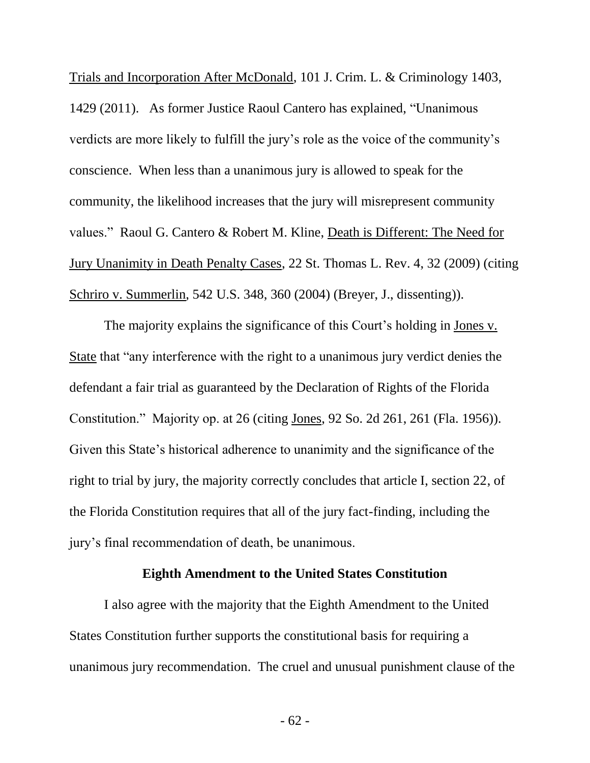Trials and Incorporation After McDonald, 101 J. Crim. L. & Criminology 1403, 1429 (2011). As former Justice Raoul Cantero has explained, "Unanimous verdicts are more likely to fulfill the jury's role as the voice of the community's conscience. When less than a unanimous jury is allowed to speak for the community, the likelihood increases that the jury will misrepresent community values." Raoul G. Cantero & Robert M. Kline, Death is Different: The Need for Jury Unanimity in Death Penalty Cases, 22 St. Thomas L. Rev. 4, 32 (2009) (citing Schriro v. Summerlin, 542 U.S. 348, 360 (2004) (Breyer, J., dissenting)).

The majority explains the significance of this Court's holding in Jones v. State that "any interference with the right to a unanimous jury verdict denies the defendant a fair trial as guaranteed by the Declaration of Rights of the Florida Constitution." Majority op. at 26 (citing Jones, 92 So. 2d 261, 261 (Fla. 1956)). Given this State's historical adherence to unanimity and the significance of the right to trial by jury, the majority correctly concludes that article I, section 22, of the Florida Constitution requires that all of the jury fact-finding, including the jury's final recommendation of death, be unanimous.

#### **Eighth Amendment to the United States Constitution**

I also agree with the majority that the Eighth Amendment to the United States Constitution further supports the constitutional basis for requiring a unanimous jury recommendation. The cruel and unusual punishment clause of the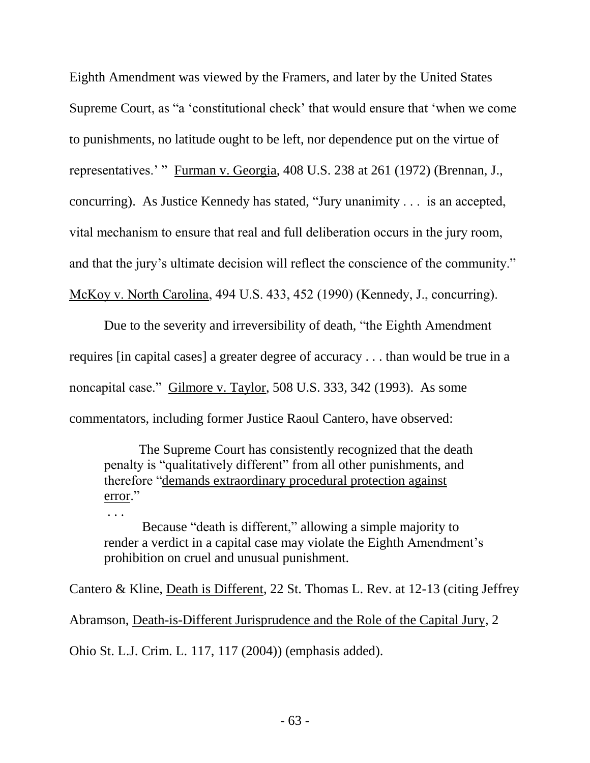Eighth Amendment was viewed by the Framers, and later by the United States Supreme Court, as "a 'constitutional check' that would ensure that 'when we come to punishments, no latitude ought to be left, nor dependence put on the virtue of representatives.' " Furman v. Georgia, 408 U.S. 238 at 261 (1972) (Brennan, J., concurring). As Justice Kennedy has stated, "Jury unanimity . . . is an accepted, vital mechanism to ensure that real and full deliberation occurs in the jury room, and that the jury's ultimate decision will reflect the conscience of the community." McKoy v. North Carolina, 494 U.S. 433, 452 (1990) (Kennedy, J., concurring).

Due to the severity and irreversibility of death, "the Eighth Amendment requires [in capital cases] a greater degree of accuracy . . . than would be true in a noncapital case." Gilmore v. Taylor, 508 U.S. 333, 342 (1993). As some commentators, including former Justice Raoul Cantero, have observed:

The Supreme Court has consistently recognized that the death penalty is "qualitatively different" from all other punishments, and therefore "demands extraordinary procedural protection against error."

. . .

Because "death is different," allowing a simple majority to render a verdict in a capital case may violate the Eighth Amendment's prohibition on cruel and unusual punishment.

Cantero & Kline, Death is Different, 22 St. Thomas L. Rev. at 12-13 (citing Jeffrey Abramson, Death-is-Different Jurisprudence and the Role of the Capital Jury, 2 Ohio St. L.J. Crim. L. 117, 117 (2004)) (emphasis added).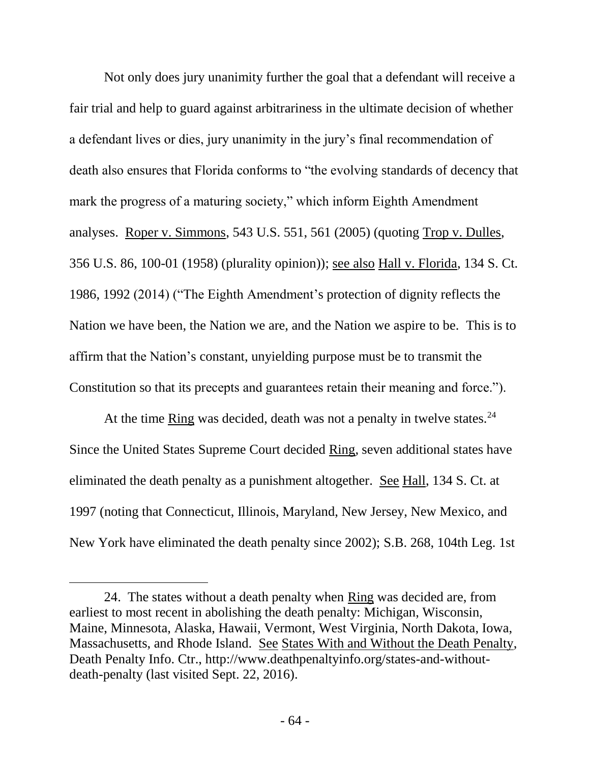Not only does jury unanimity further the goal that a defendant will receive a fair trial and help to guard against arbitrariness in the ultimate decision of whether a defendant lives or dies, jury unanimity in the jury's final recommendation of death also ensures that Florida conforms to "the evolving standards of decency that mark the progress of a maturing society," which inform Eighth Amendment analyses. Roper v. Simmons, 543 U.S. 551, 561 (2005) (quoting Trop v. Dulles, 356 U.S. 86, 100-01 (1958) (plurality opinion)); see also Hall v. Florida, 134 S. Ct. 1986, 1992 (2014) ("The Eighth Amendment's protection of dignity reflects the Nation we have been, the Nation we are, and the Nation we aspire to be. This is to affirm that the Nation's constant, unyielding purpose must be to transmit the Constitution so that its precepts and guarantees retain their meaning and force.").

At the time  $\frac{Ring}{N}$  was decided, death was not a penalty in twelve states.<sup>24</sup> Since the United States Supreme Court decided Ring, seven additional states have eliminated the death penalty as a punishment altogether. See Hall, 134 S. Ct. at 1997 (noting that Connecticut, Illinois, Maryland, New Jersey, New Mexico, and New York have eliminated the death penalty since 2002); S.B. 268, 104th Leg. 1st

<sup>24.</sup> The states without a death penalty when Ring was decided are, from earliest to most recent in abolishing the death penalty: Michigan, Wisconsin, Maine, Minnesota, Alaska, Hawaii, Vermont, West Virginia, North Dakota, Iowa, Massachusetts, and Rhode Island. See States With and Without the Death Penalty, Death Penalty Info. Ctr., http://www.deathpenaltyinfo.org/states-and-withoutdeath-penalty (last visited Sept. 22, 2016).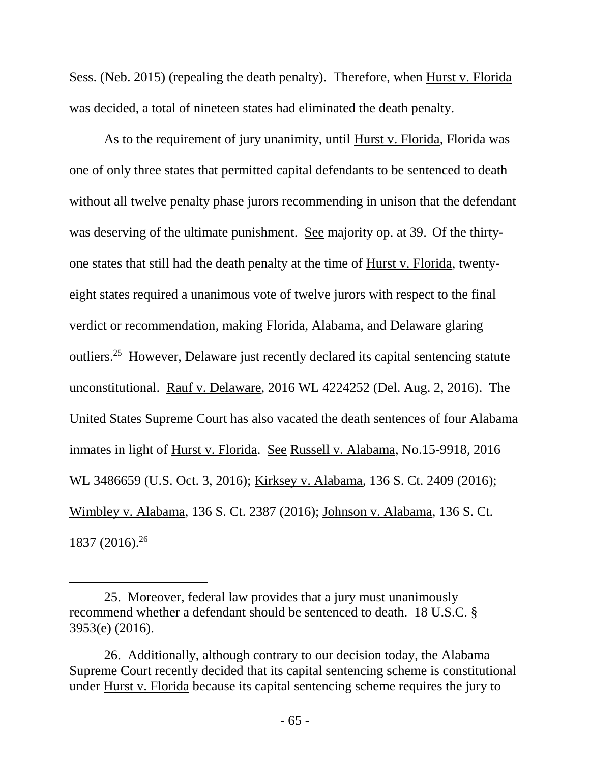Sess. (Neb. 2015) (repealing the death penalty). Therefore, when Hurst v. Florida was decided, a total of nineteen states had eliminated the death penalty.

As to the requirement of jury unanimity, until Hurst v. Florida, Florida was one of only three states that permitted capital defendants to be sentenced to death without all twelve penalty phase jurors recommending in unison that the defendant was deserving of the ultimate punishment. See majority op. at 39. Of the thirtyone states that still had the death penalty at the time of Hurst v. Florida, twentyeight states required a unanimous vote of twelve jurors with respect to the final verdict or recommendation, making Florida, Alabama, and Delaware glaring outliers.<sup>25</sup> However, Delaware just recently declared its capital sentencing statute unconstitutional. Rauf v. Delaware, 2016 WL 4224252 (Del. Aug. 2, 2016). The United States Supreme Court has also vacated the death sentences of four Alabama inmates in light of Hurst v. Florida. See Russell v. Alabama, No.15-9918, 2016 WL 3486659 (U.S. Oct. 3, 2016); Kirksey v. Alabama, 136 S. Ct. 2409 (2016); Wimbley v. Alabama, 136 S. Ct. 2387 (2016); Johnson v. Alabama, 136 S. Ct. 1837 (2016).<sup>26</sup>

<sup>25.</sup> Moreover, federal law provides that a jury must unanimously recommend whether a defendant should be sentenced to death. 18 U.S.C. § 3953(e) (2016).

<sup>26.</sup> Additionally, although contrary to our decision today, the Alabama Supreme Court recently decided that its capital sentencing scheme is constitutional under Hurst v. Florida because its capital sentencing scheme requires the jury to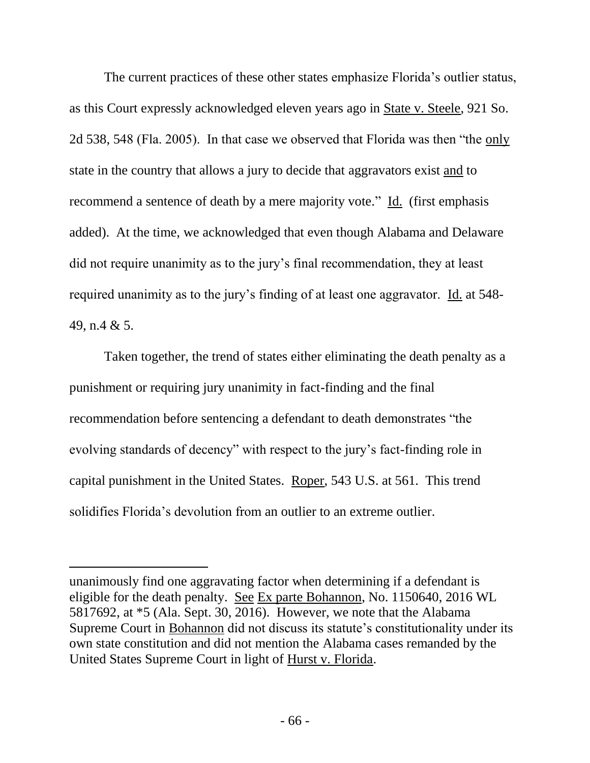The current practices of these other states emphasize Florida's outlier status, as this Court expressly acknowledged eleven years ago in State v. Steele, 921 So. 2d 538, 548 (Fla. 2005). In that case we observed that Florida was then "the only state in the country that allows a jury to decide that aggravators exist and to recommend a sentence of death by a mere majority vote." Id. (first emphasis added). At the time, we acknowledged that even though Alabama and Delaware did not require unanimity as to the jury's final recommendation, they at least required unanimity as to the jury's finding of at least one aggravator. Id. at 548- 49, n.4 & 5.

Taken together, the trend of states either eliminating the death penalty as a punishment or requiring jury unanimity in fact-finding and the final recommendation before sentencing a defendant to death demonstrates "the evolving standards of decency" with respect to the jury's fact-finding role in capital punishment in the United States. Roper, 543 U.S. at 561. This trend solidifies Florida's devolution from an outlier to an extreme outlier.

unanimously find one aggravating factor when determining if a defendant is eligible for the death penalty. See Ex parte Bohannon, No. 1150640, 2016 WL 5817692, at \*5 (Ala. Sept. 30, 2016). However, we note that the Alabama Supreme Court in Bohannon did not discuss its statute's constitutionality under its own state constitution and did not mention the Alabama cases remanded by the United States Supreme Court in light of Hurst v. Florida.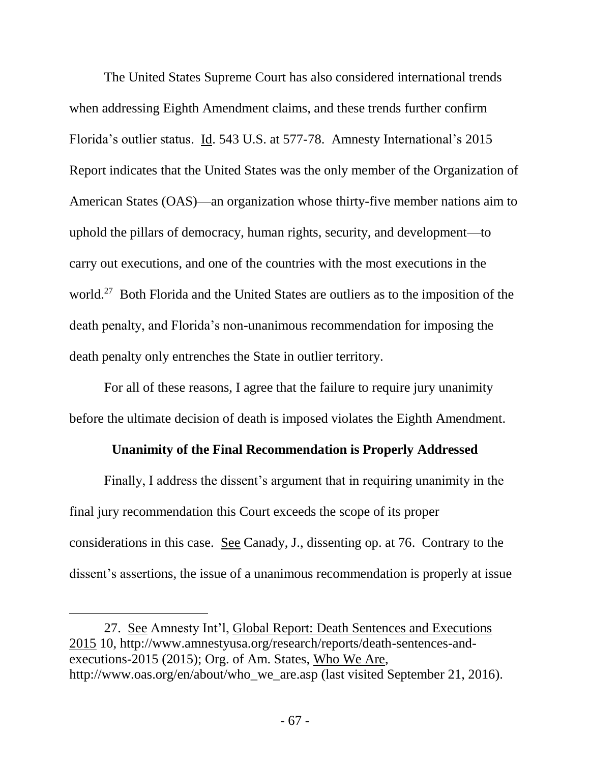The United States Supreme Court has also considered international trends when addressing Eighth Amendment claims, and these trends further confirm Florida's outlier status. Id. 543 U.S. at 577-78. Amnesty International's 2015 Report indicates that the United States was the only member of the Organization of American States (OAS)—an organization whose thirty-five member nations aim to uphold the pillars of democracy, human rights, security, and development—to carry out executions, and one of the countries with the most executions in the world.<sup>27</sup> Both Florida and the United States are outliers as to the imposition of the death penalty, and Florida's non-unanimous recommendation for imposing the death penalty only entrenches the State in outlier territory.

For all of these reasons, I agree that the failure to require jury unanimity before the ultimate decision of death is imposed violates the Eighth Amendment.

# **Unanimity of the Final Recommendation is Properly Addressed**

Finally, I address the dissent's argument that in requiring unanimity in the final jury recommendation this Court exceeds the scope of its proper considerations in this case. See Canady, J., dissenting op. at 76. Contrary to the dissent's assertions, the issue of a unanimous recommendation is properly at issue

 $\overline{a}$ 

<sup>27.</sup> See Amnesty Int'l, Global Report: Death Sentences and Executions 2015 10, http://www.amnestyusa.org/research/reports/death-sentences-andexecutions-2015 (2015); Org. of Am. States, Who We Are, http://www.oas.org/en/about/who\_we\_are.asp (last visited September 21, 2016).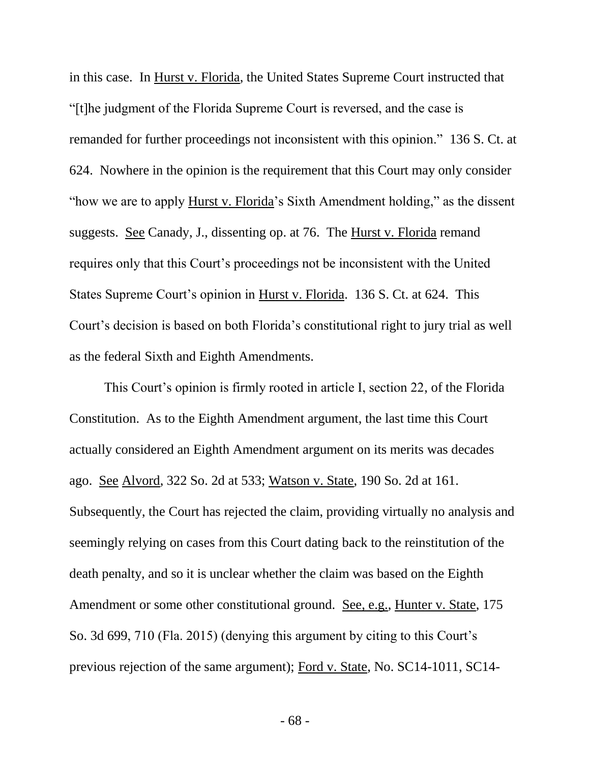in this case. In Hurst v. Florida, the United States Supreme Court instructed that "[t]he judgment of the Florida Supreme Court is reversed, and the case is remanded for further proceedings not inconsistent with this opinion." 136 S. Ct. at 624. Nowhere in the opinion is the requirement that this Court may only consider "how we are to apply Hurst v. Florida's Sixth Amendment holding," as the dissent suggests. See Canady, J., dissenting op. at 76. The Hurst v. Florida remand requires only that this Court's proceedings not be inconsistent with the United States Supreme Court's opinion in Hurst v. Florida. 136 S. Ct. at 624. This Court's decision is based on both Florida's constitutional right to jury trial as well as the federal Sixth and Eighth Amendments.

This Court's opinion is firmly rooted in article I, section 22, of the Florida Constitution. As to the Eighth Amendment argument, the last time this Court actually considered an Eighth Amendment argument on its merits was decades ago. See Alvord, 322 So. 2d at 533; Watson v. State, 190 So. 2d at 161. Subsequently, the Court has rejected the claim, providing virtually no analysis and seemingly relying on cases from this Court dating back to the reinstitution of the death penalty, and so it is unclear whether the claim was based on the Eighth Amendment or some other constitutional ground. See, e.g., Hunter v. State, 175 So. 3d 699, 710 (Fla. 2015) (denying this argument by citing to this Court's previous rejection of the same argument); Ford v. State, No. SC14-1011, SC14-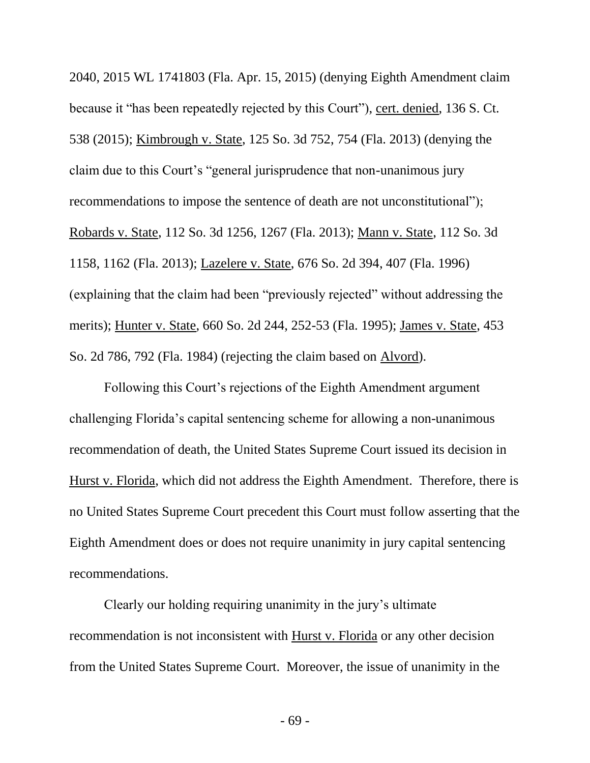2040, 2015 WL 1741803 (Fla. Apr. 15, 2015) (denying Eighth Amendment claim because it "has been repeatedly rejected by this Court"), cert. denied, 136 S. Ct. 538 (2015); Kimbrough v. State, 125 So. 3d 752, 754 (Fla. 2013) (denying the claim due to this Court's "general jurisprudence that non-unanimous jury recommendations to impose the sentence of death are not unconstitutional"); Robards v. State, 112 So. 3d 1256, 1267 (Fla. 2013); Mann v. State, 112 So. 3d 1158, 1162 (Fla. 2013); Lazelere v. State, 676 So. 2d 394, 407 (Fla. 1996) (explaining that the claim had been "previously rejected" without addressing the merits); Hunter v. State, 660 So. 2d 244, 252-53 (Fla. 1995); James v. State, 453 So. 2d 786, 792 (Fla. 1984) (rejecting the claim based on Alvord).

Following this Court's rejections of the Eighth Amendment argument challenging Florida's capital sentencing scheme for allowing a non-unanimous recommendation of death, the United States Supreme Court issued its decision in Hurst v. Florida, which did not address the Eighth Amendment. Therefore, there is no United States Supreme Court precedent this Court must follow asserting that the Eighth Amendment does or does not require unanimity in jury capital sentencing recommendations.

Clearly our holding requiring unanimity in the jury's ultimate recommendation is not inconsistent with Hurst v. Florida or any other decision from the United States Supreme Court. Moreover, the issue of unanimity in the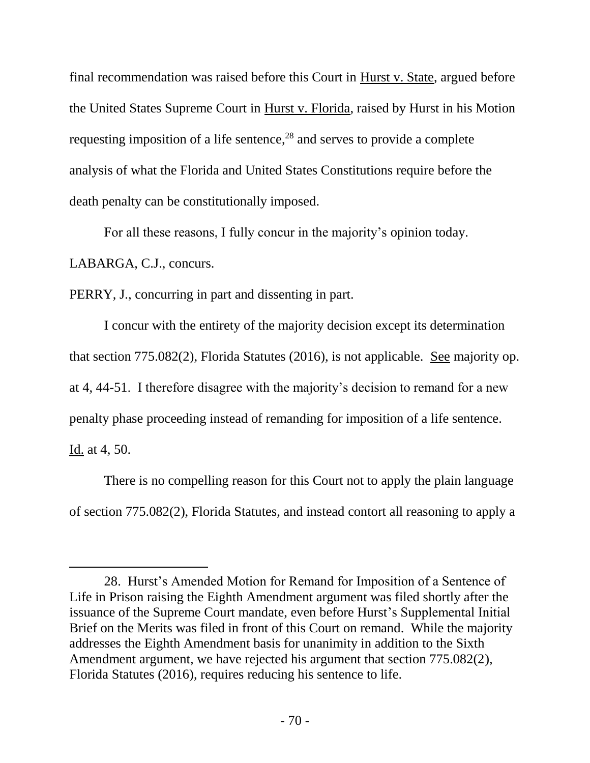final recommendation was raised before this Court in Hurst v. State, argued before the United States Supreme Court in Hurst v. Florida, raised by Hurst in his Motion requesting imposition of a life sentence, <sup>28</sup> and serves to provide a complete analysis of what the Florida and United States Constitutions require before the death penalty can be constitutionally imposed.

For all these reasons, I fully concur in the majority's opinion today.

LABARGA, C.J., concurs.

l

PERRY, J., concurring in part and dissenting in part.

I concur with the entirety of the majority decision except its determination that section 775.082(2), Florida Statutes (2016), is not applicable. See majority op. at 4, 44-51. I therefore disagree with the majority's decision to remand for a new penalty phase proceeding instead of remanding for imposition of a life sentence. Id. at 4, 50.

There is no compelling reason for this Court not to apply the plain language of section 775.082(2), Florida Statutes, and instead contort all reasoning to apply a

<sup>28.</sup> Hurst's Amended Motion for Remand for Imposition of a Sentence of Life in Prison raising the Eighth Amendment argument was filed shortly after the issuance of the Supreme Court mandate, even before Hurst's Supplemental Initial Brief on the Merits was filed in front of this Court on remand. While the majority addresses the Eighth Amendment basis for unanimity in addition to the Sixth Amendment argument, we have rejected his argument that section 775.082(2), Florida Statutes (2016), requires reducing his sentence to life.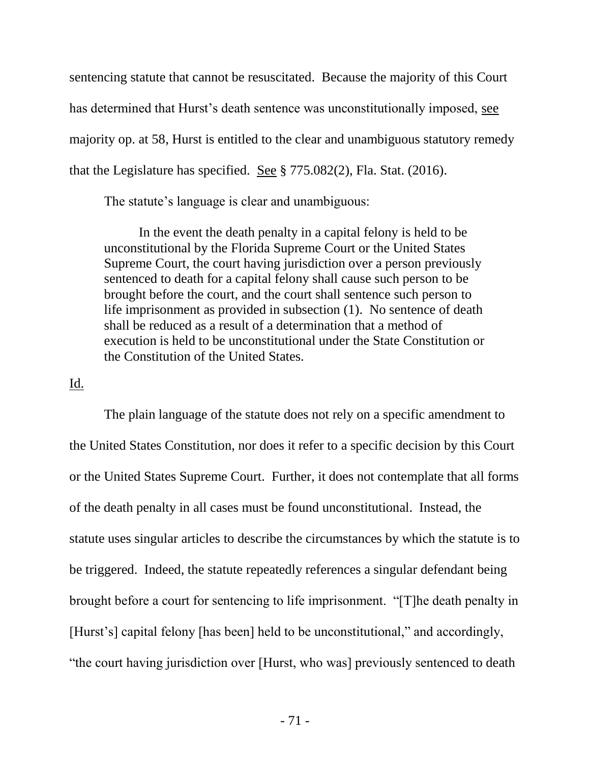sentencing statute that cannot be resuscitated. Because the majority of this Court has determined that Hurst's death sentence was unconstitutionally imposed, see majority op. at 58, Hurst is entitled to the clear and unambiguous statutory remedy that the Legislature has specified. See § 775.082(2), Fla. Stat. (2016).

The statute's language is clear and unambiguous:

In the event the death penalty in a capital felony is held to be unconstitutional by the Florida Supreme Court or the United States Supreme Court, the court having jurisdiction over a person previously sentenced to death for a capital felony shall cause such person to be brought before the court, and the court shall sentence such person to life imprisonment as provided in subsection (1). No sentence of death shall be reduced as a result of a determination that a method of execution is held to be unconstitutional under the State Constitution or the Constitution of the United States.

#### Id.

The plain language of the statute does not rely on a specific amendment to the United States Constitution, nor does it refer to a specific decision by this Court or the United States Supreme Court. Further, it does not contemplate that all forms of the death penalty in all cases must be found unconstitutional. Instead, the statute uses singular articles to describe the circumstances by which the statute is to be triggered. Indeed, the statute repeatedly references a singular defendant being brought before a court for sentencing to life imprisonment. "[T]he death penalty in [Hurst's] capital felony [has been] held to be unconstitutional," and accordingly, "the court having jurisdiction over [Hurst, who was] previously sentenced to death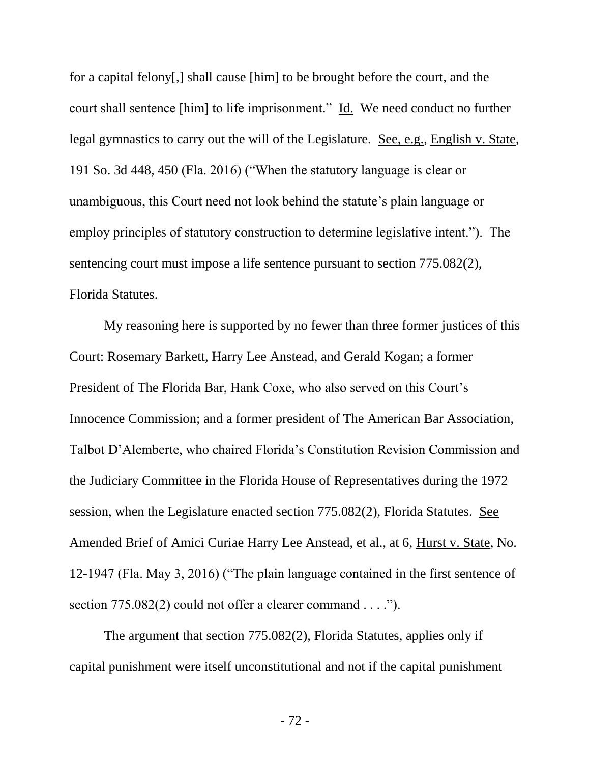for a capital felony[,] shall cause [him] to be brought before the court, and the court shall sentence [him] to life imprisonment." Id. We need conduct no further legal gymnastics to carry out the will of the Legislature. See, e.g., English v. State, 191 So. 3d 448, 450 (Fla. 2016) ("When the statutory language is clear or unambiguous, this Court need not look behind the statute's plain language or employ principles of statutory construction to determine legislative intent."). The sentencing court must impose a life sentence pursuant to section 775.082(2), Florida Statutes.

My reasoning here is supported by no fewer than three former justices of this Court: Rosemary Barkett, Harry Lee Anstead, and Gerald Kogan; a former President of The Florida Bar, Hank Coxe, who also served on this Court's Innocence Commission; and a former president of The American Bar Association, Talbot D'Alemberte, who chaired Florida's Constitution Revision Commission and the Judiciary Committee in the Florida House of Representatives during the 1972 session, when the Legislature enacted section 775.082(2), Florida Statutes. See Amended Brief of Amici Curiae Harry Lee Anstead, et al., at 6, Hurst v. State, No. 12-1947 (Fla. May 3, 2016) ("The plain language contained in the first sentence of section 775.082(2) could not offer a clearer command . . . .").

The argument that section 775.082(2), Florida Statutes, applies only if capital punishment were itself unconstitutional and not if the capital punishment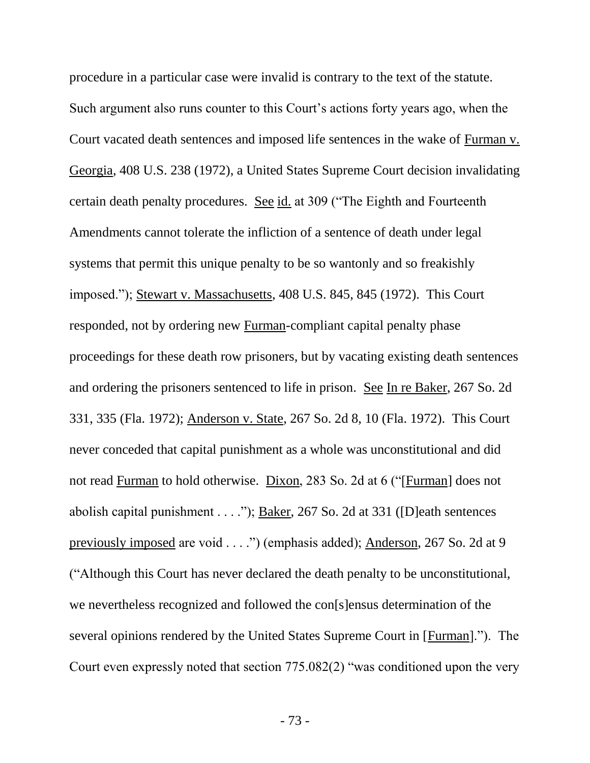procedure in a particular case were invalid is contrary to the text of the statute. Such argument also runs counter to this Court's actions forty years ago, when the Court vacated death sentences and imposed life sentences in the wake of Furman v. Georgia, 408 U.S. 238 (1972), a United States Supreme Court decision invalidating certain death penalty procedures. See id. at 309 ("The Eighth and Fourteenth Amendments cannot tolerate the infliction of a sentence of death under legal systems that permit this unique penalty to be so wantonly and so freakishly imposed."); Stewart v. Massachusetts, 408 U.S. 845, 845 (1972). This Court responded, not by ordering new Furman-compliant capital penalty phase proceedings for these death row prisoners, but by vacating existing death sentences and ordering the prisoners sentenced to life in prison. See In re Baker, 267 So. 2d 331, 335 (Fla. 1972); Anderson v. State, 267 So. 2d 8, 10 (Fla. 1972). This Court never conceded that capital punishment as a whole was unconstitutional and did not read Furman to hold otherwise. Dixon, 283 So. 2d at 6 ("[Furman] does not abolish capital punishment . . . ."); Baker, 267 So. 2d at 331 ([D]eath sentences previously imposed are void . . . .") (emphasis added); Anderson, 267 So. 2d at 9 ("Although this Court has never declared the death penalty to be unconstitutional, we nevertheless recognized and followed the con[s]ensus determination of the several opinions rendered by the United States Supreme Court in [Furman]."). The Court even expressly noted that section 775.082(2) "was conditioned upon the very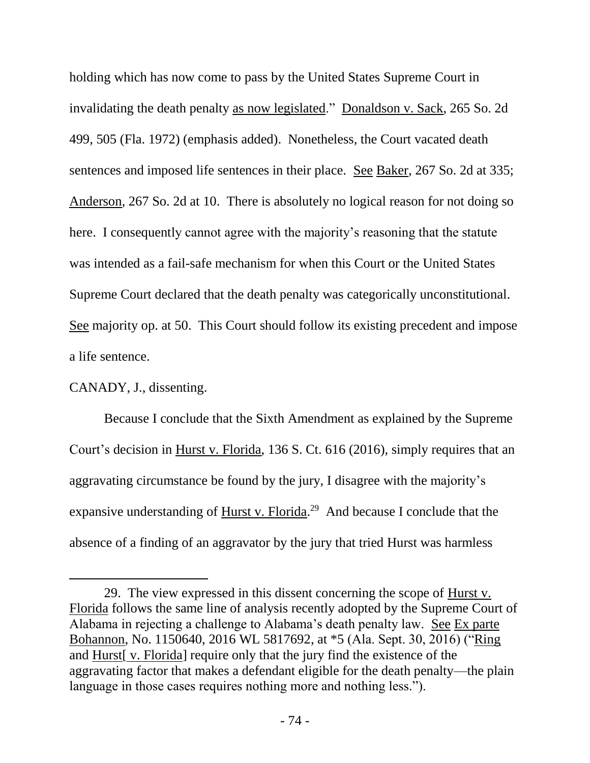holding which has now come to pass by the United States Supreme Court in invalidating the death penalty as now legislated." Donaldson v. Sack, 265 So. 2d 499, 505 (Fla. 1972) (emphasis added). Nonetheless, the Court vacated death sentences and imposed life sentences in their place. See Baker, 267 So. 2d at 335; Anderson, 267 So. 2d at 10. There is absolutely no logical reason for not doing so here. I consequently cannot agree with the majority's reasoning that the statute was intended as a fail-safe mechanism for when this Court or the United States Supreme Court declared that the death penalty was categorically unconstitutional. See majority op. at 50. This Court should follow its existing precedent and impose a life sentence.

CANADY, J., dissenting.

l

Because I conclude that the Sixth Amendment as explained by the Supreme Court's decision in Hurst v. Florida, 136 S. Ct. 616 (2016), simply requires that an aggravating circumstance be found by the jury, I disagree with the majority's expansive understanding of Hurst v. Florida.<sup>29</sup> And because I conclude that the absence of a finding of an aggravator by the jury that tried Hurst was harmless

<sup>29.</sup> The view expressed in this dissent concerning the scope of Hurst v. Florida follows the same line of analysis recently adopted by the Supreme Court of Alabama in rejecting a challenge to Alabama's death penalty law. See Ex parte Bohannon, No. 1150640, 2016 WL 5817692, at \*5 (Ala. Sept. 30, 2016) ("Ring and Hurst[ v. Florida] require only that the jury find the existence of the aggravating factor that makes a defendant eligible for the death penalty—the plain language in those cases requires nothing more and nothing less.").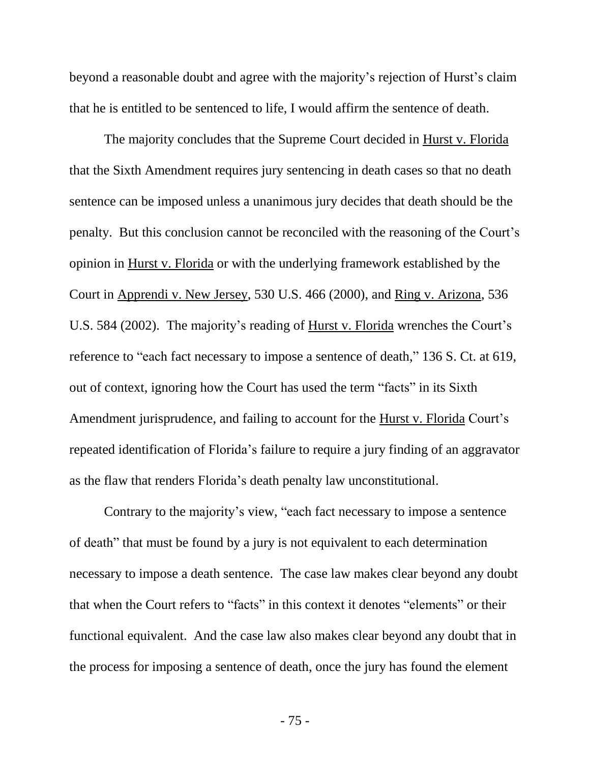beyond a reasonable doubt and agree with the majority's rejection of Hurst's claim that he is entitled to be sentenced to life, I would affirm the sentence of death.

The majority concludes that the Supreme Court decided in Hurst v. Florida that the Sixth Amendment requires jury sentencing in death cases so that no death sentence can be imposed unless a unanimous jury decides that death should be the penalty. But this conclusion cannot be reconciled with the reasoning of the Court's opinion in Hurst v. Florida or with the underlying framework established by the Court in Apprendi v. New Jersey, 530 U.S. 466 (2000), and Ring v. Arizona, 536 U.S. 584 (2002). The majority's reading of Hurst v. Florida wrenches the Court's reference to "each fact necessary to impose a sentence of death," 136 S. Ct. at 619, out of context, ignoring how the Court has used the term "facts" in its Sixth Amendment jurisprudence, and failing to account for the Hurst v. Florida Court's repeated identification of Florida's failure to require a jury finding of an aggravator as the flaw that renders Florida's death penalty law unconstitutional.

Contrary to the majority's view, "each fact necessary to impose a sentence of death" that must be found by a jury is not equivalent to each determination necessary to impose a death sentence. The case law makes clear beyond any doubt that when the Court refers to "facts" in this context it denotes "elements" or their functional equivalent. And the case law also makes clear beyond any doubt that in the process for imposing a sentence of death, once the jury has found the element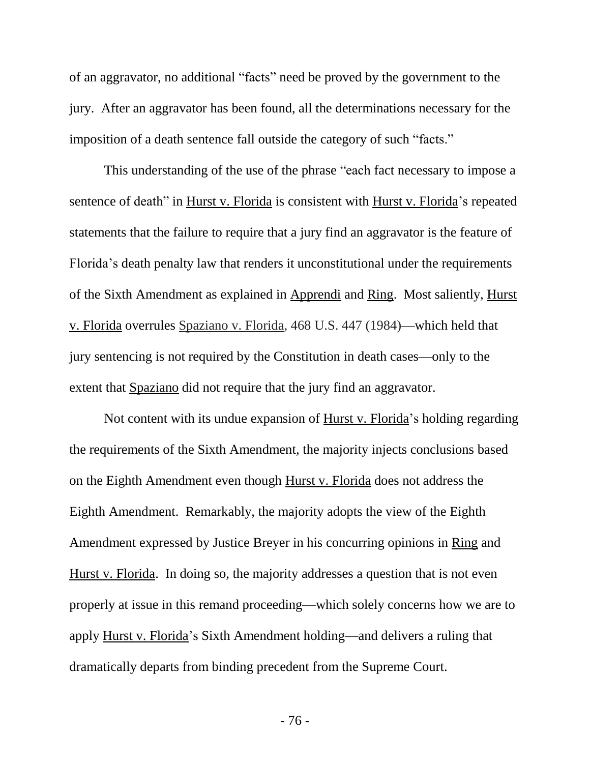of an aggravator, no additional "facts" need be proved by the government to the jury. After an aggravator has been found, all the determinations necessary for the imposition of a death sentence fall outside the category of such "facts."

This understanding of the use of the phrase "each fact necessary to impose a sentence of death" in Hurst v. Florida is consistent with Hurst v. Florida's repeated statements that the failure to require that a jury find an aggravator is the feature of Florida's death penalty law that renders it unconstitutional under the requirements of the Sixth Amendment as explained in Apprendi and Ring. Most saliently, Hurst v. Florida overrules Spaziano v. Florida, 468 U.S. 447 (1984)—which held that jury sentencing is not required by the Constitution in death cases—only to the extent that Spaziano did not require that the jury find an aggravator.

Not content with its undue expansion of Hurst v. Florida's holding regarding the requirements of the Sixth Amendment, the majority injects conclusions based on the Eighth Amendment even though Hurst v. Florida does not address the Eighth Amendment. Remarkably, the majority adopts the view of the Eighth Amendment expressed by Justice Breyer in his concurring opinions in Ring and Hurst v. Florida. In doing so, the majority addresses a question that is not even properly at issue in this remand proceeding—which solely concerns how we are to apply Hurst v. Florida's Sixth Amendment holding—and delivers a ruling that dramatically departs from binding precedent from the Supreme Court.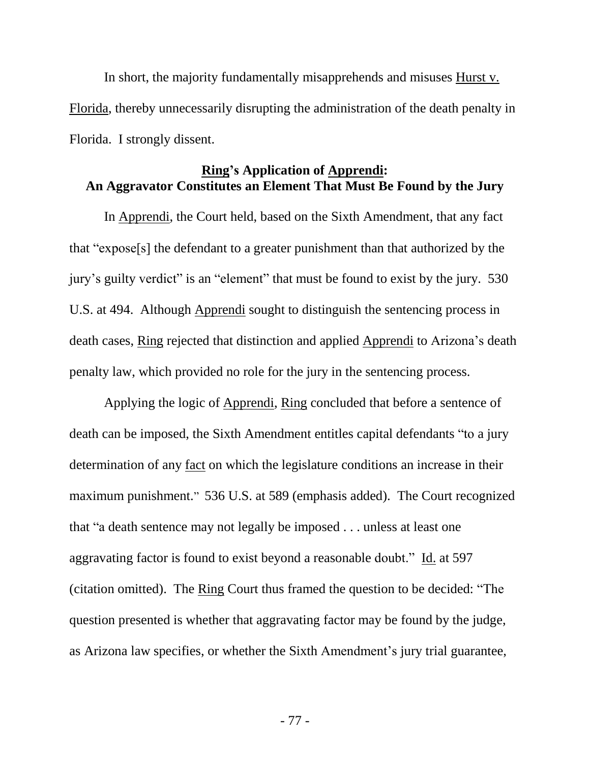In short, the majority fundamentally misapprehends and misuses Hurst v. Florida, thereby unnecessarily disrupting the administration of the death penalty in Florida. I strongly dissent.

#### **Ring's Application of Apprendi: An Aggravator Constitutes an Element That Must Be Found by the Jury**

In Apprendi, the Court held, based on the Sixth Amendment, that any fact that "expose[s] the defendant to a greater punishment than that authorized by the jury's guilty verdict" is an "element" that must be found to exist by the jury. 530 U.S. at 494. Although Apprendi sought to distinguish the sentencing process in death cases, Ring rejected that distinction and applied Apprendi to Arizona's death penalty law, which provided no role for the jury in the sentencing process.

Applying the logic of Apprendi, Ring concluded that before a sentence of death can be imposed, the Sixth Amendment entitles capital defendants "to a jury determination of any fact on which the legislature conditions an increase in their maximum punishment." 536 U.S. at 589 (emphasis added). The Court recognized that "a death sentence may not legally be imposed . . . unless at least one aggravating factor is found to exist beyond a reasonable doubt." Id. at 597 (citation omitted). The Ring Court thus framed the question to be decided: "The question presented is whether that aggravating factor may be found by the judge, as Arizona law specifies, or whether the Sixth Amendment's jury trial guarantee,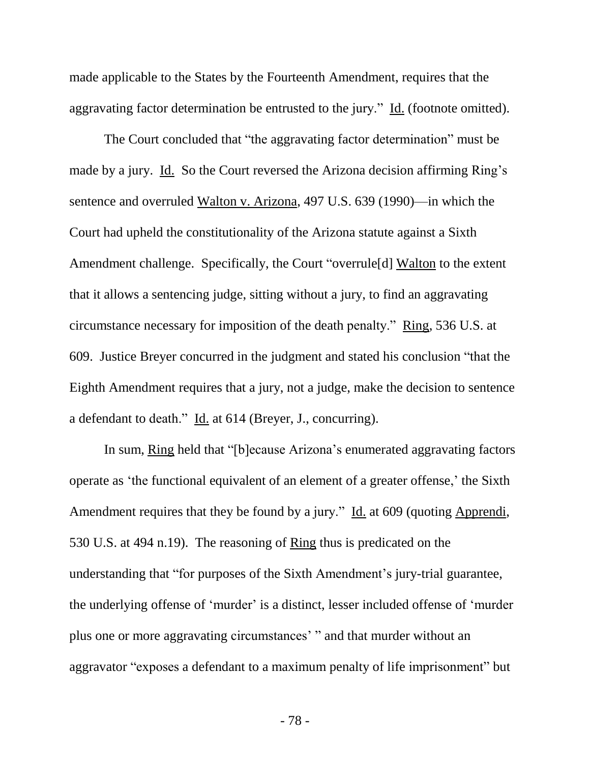made applicable to the States by the Fourteenth Amendment, requires that the aggravating factor determination be entrusted to the jury." Id. (footnote omitted).

The Court concluded that "the aggravating factor determination" must be made by a jury. Id. So the Court reversed the Arizona decision affirming Ring's sentence and overruled Walton v. Arizona, 497 U.S. 639 (1990)—in which the Court had upheld the constitutionality of the Arizona statute against a Sixth Amendment challenge. Specifically, the Court "overrule[d] Walton to the extent that it allows a sentencing judge, sitting without a jury, to find an aggravating circumstance necessary for imposition of the death penalty." Ring, 536 U.S. at 609. Justice Breyer concurred in the judgment and stated his conclusion "that the Eighth Amendment requires that a jury, not a judge, make the decision to sentence a defendant to death." Id. at 614 (Breyer, J., concurring).

In sum, Ring held that "[b]ecause Arizona's enumerated aggravating factors operate as 'the functional equivalent of an element of a greater offense,' the Sixth Amendment requires that they be found by a jury." Id. at 609 (quoting Apprendi, 530 U.S. at 494 n.19). The reasoning of Ring thus is predicated on the understanding that "for purposes of the Sixth Amendment's jury-trial guarantee, the underlying offense of 'murder' is a distinct, lesser included offense of 'murder plus one or more aggravating circumstances' " and that murder without an aggravator "exposes a defendant to a maximum penalty of life imprisonment" but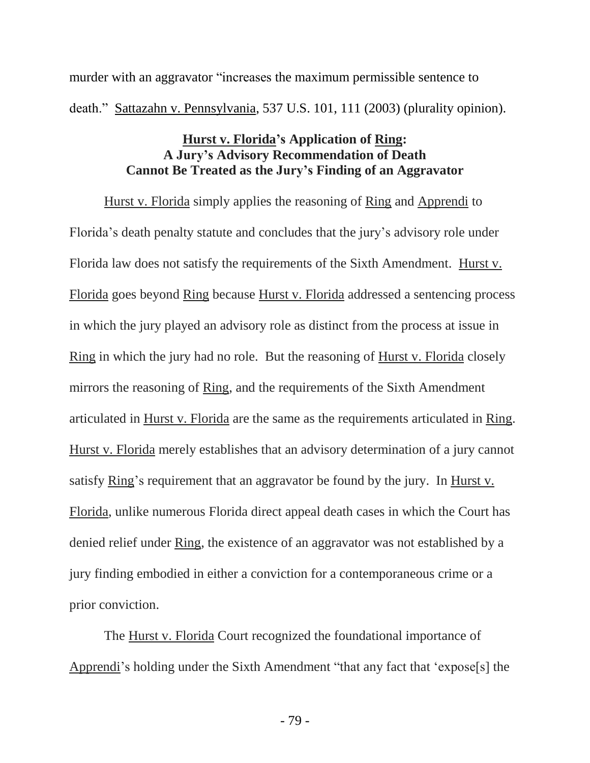murder with an aggravator "increases the maximum permissible sentence to death." Sattazahn v. Pennsylvania, 537 U.S. 101, 111 (2003) (plurality opinion).

### **Hurst v. Florida's Application of Ring: A Jury's Advisory Recommendation of Death Cannot Be Treated as the Jury's Finding of an Aggravator**

Hurst v. Florida simply applies the reasoning of Ring and Apprendi to Florida's death penalty statute and concludes that the jury's advisory role under Florida law does not satisfy the requirements of the Sixth Amendment. Hurst v. Florida goes beyond Ring because Hurst v. Florida addressed a sentencing process in which the jury played an advisory role as distinct from the process at issue in Ring in which the jury had no role. But the reasoning of Hurst v. Florida closely mirrors the reasoning of Ring, and the requirements of the Sixth Amendment articulated in Hurst v. Florida are the same as the requirements articulated in Ring. Hurst v. Florida merely establishes that an advisory determination of a jury cannot satisfy Ring's requirement that an aggravator be found by the jury. In Hurst v. Florida, unlike numerous Florida direct appeal death cases in which the Court has denied relief under Ring, the existence of an aggravator was not established by a jury finding embodied in either a conviction for a contemporaneous crime or a prior conviction.

The Hurst v. Florida Court recognized the foundational importance of Apprendi's holding under the Sixth Amendment "that any fact that 'expose[s] the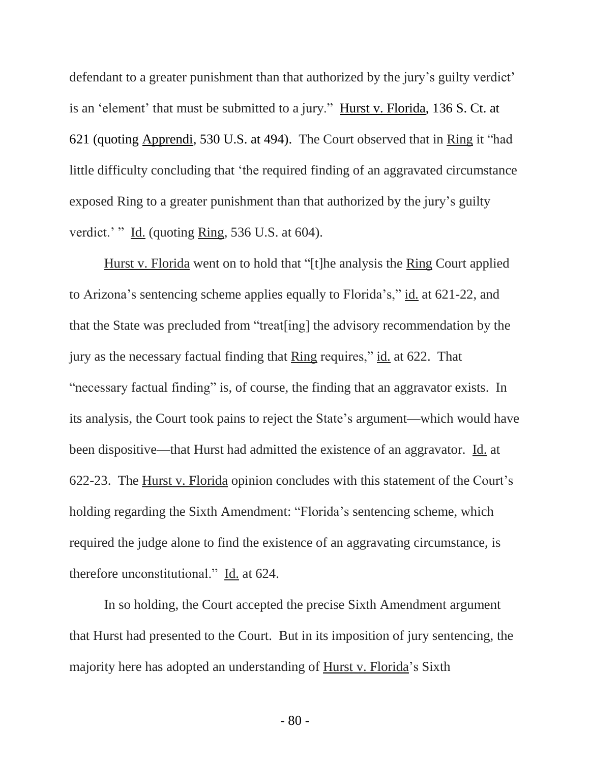defendant to a greater punishment than that authorized by the jury's guilty verdict' is an 'element' that must be submitted to a jury." Hurst v. Florida, 136 S. Ct. at 621 (quoting Apprendi, 530 U.S. at 494). The Court observed that in Ring it "had little difficulty concluding that 'the required finding of an aggravated circumstance exposed Ring to a greater punishment than that authorized by the jury's guilty verdict.' " Id. (quoting Ring, 536 U.S. at 604).

Hurst v. Florida went on to hold that "[t]he analysis the Ring Court applied to Arizona's sentencing scheme applies equally to Florida's," id. at 621-22, and that the State was precluded from "treat[ing] the advisory recommendation by the jury as the necessary factual finding that Ring requires," id. at 622. That "necessary factual finding" is, of course, the finding that an aggravator exists. In its analysis, the Court took pains to reject the State's argument—which would have been dispositive—that Hurst had admitted the existence of an aggravator. Id. at 622-23. The Hurst v. Florida opinion concludes with this statement of the Court's holding regarding the Sixth Amendment: "Florida's sentencing scheme, which required the judge alone to find the existence of an aggravating circumstance, is therefore unconstitutional." Id. at 624.

In so holding, the Court accepted the precise Sixth Amendment argument that Hurst had presented to the Court. But in its imposition of jury sentencing, the majority here has adopted an understanding of Hurst v. Florida's Sixth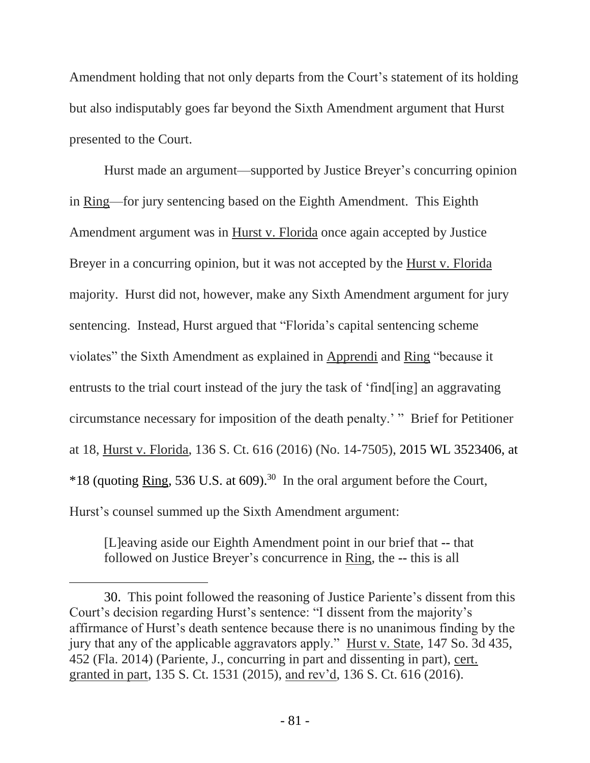Amendment holding that not only departs from the Court's statement of its holding but also indisputably goes far beyond the Sixth Amendment argument that Hurst presented to the Court.

Hurst made an argument—supported by Justice Breyer's concurring opinion in Ring—for jury sentencing based on the Eighth Amendment. This Eighth Amendment argument was in Hurst v. Florida once again accepted by Justice Breyer in a concurring opinion, but it was not accepted by the Hurst v. Florida majority. Hurst did not, however, make any Sixth Amendment argument for jury sentencing. Instead, Hurst argued that "Florida's capital sentencing scheme violates" the Sixth Amendment as explained in Apprendi and Ring "because it entrusts to the trial court instead of the jury the task of 'find[ing] an aggravating circumstance necessary for imposition of the death penalty.' " Brief for Petitioner at 18, Hurst v. Florida, 136 S. Ct. 616 (2016) (No. 14-7505), 2015 WL 3523406, at  $*18$  (quoting Ring, 536 U.S. at 609).<sup>30</sup> In the oral argument before the Court, Hurst's counsel summed up the Sixth Amendment argument:

[L]eaving aside our Eighth Amendment point in our brief that -- that followed on Justice Breyer's concurrence in Ring, the -- this is all

l

<sup>30.</sup> This point followed the reasoning of Justice Pariente's dissent from this Court's decision regarding Hurst's sentence: "I dissent from the majority's affirmance of Hurst's death sentence because there is no unanimous finding by the jury that any of the applicable aggravators apply." Hurst v. State, 147 So. 3d 435, 452 (Fla. 2014) (Pariente, J., concurring in part and dissenting in part), cert. granted in part, 135 S. Ct. 1531 (2015), and rev'd, 136 S. Ct. 616 (2016).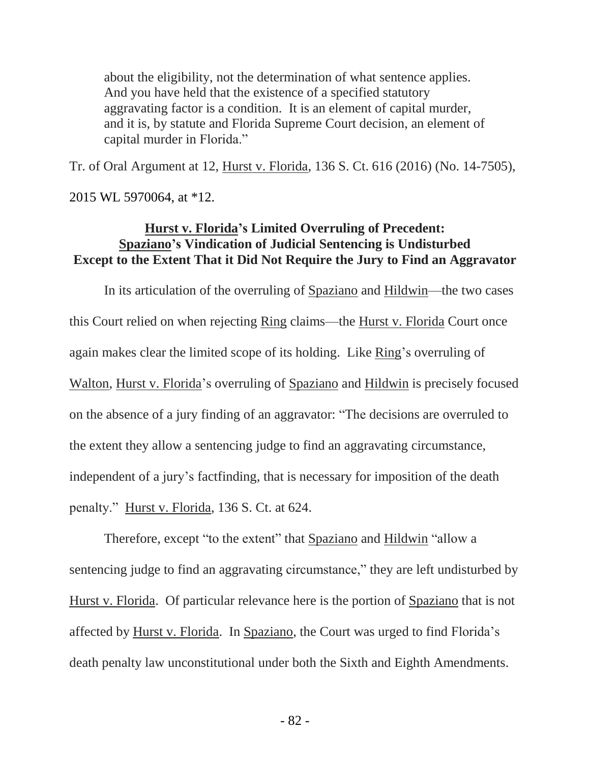about the eligibility, not the determination of what sentence applies. And you have held that the existence of a specified statutory aggravating factor is a condition. It is an element of capital murder, and it is, by statute and Florida Supreme Court decision, an element of capital murder in Florida."

Tr. of Oral Argument at 12, Hurst v. Florida, 136 S. Ct. 616 (2016) (No. 14-7505),

2015 WL 5970064, at \*12.

# **Hurst v. Florida's Limited Overruling of Precedent: Spaziano's Vindication of Judicial Sentencing is Undisturbed Except to the Extent That it Did Not Require the Jury to Find an Aggravator**

In its articulation of the overruling of Spaziano and Hildwin—the two cases this Court relied on when rejecting Ring claims—the Hurst v. Florida Court once again makes clear the limited scope of its holding. Like Ring's overruling of Walton, Hurst v. Florida's overruling of Spaziano and Hildwin is precisely focused on the absence of a jury finding of an aggravator: "The decisions are overruled to the extent they allow a sentencing judge to find an aggravating circumstance, independent of a jury's factfinding, that is necessary for imposition of the death penalty." Hurst v. Florida, 136 S. Ct. at 624.

Therefore, except "to the extent" that Spaziano and Hildwin "allow a sentencing judge to find an aggravating circumstance," they are left undisturbed by Hurst v. Florida. Of particular relevance here is the portion of Spaziano that is not affected by Hurst v. Florida. In Spaziano, the Court was urged to find Florida's death penalty law unconstitutional under both the Sixth and Eighth Amendments.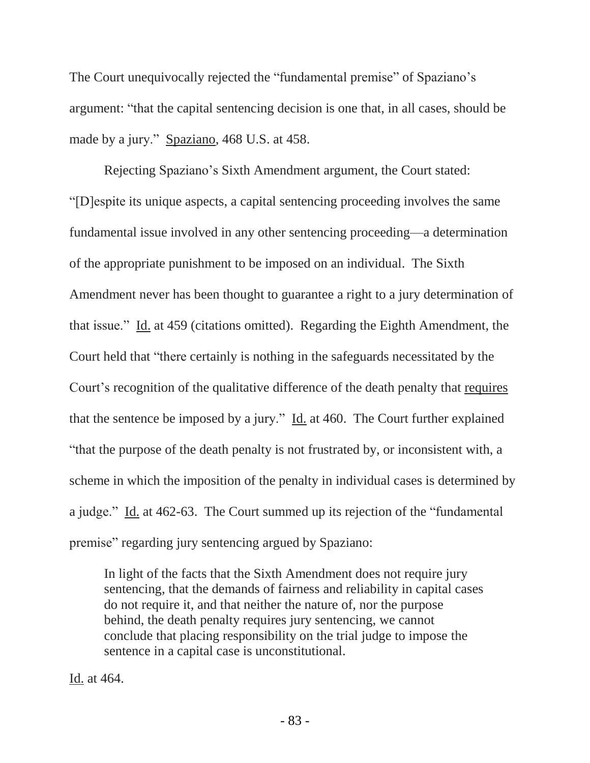The Court unequivocally rejected the "fundamental premise" of Spaziano's argument: "that the capital sentencing decision is one that, in all cases, should be made by a jury." Spaziano, 468 U.S. at 458.

Rejecting Spaziano's Sixth Amendment argument, the Court stated: "[D]espite its unique aspects, a capital sentencing proceeding involves the same fundamental issue involved in any other sentencing proceeding—a determination of the appropriate punishment to be imposed on an individual. The Sixth Amendment never has been thought to guarantee a right to a jury determination of that issue." Id. at 459 (citations omitted). Regarding the Eighth Amendment, the Court held that "there certainly is nothing in the safeguards necessitated by the Court's recognition of the qualitative difference of the death penalty that requires that the sentence be imposed by a jury." Id. at 460. The Court further explained "that the purpose of the death penalty is not frustrated by, or inconsistent with, a scheme in which the imposition of the penalty in individual cases is determined by a judge." Id. at 462-63. The Court summed up its rejection of the "fundamental premise" regarding jury sentencing argued by Spaziano:

In light of the facts that the Sixth Amendment does not require jury sentencing, that the demands of fairness and reliability in capital cases do not require it, and that neither the nature of, nor the purpose behind, the death penalty requires jury sentencing, we cannot conclude that placing responsibility on the trial judge to impose the sentence in a capital case is unconstitutional.

Id. at 464.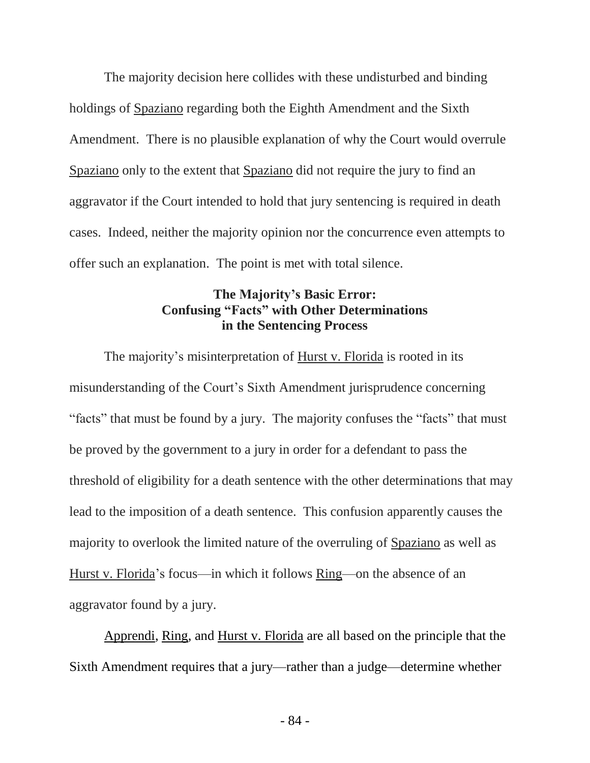The majority decision here collides with these undisturbed and binding holdings of Spaziano regarding both the Eighth Amendment and the Sixth Amendment. There is no plausible explanation of why the Court would overrule Spaziano only to the extent that Spaziano did not require the jury to find an aggravator if the Court intended to hold that jury sentencing is required in death cases. Indeed, neither the majority opinion nor the concurrence even attempts to offer such an explanation. The point is met with total silence.

# **The Majority's Basic Error: Confusing "Facts" with Other Determinations in the Sentencing Process**

The majority's misinterpretation of Hurst v. Florida is rooted in its misunderstanding of the Court's Sixth Amendment jurisprudence concerning "facts" that must be found by a jury. The majority confuses the "facts" that must be proved by the government to a jury in order for a defendant to pass the threshold of eligibility for a death sentence with the other determinations that may lead to the imposition of a death sentence. This confusion apparently causes the majority to overlook the limited nature of the overruling of Spaziano as well as Hurst v. Florida's focus—in which it follows Ring—on the absence of an aggravator found by a jury.

Apprendi, Ring, and Hurst v. Florida are all based on the principle that the Sixth Amendment requires that a jury—rather than a judge—determine whether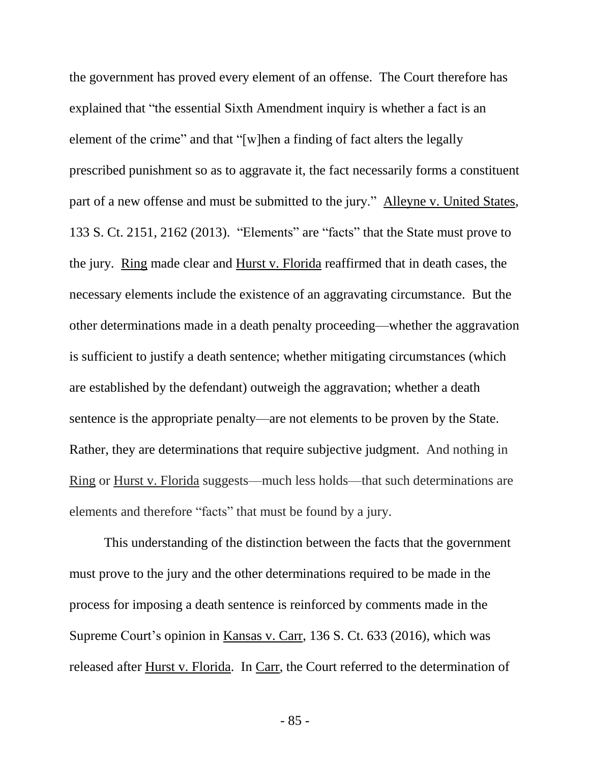the government has proved every element of an offense. The Court therefore has explained that "the essential Sixth Amendment inquiry is whether a fact is an element of the crime" and that "[w]hen a finding of fact alters the legally prescribed punishment so as to aggravate it, the fact necessarily forms a constituent part of a new offense and must be submitted to the jury." Alleyne v. United States, 133 S. Ct. 2151, 2162 (2013). "Elements" are "facts" that the State must prove to the jury. Ring made clear and Hurst v. Florida reaffirmed that in death cases, the necessary elements include the existence of an aggravating circumstance. But the other determinations made in a death penalty proceeding—whether the aggravation is sufficient to justify a death sentence; whether mitigating circumstances (which are established by the defendant) outweigh the aggravation; whether a death sentence is the appropriate penalty—are not elements to be proven by the State. Rather, they are determinations that require subjective judgment. And nothing in Ring or Hurst v. Florida suggests—much less holds—that such determinations are elements and therefore "facts" that must be found by a jury.

This understanding of the distinction between the facts that the government must prove to the jury and the other determinations required to be made in the process for imposing a death sentence is reinforced by comments made in the Supreme Court's opinion in Kansas v. Carr, 136 S. Ct. 633 (2016), which was released after Hurst v. Florida. In Carr, the Court referred to the determination of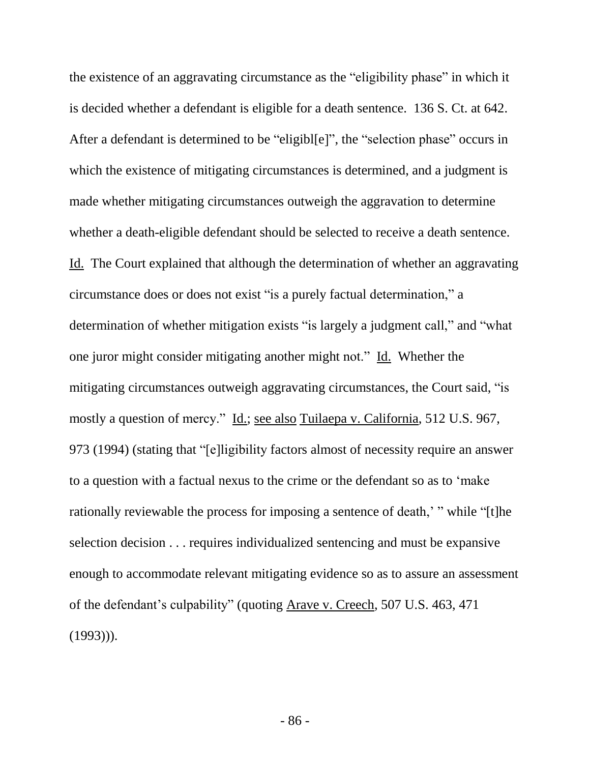the existence of an aggravating circumstance as the "eligibility phase" in which it is decided whether a defendant is eligible for a death sentence. 136 S. Ct. at 642. After a defendant is determined to be "eligibl[e]", the "selection phase" occurs in which the existence of mitigating circumstances is determined, and a judgment is made whether mitigating circumstances outweigh the aggravation to determine whether a death-eligible defendant should be selected to receive a death sentence. Id. The Court explained that although the determination of whether an aggravating circumstance does or does not exist "is a purely factual determination," a determination of whether mitigation exists "is largely a judgment call," and "what one juror might consider mitigating another might not." Id. Whether the mitigating circumstances outweigh aggravating circumstances, the Court said, "is mostly a question of mercy." Id.; see also Tuilaepa v. California, 512 U.S. 967, 973 (1994) (stating that "[e]ligibility factors almost of necessity require an answer to a question with a factual nexus to the crime or the defendant so as to 'make rationally reviewable the process for imposing a sentence of death,' " while "[t]he selection decision . . . requires individualized sentencing and must be expansive enough to accommodate relevant mitigating evidence so as to assure an assessment of the defendant's culpability" (quoting Arave v. Creech, 507 U.S. 463, 471  $(1993))$ .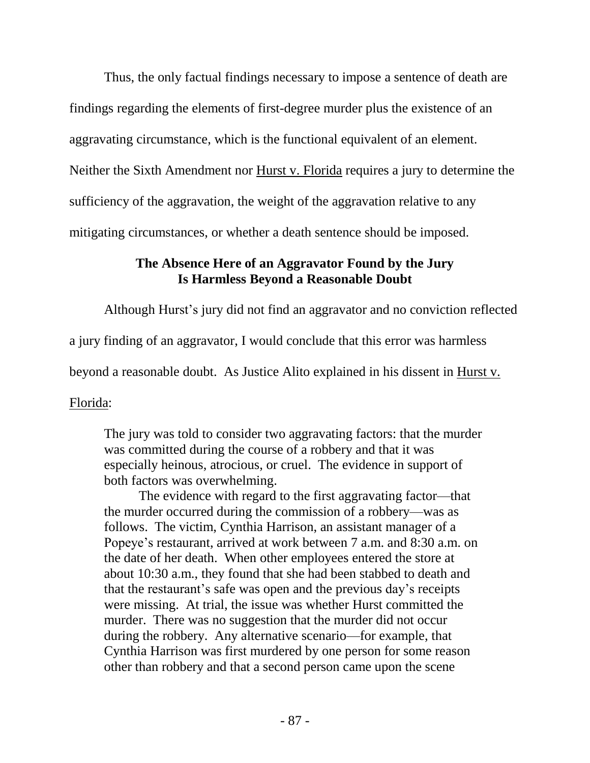Thus, the only factual findings necessary to impose a sentence of death are findings regarding the elements of first-degree murder plus the existence of an aggravating circumstance, which is the functional equivalent of an element. Neither the Sixth Amendment nor Hurst v. Florida requires a jury to determine the sufficiency of the aggravation, the weight of the aggravation relative to any mitigating circumstances, or whether a death sentence should be imposed.

### **The Absence Here of an Aggravator Found by the Jury Is Harmless Beyond a Reasonable Doubt**

Although Hurst's jury did not find an aggravator and no conviction reflected

a jury finding of an aggravator, I would conclude that this error was harmless

beyond a reasonable doubt. As Justice Alito explained in his dissent in Hurst v.

Florida:

The jury was told to consider two aggravating factors: that the murder was committed during the course of a robbery and that it was especially heinous, atrocious, or cruel. The evidence in support of both factors was overwhelming.

The evidence with regard to the first aggravating factor—that the murder occurred during the commission of a robbery—was as follows. The victim, Cynthia Harrison, an assistant manager of a Popeye's restaurant, arrived at work between 7 a.m. and 8:30 a.m. on the date of her death. When other employees entered the store at about 10:30 a.m., they found that she had been stabbed to death and that the restaurant's safe was open and the previous day's receipts were missing. At trial, the issue was whether Hurst committed the murder. There was no suggestion that the murder did not occur during the robbery. Any alternative scenario—for example, that Cynthia Harrison was first murdered by one person for some reason other than robbery and that a second person came upon the scene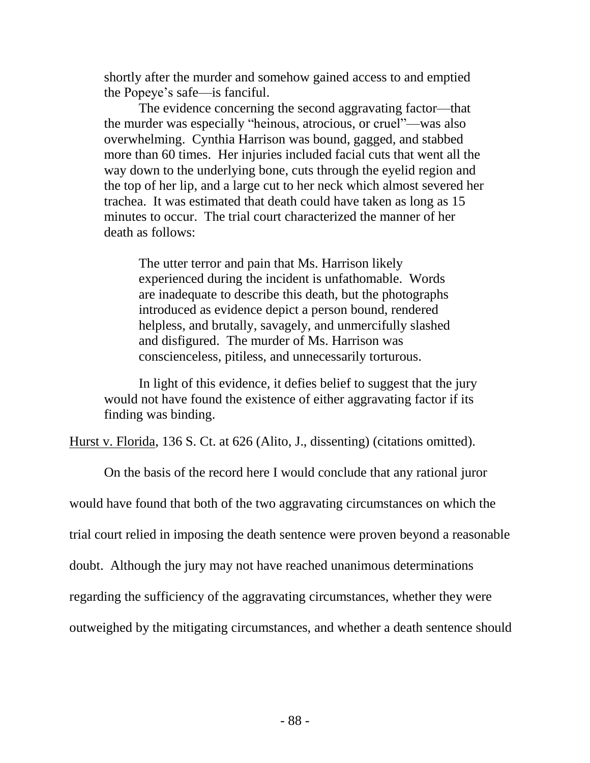shortly after the murder and somehow gained access to and emptied the Popeye's safe—is fanciful.

The evidence concerning the second aggravating factor—that the murder was especially "heinous, atrocious, or cruel"—was also overwhelming. Cynthia Harrison was bound, gagged, and stabbed more than 60 times. Her injuries included facial cuts that went all the way down to the underlying bone, cuts through the eyelid region and the top of her lip, and a large cut to her neck which almost severed her trachea. It was estimated that death could have taken as long as 15 minutes to occur. The trial court characterized the manner of her death as follows:

The utter terror and pain that Ms. Harrison likely experienced during the incident is unfathomable. Words are inadequate to describe this death, but the photographs introduced as evidence depict a person bound, rendered helpless, and brutally, savagely, and unmercifully slashed and disfigured. The murder of Ms. Harrison was conscienceless, pitiless, and unnecessarily torturous.

In light of this evidence, it defies belief to suggest that the jury would not have found the existence of either aggravating factor if its finding was binding.

Hurst v. Florida, 136 S. Ct. at 626 (Alito, J., dissenting) (citations omitted).

On the basis of the record here I would conclude that any rational juror would have found that both of the two aggravating circumstances on which the trial court relied in imposing the death sentence were proven beyond a reasonable doubt. Although the jury may not have reached unanimous determinations regarding the sufficiency of the aggravating circumstances, whether they were outweighed by the mitigating circumstances, and whether a death sentence should